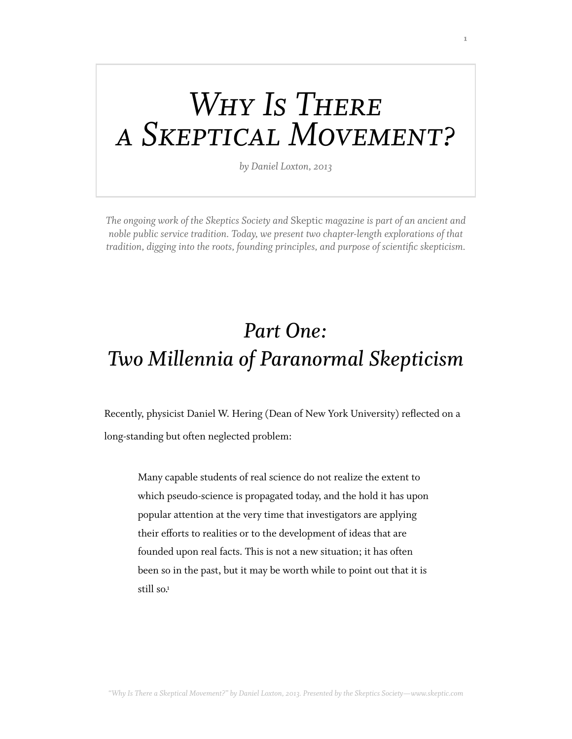# *Why Is There a Skeptical Movement?*

*by Daniel Loxton, 2013*

*The ongoing work of the Skeptics Society and* Skeptic *magazine is part of an ancient and noble public service tradition. Today, we present two chapter-length explorations of that tradition, digging into the roots, founding principles, and purpose of scientific skepticism.*

## *Part One: Two Millennia of Paranormal Skepticism*

Recently, physicist Daniel W. Hering (Dean of New York University) reflected on a long-standing but often neglected problem:

Many capable students of real science do not realize the extent to which pseudo-science is propagated today, and the hold it has upon popular attention at the very time that investigators are applying their efforts to realities or to the development of ideas that are founded upon real facts. This is not a new situation; it has often been so in the past, but it may be worth while to point out that it is still so[.1](#page-64-0)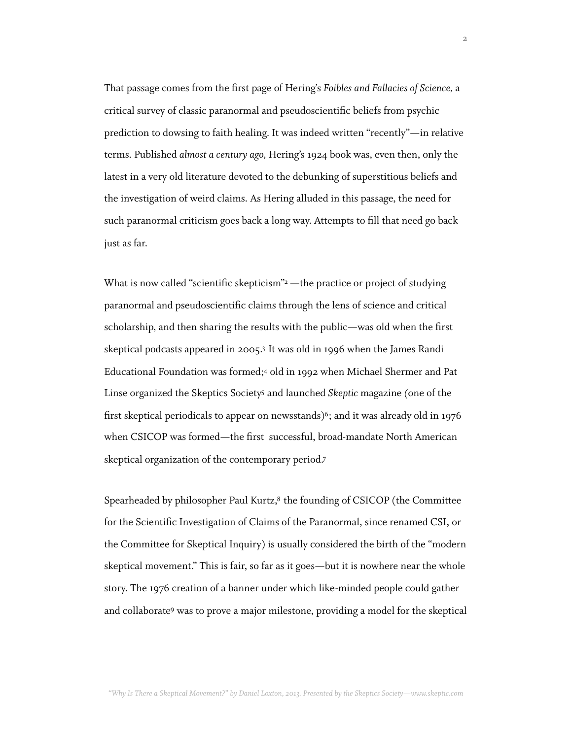That passage comes from the first page of Hering's *Foibles and Fallacies of Science,* a critical survey of classic paranormal and pseudoscientific beliefs from psychic prediction to dowsing to faith healing*.* It was indeed written "recently"—in relative terms. Published *almost a century ago,* Hering's 1924 book was, even then, only the latest in a very old literature devoted to the debunking of superstitious beliefs and the investigation of weird claims. As Hering alluded in this passage, the need for such paranormal criticism goes back a long way. Attempts to fill that need go back just as far.

What is now called "scientific skepticism"<sup>2</sup> —the practice or project of studying paranormal and pseudoscientific claims through the lens of science and critical scholarship, and then sharing the results with the public—was old when the first skeptical podcasts appeared in 2005[.3](#page-64-2) It was old in 1996 when the James Randi Educational Foundation was formed;[4](#page-64-3) old in 1992 when Michael Shermer and Pat Linse organized the Skeptics Societ[y5](#page-64-4) and launched *Skeptic* magazine *(*one of the first skeptical periodicals to appear on newsstands)<sup>6</sup>; and it was already old in 1976 when CSICOP was formed—the first successful, broad-mandate North American skeptical organization of the contemporary period[.7](#page-65-0)

Spearheaded by philosopher Paul Kurtz,<sup>8</sup> the founding of CSICOP (the Committee for the Scientific Investigation of Claims of the Paranormal, since renamed CSI, or the Committee for Skeptical Inquiry) is usually considered the birth of the "modern skeptical movement." This is fair, so far as it goes—but it is nowhere near the whole story. The 1976 creation of a banner under which like-minded people could gather and collaborate[9](#page-66-0) was to prove a major milestone, providing a model for the skeptical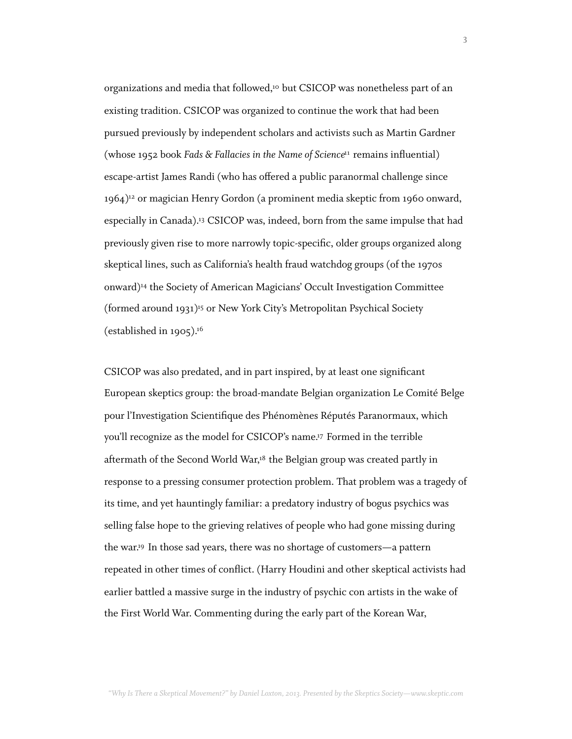organizations and media that followed[,10](#page-66-1) but CSICOP was nonetheless part of an existing tradition. CSICOP was organized to continue the work that had been pursued previously by independent scholars and activists such as Martin Gardner (whose 1952 book *Fads & Fallacies in the Name of Science*[11](#page-66-2) remains influential) escape-artist James Randi (who has offered a public paranormal challenge since 1964)[12](#page-66-3) or magician Henry Gordon (a prominent media skeptic from 1960 onward, especially in Canada)[.13](#page-66-4) CSICOP was, indeed, born from the same impulse that had previously given rise to more narrowly topic-specific, older groups organized along skeptical lines, such as California's health fraud watchdog groups (of the 1970s onward)<sup>14</sup> the Society of American Magicians' Occult Investigation Committee (formed around 1931[\)15](#page-67-0) or New York City's Metropolitan Psychical Society (established in 1905).<sup>16</sup>

CSICOP was also predated, and in part inspired, by at least one significant European skeptics group: the broad-mandate Belgian organization Le Comité Belge pour l'Investigation Scientifique des Phénomènes Réputés Paranormaux, which you'll recognize as the model for CSICOP's name[.17](#page-67-2) Formed in the terrible aftermath of the Second World War,<sup>18</sup> the Belgian group was created partly in response to a pressing consumer protection problem. That problem was a tragedy of its time, and yet hauntingly familiar: a predatory industry of bogus psychics was selling false hope to the grieving relatives of people who had gone missing during the war[.19](#page-67-4) In those sad years, there was no shortage of customers—a pattern repeated in other times of conflict. (Harry Houdini and other skeptical activists had earlier battled a massive surge in the industry of psychic con artists in the wake of the First World War. Commenting during the early part of the Korean War,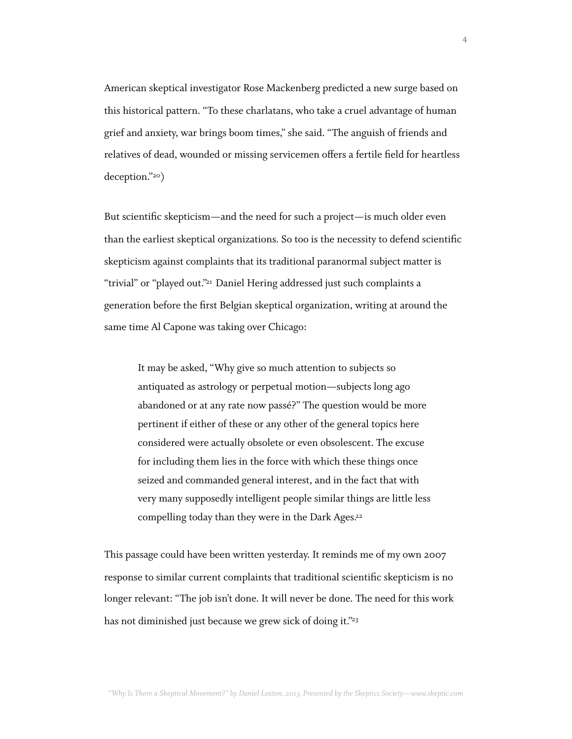American skeptical investigator Rose Mackenberg predicted a new surge based on this historical pattern. "To these charlatans, who take a cruel advantage of human grief and anxiety, war brings boom times," she said. "The anguish of friends and relatives of dead, wounded or missing servicemen offers a fertile field for heartless deception."[20\)](#page-67-5)

But scientific skepticism—and the need for such a project—is much older even than the earliest skeptical organizations. So too is the necessity to defend scientific skepticism against complaints that its traditional paranormal subject matter is "trivial" or "played out."<sup>21</sup> Daniel Hering addressed just such complaints a generation before the first Belgian skeptical organization, writing at around the same time Al Capone was taking over Chicago:

It may be asked, "Why give so much attention to subjects so antiquated as astrology or perpetual motion—subjects long ago abandoned or at any rate now passé?" The question would be more pertinent if either of these or any other of the general topics here considered were actually obsolete or even obsolescent. The excuse for including them lies in the force with which these things once seized and commanded general interest, and in the fact that with very many supposedly intelligent people similar things are little less compelling today than they were in the Dark Ages.<sup>22</sup>

This passage could have been written yesterday. It reminds me of my own 2007 response to similar current complaints that traditional scientific skepticism is no longer relevant: "The job isn't done. It will never be done. The need for this work has not diminished just because we grew sick of doing it."<sup>23</sup>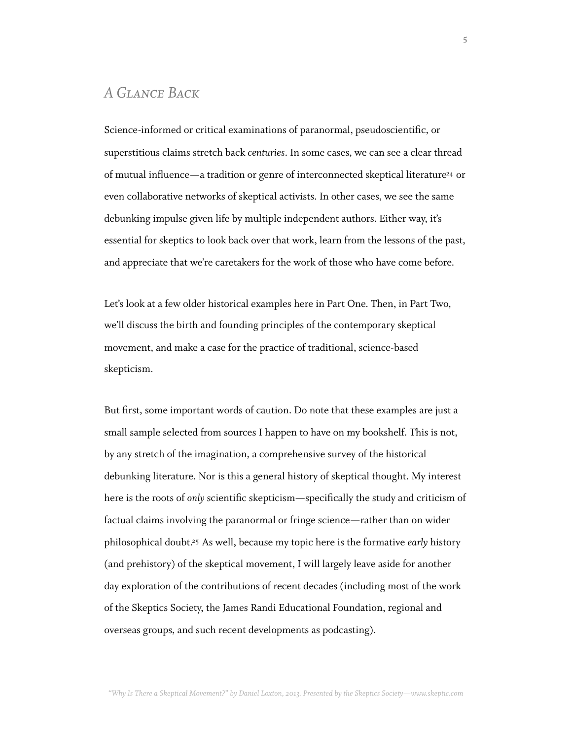### *A Glance Back*

Science-informed or critical examinations of paranormal, pseudoscientific, or superstitious claims stretch back *centuries*. In some cases, we can see a clear thread of mutual influence—a tradition or genre of interconnected skeptical literatur[e24](#page-68-1) or even collaborative networks of skeptical activists. In other cases, we see the same debunking impulse given life by multiple independent authors. Either way, it's essential for skeptics to look back over that work, learn from the lessons of the past, and appreciate that we're caretakers for the work of those who have come before.

Let's look at a few older historical examples here in Part One. Then, in Part Two, we'll discuss the birth and founding principles of the contemporary skeptical movement, and make a case for the practice of traditional, science-based skepticism.

But first, some important words of caution. Do note that these examples are just a small sample selected from sources I happen to have on my bookshelf. This is not, by any stretch of the imagination, a comprehensive survey of the historical debunking literature. Nor is this a general history of skeptical thought. My interest here is the roots of *only* scientific skepticism—specifically the study and criticism of factual claims involving the paranormal or fringe science—rather than on wider philosophical doubt[.25](#page-68-2) As well, because my topic here is the formative *early* history (and prehistory) of the skeptical movement, I will largely leave aside for another day exploration of the contributions of recent decades (including most of the work of the Skeptics Society, the James Randi Educational Foundation, regional and overseas groups, and such recent developments as podcasting).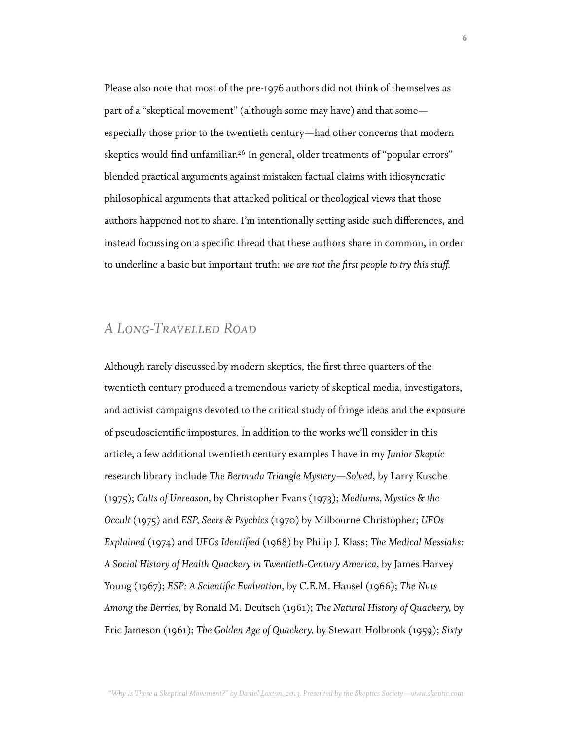Please also note that most of the pre-1976 authors did not think of themselves as part of a "skeptical movement" (although some may have) and that some especially those prior to the twentieth century—had other concerns that modern skeptics would find unfamiliar.<sup>26</sup> In general, older treatments of "popular errors" blended practical arguments against mistaken factual claims with idiosyncratic philosophical arguments that attacked political or theological views that those authors happened not to share. I'm intentionally setting aside such differences, and instead focussing on a specific thread that these authors share in common, in order to underline a basic but important truth: *we are not the first people to try this stu!.* 

#### *A Long-Travelled Road*

Although rarely discussed by modern skeptics, the first three quarters of the twentieth century produced a tremendous variety of skeptical media, investigators, and activist campaigns devoted to the critical study of fringe ideas and the exposure of pseudoscientific impostures. In addition to the works we'll consider in this article, a few additional twentieth century examples I have in my *Junior Skeptic* research library include *The Bermuda Triangle Mystery—Solved*, by Larry Kusche (1975); *Cults of Unreason,* by Christopher Evans (1973); *Mediums, Mystics & the Occult* (1975) and *ESP, Seers & Psychics* (1970) by Milbourne Christopher; *UFOs Explained* (1974) and *UFOs Identified* (1968) by Philip J. Klass; *The Medical Messiahs: A Social History of Health Quackery in Twentieth-Century America,* by James Harvey Young (1967); *ESP: A Scientific Evaluation*, by C.E.M. Hansel (1966); *The Nuts Among the Berries,* by Ronald M. Deutsch (1961); *The Natural History of Quackery,* by Eric Jameson (1961); *The Golden Age of Quackery,* by Stewart Holbrook (1959); *Sixty*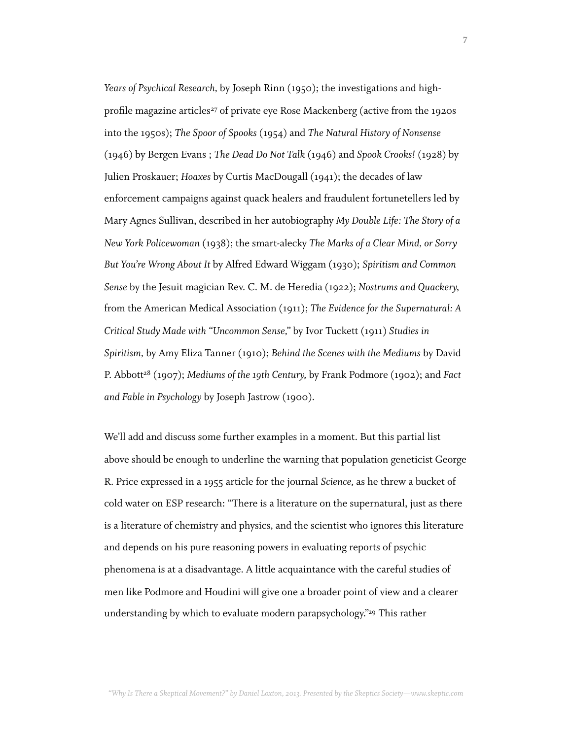*Years of Psychical Research,* by Joseph Rinn (1950); the investigations and highprofile magazine articles<sup>27</sup> of private eye Rose Mackenberg (active from the 1920s into the 1950s); *The Spoor of Spooks* (1954) and *The Natural History of Nonsense* (1946) by Bergen Evans ; *The Dead Do Not Talk* (1946) and *Spook Crooks!* (1928) by Julien Proskauer; *Hoaxes* by Curtis MacDougall (1941); the decades of law enforcement campaigns against quack healers and fraudulent fortunetellers led by Mary Agnes Sullivan, described in her autobiography *My Double Life: The Story of a New York Policewoman* (1938); the smart-alecky *The Marks of a Clear Mind, or Sorry But You're Wrong About It* by Alfred Edward Wiggam (1930); *Spiritism and Common Sense* by the Jesuit magician Rev. C. M. de Heredia (1922); *Nostrums and Quackery,* from the American Medical Association (1911); *The Evidence for the Supernatural: A Critical Study Made with "Uncommon Sense,"* by Ivor Tuckett (1911) *Studies in Spiritism,* by Amy Eliza Tanner (1910); *Behind the Scenes with the Mediums* by David P. Abbott[28](#page-68-5) (1907); *Mediums of the 19th Century,* by Frank Podmore (1902); and *Fact and Fable in Psychology* by Joseph Jastrow (1900).

We'll add and discuss some further examples in a moment. But this partial list above should be enough to underline the warning that population geneticist George R. Price expressed in a 1955 article for the journal *Science,* as he threw a bucket of cold water on ESP research: "There is a literature on the supernatural, just as there is a literature of chemistry and physics, and the scientist who ignores this literature and depends on his pure reasoning powers in evaluating reports of psychic phenomena is at a disadvantage. A little acquaintance with the careful studies of men like Podmore and Houdini will give one a broader point of view and a clearer understanding by which to evaluate modern parapsychology.["29](#page-68-6) This rather

*"Why Is There a Skeptical Movement?" by Daniel Loxton, 2013. Presented by the Skeptics Society—www.skeptic.com*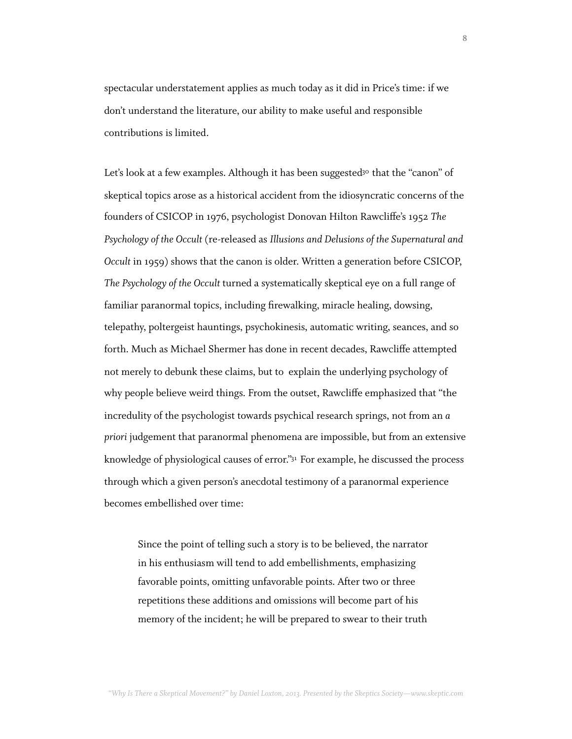spectacular understatement applies as much today as it did in Price's time: if we don't understand the literature, our ability to make useful and responsible contributions is limited.

Let's look at a few examples. Although it has been suggested<sup>30</sup> that the "canon" of skeptical topics arose as a historical accident from the idiosyncratic concerns of the founders of CSICOP in 1976, psychologist Donovan Hilton Rawcliffe's 1952 The *Psychology of the Occult* (re-released as *Illusions and Delusions of the Supernatural and Occult* in 1959) shows that the canon is older. Written a generation before CSICOP, *The Psychology of the Occult* turned a systematically skeptical eye on a full range of familiar paranormal topics, including firewalking, miracle healing, dowsing, telepathy, poltergeist hauntings, psychokinesis, automatic writing, seances, and so forth. Much as Michael Shermer has done in recent decades, Rawcliffe attempted not merely to debunk these claims, but to explain the underlying psychology of why people believe weird things. From the outset, Rawcliffe emphasized that "the incredulity of the psychologist towards psychical research springs, not from an *a priori* judgement that paranormal phenomena are impossible, but from an extensive knowledge of physiological causes of error."<sup>31</sup> For example, he discussed the process through which a given person's anecdotal testimony of a paranormal experience becomes embellished over time:

Since the point of telling such a story is to be believed, the narrator in his enthusiasm will tend to add embellishments, emphasizing favorable points, omitting unfavorable points. After two or three repetitions these additions and omissions will become part of his memory of the incident; he will be prepared to swear to their truth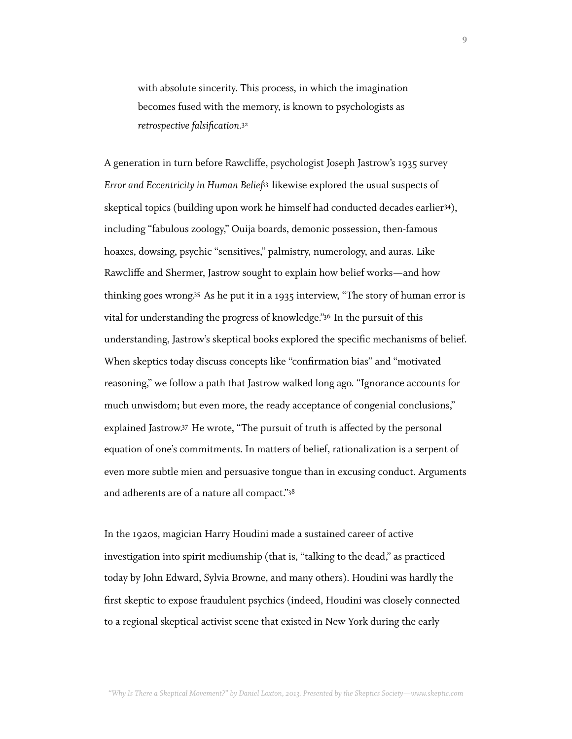with absolute sincerity. This process, in which the imagination becomes fused with the memory, is known to psychologists as *retrospective falsification.*[32](#page-69-2)

A generation in turn before Rawcliffe, psychologist Joseph Jastrow's 1935 survey *Error and Eccentricity in Human Belief*[33](#page-69-3) likewise explored the usual suspects of skeptical topics (building upon work he himself had conducted decades earlier<sup>34</sup>), including "fabulous zoology," Ouija boards, demonic possession, then-famous hoaxes, dowsing, psychic "sensitives," palmistry, numerology, and auras. Like Rawcliffe and Shermer, Jastrow sought to explain how belief works—and how thinking goes wrong[.35](#page-69-5) As he put it in a 1935 interview, "The story of human error is vital for understanding the progress of knowledge.["36](#page-69-6) In the pursuit of this understanding, Jastrow's skeptical books explored the specific mechanisms of belief. When skeptics today discuss concepts like "confirmation bias" and "motivated reasoning," we follow a path that Jastrow walked long ago. "Ignorance accounts for much unwisdom; but even more, the ready acceptance of congenial conclusions," explained Jastrow.<sup>37</sup> He wrote, "The pursuit of truth is affected by the personal equation of one's commitments. In matters of belief, rationalization is a serpent of even more subtle mien and persuasive tongue than in excusing conduct. Arguments and adherents are of a nature all compact.["38](#page-69-8)

In the 1920s, magician Harry Houdini made a sustained career of active investigation into spirit mediumship (that is, "talking to the dead," as practiced today by John Edward, Sylvia Browne, and many others). Houdini was hardly the first skeptic to expose fraudulent psychics (indeed, Houdini was closely connected to a regional skeptical activist scene that existed in New York during the early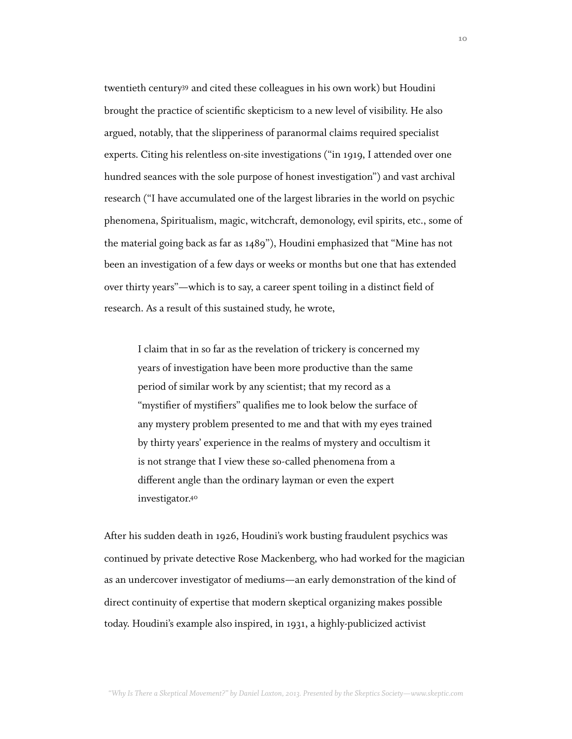twentieth century[39](#page-69-9) and cited these colleagues in his own work) but Houdini brought the practice of scientific skepticism to a new level of visibility. He also argued, notably, that the slipperiness of paranormal claims required specialist experts. Citing his relentless on-site investigations ("in 1919, I attended over one hundred seances with the sole purpose of honest investigation") and vast archival research ("I have accumulated one of the largest libraries in the world on psychic phenomena, Spiritualism, magic, witchcraft, demonology, evil spirits, etc., some of the material going back as far as 1489"), Houdini emphasized that "Mine has not been an investigation of a few days or weeks or months but one that has extended over thirty years"—which is to say, a career spent toiling in a distinct field of research. As a result of this sustained study, he wrote,

I claim that in so far as the revelation of trickery is concerned my years of investigation have been more productive than the same period of similar work by any scientist; that my record as a "mystifier of mystifiers" qualifies me to look below the surface of any mystery problem presented to me and that with my eyes trained by thirty years' experience in the realms of mystery and occultism it is not strange that I view these so-called phenomena from a different angle than the ordinary layman or even the expert investigator[.40](#page-69-10)

After his sudden death in 1926, Houdini's work busting fraudulent psychics was continued by private detective Rose Mackenberg, who had worked for the magician as an undercover investigator of mediums—an early demonstration of the kind of direct continuity of expertise that modern skeptical organizing makes possible today. Houdini's example also inspired, in 1931, a highly-publicized activist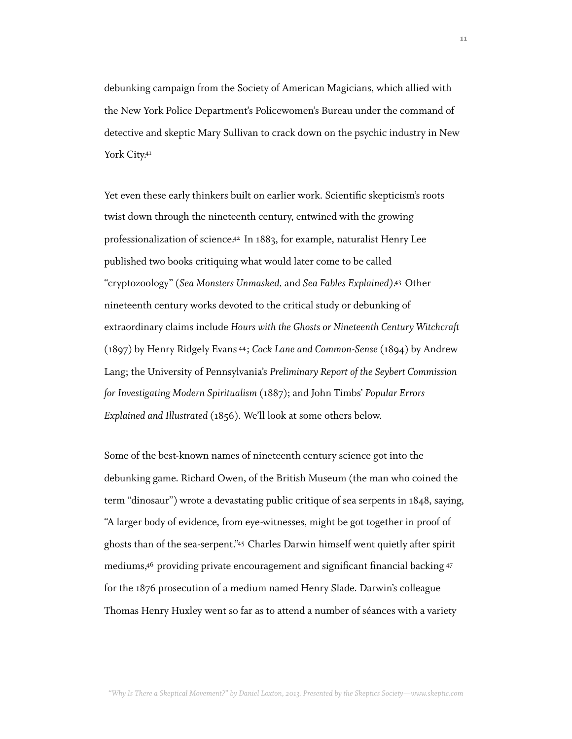debunking campaign from the Society of American Magicians, which allied with the New York Police Department's Policewomen's Bureau under the command of detective and skeptic Mary Sullivan to crack down on the psychic industry in New York City.<sup>41</sup>

Yet even these early thinkers built on earlier work. Scientific skepticism's roots twist down through the nineteenth century, entwined with the growing professionalization of science[.42](#page-69-12) In 1883, for example, naturalist Henry Lee published two books critiquing what would later come to be called "cryptozoology" (*Sea Monsters Unmasked,* and *Sea Fables Explained)*. [43](#page-69-13) Other nineteenth century works devoted to the critical study or debunking of extraordinary claims include *Hours with the Ghosts or Nineteenth Century Witchcraft* (1897) by Henry Ridgely Evans [44](#page-69-14); *Cock Lane and Common-Sense* (1894) by Andrew Lang; the University of Pennsylvania's *Preliminary Report of the Seybert Commission for Investigating Modern Spiritualism* (1887); and John Timbs' *Popular Errors Explained and Illustrated* (1856). We'll look at some others below.

Some of the best-known names of nineteenth century science got into the debunking game. Richard Owen, of the British Museum (the man who coined the term "dinosaur") wrote a devastating public critique of sea serpents in 1848, saying, "A larger body of evidence, from eye-witnesses, might be got together in proof of ghosts than of the sea-serpent.["45](#page-70-0) Charles Darwin himself went quietly after spirit mediums[,46](#page-70-1) providing private encouragement and significant financial backing [47](#page-70-2) for the 1876 prosecution of a medium named Henry Slade. Darwin's colleague Thomas Henry Huxley went so far as to attend a number of séances with a variety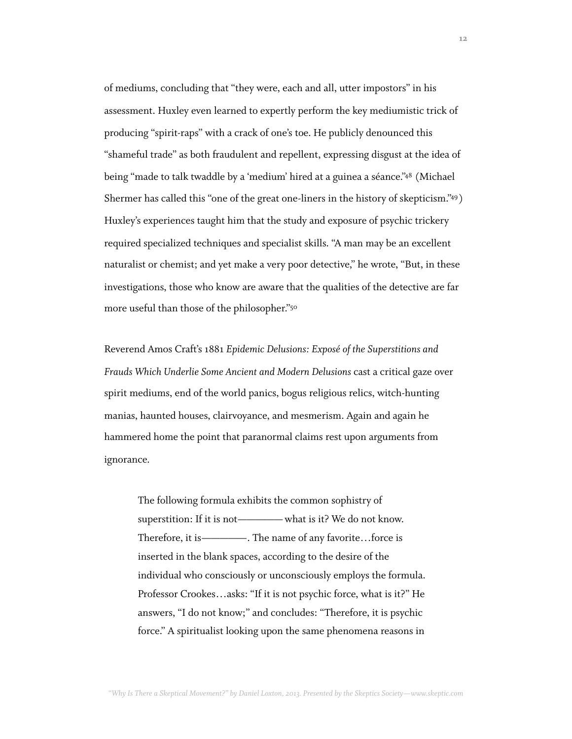of mediums, concluding that "they were, each and all, utter impostors" in his assessment. Huxley even learned to expertly perform the key mediumistic trick of producing "spirit-raps" with a crack of one's toe. He publicly denounced this "shameful trade" as both fraudulent and repellent, expressing disgust at the idea of being "made to talk twaddle by a 'medium' hired at a guinea a séance.["48](#page-70-3) (Michael Shermer has called this "one of the great one-liners in the history of skepticism.["49](#page-70-4)) Huxley's experiences taught him that the study and exposure of psychic trickery required specialized techniques and specialist skills. "A man may be an excellent naturalist or chemist; and yet make a very poor detective," he wrote, "But, in these investigations, those who know are aware that the qualities of the detective are far more useful than those of the philosopher."[50](#page-70-5)

Reverend Amos Craft's 1881 *Epidemic Delusions: Exposé of the Superstitions and Frauds Which Underlie Some Ancient and Modern Delusions* cast a critical gaze over spirit mediums, end of the world panics, bogus religious relics, witch-hunting manias, haunted houses, clairvoyance, and mesmerism. Again and again he hammered home the point that paranormal claims rest upon arguments from ignorance.

The following formula exhibits the common sophistry of superstition: If it is not————— what is it? We do not know. Therefore, it is———————. The name of any favorite...force is inserted in the blank spaces, according to the desire of the individual who consciously or unconsciously employs the formula. Professor Crookes…asks: "If it is not psychic force, what is it?" He answers, "I do not know;" and concludes: "Therefore, it is psychic force." A spiritualist looking upon the same phenomena reasons in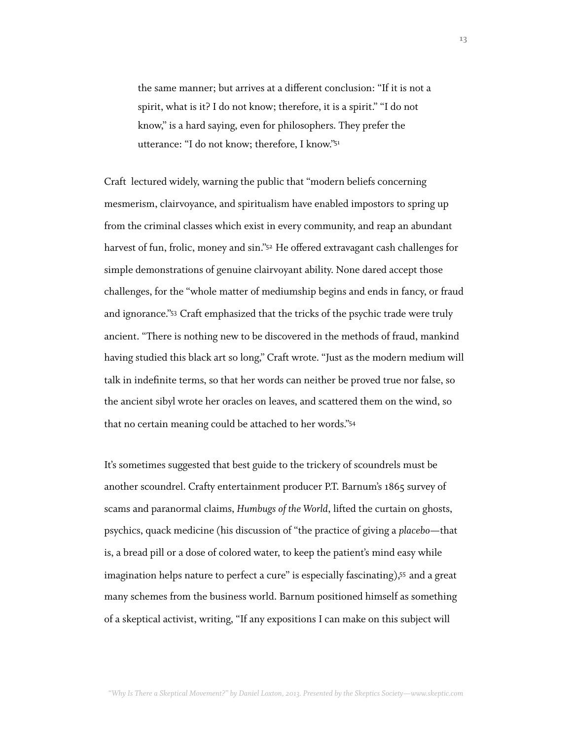the same manner; but arrives at a different conclusion: "If it is not a spirit, what is it? I do not know; therefore, it is a spirit." "I do not know," is a hard saying, even for philosophers. They prefer the utterance: "I do not know; therefore, I know.["51](#page-70-6)

Craft lectured widely, warning the public that "modern beliefs concerning mesmerism, clairvoyance, and spiritualism have enabled impostors to spring up from the criminal classes which exist in every community, and reap an abundant harvest of fun, frolic, money and sin."<sup>52</sup> He offered extravagant cash challenges for simple demonstrations of genuine clairvoyant ability. None dared accept those challenges, for the "whole matter of mediumship begins and ends in fancy, or fraud and ignorance.["53](#page-70-8) Craft emphasized that the tricks of the psychic trade were truly ancient. "There is nothing new to be discovered in the methods of fraud, mankind having studied this black art so long," Craft wrote. "Just as the modern medium will talk in indefinite terms, so that her words can neither be proved true nor false, so the ancient sibyl wrote her oracles on leaves, and scattered them on the wind, so that no certain meaning could be attached to her words.["54](#page-70-9)

It's sometimes suggested that best guide to the trickery of scoundrels must be another scoundrel. Crafty entertainment producer P.T. Barnum's 1865 survey of scams and paranormal claims, *Humbugs of the World*, lifted the curtain on ghosts, psychics, quack medicine (his discussion of "the practice of giving a *placebo*—that is, a bread pill or a dose of colored water, to keep the patient's mind easy while imagination helps nature to perfect a cure" is especially fascinating)[,55](#page-70-10) and a great many schemes from the business world. Barnum positioned himself as something of a skeptical activist, writing, "If any expositions I can make on this subject will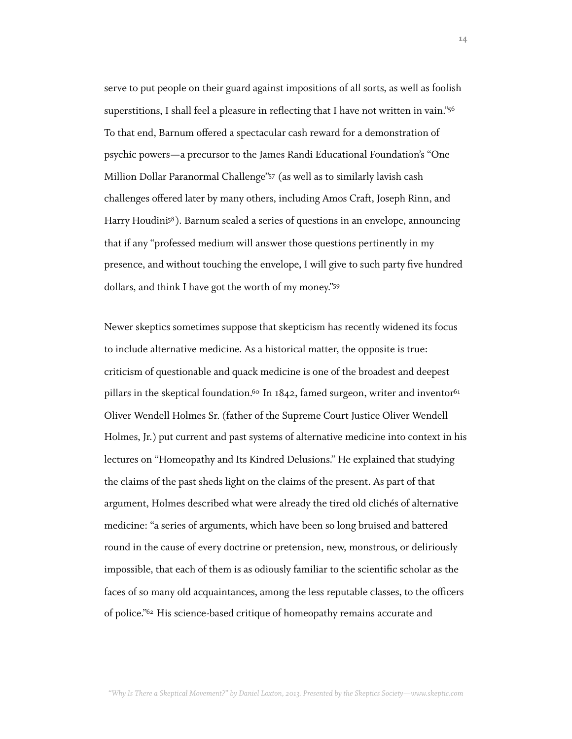serve to put people on their guard against impositions of all sorts, as well as foolish superstitions, I shall feel a pleasure in reflecting that I have not written in vain.["56](#page-70-11) To that end, Barnum offered a spectacular cash reward for a demonstration of psychic powers—a precursor to the James Randi Educational Foundation's "One Million Dollar Paranormal Challenge["57](#page-70-12) (as well as to similarly lavish cash challenges offered later by many others, including Amos Craft, Joseph Rinn, and Harry Houdin[i58\)](#page-70-13). Barnum sealed a series of questions in an envelope, announcing that if any "professed medium will answer those questions pertinently in my presence, and without touching the envelope, I will give to such party five hundred dollars, and think I have got the worth of my money.["59](#page-70-14)

Newer skeptics sometimes suppose that skepticism has recently widened its focus to include alternative medicine. As a historical matter, the opposite is true: criticism of questionable and quack medicine is one of the broadest and deepest pillars in the skeptical foundation.<sup>60</sup> In 1842, famed surgeon, writer and inventor<sup>61</sup> Oliver Wendell Holmes Sr. (father of the Supreme Court Justice Oliver Wendell Holmes, Jr.) put current and past systems of alternative medicine into context in his lectures on "Homeopathy and Its Kindred Delusions." He explained that studying the claims of the past sheds light on the claims of the present. As part of that argument, Holmes described what were already the tired old clichés of alternative medicine: "a series of arguments, which have been so long bruised and battered round in the cause of every doctrine or pretension, new, monstrous, or deliriously impossible, that each of them is as odiously familiar to the scientific scholar as the faces of so many old acquaintances, among the less reputable classes, to the officers of police.["62](#page-71-2) His science-based critique of homeopathy remains accurate and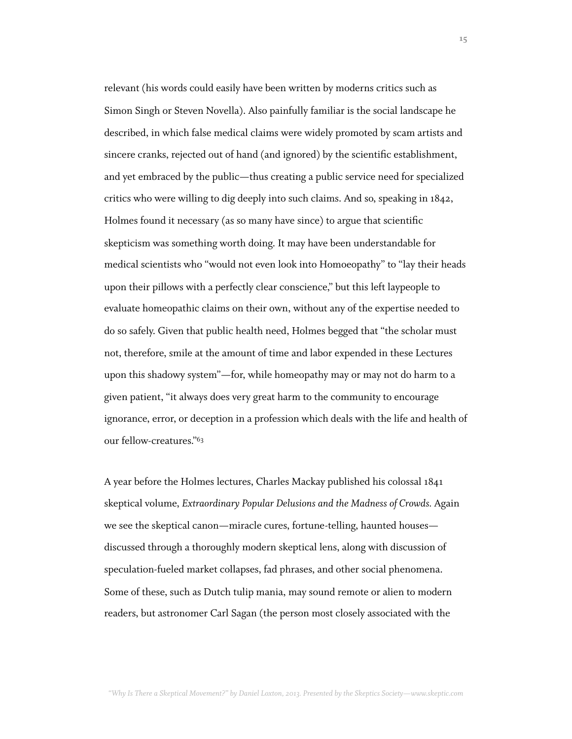relevant (his words could easily have been written by moderns critics such as Simon Singh or Steven Novella). Also painfully familiar is the social landscape he described, in which false medical claims were widely promoted by scam artists and sincere cranks, rejected out of hand (and ignored) by the scientific establishment, and yet embraced by the public—thus creating a public service need for specialized critics who were willing to dig deeply into such claims. And so, speaking in 1842, Holmes found it necessary (as so many have since) to argue that scientific skepticism was something worth doing. It may have been understandable for medical scientists who "would not even look into Homoeopathy" to "lay their heads upon their pillows with a perfectly clear conscience," but this left laypeople to evaluate homeopathic claims on their own, without any of the expertise needed to do so safely. Given that public health need, Holmes begged that "the scholar must not, therefore, smile at the amount of time and labor expended in these Lectures upon this shadowy system"—for, while homeopathy may or may not do harm to a given patient, "it always does very great harm to the community to encourage ignorance, error, or deception in a profession which deals with the life and health of our fellow-creatures."[63](#page-71-3)

A year before the Holmes lectures, Charles Mackay published his colossal 1841 skeptical volume, *Extraordinary Popular Delusions and the Madness of Crowds.* Again we see the skeptical canon—miracle cures, fortune-telling, haunted houses discussed through a thoroughly modern skeptical lens, along with discussion of speculation-fueled market collapses, fad phrases, and other social phenomena. Some of these, such as Dutch tulip mania, may sound remote or alien to modern readers, but astronomer Carl Sagan (the person most closely associated with the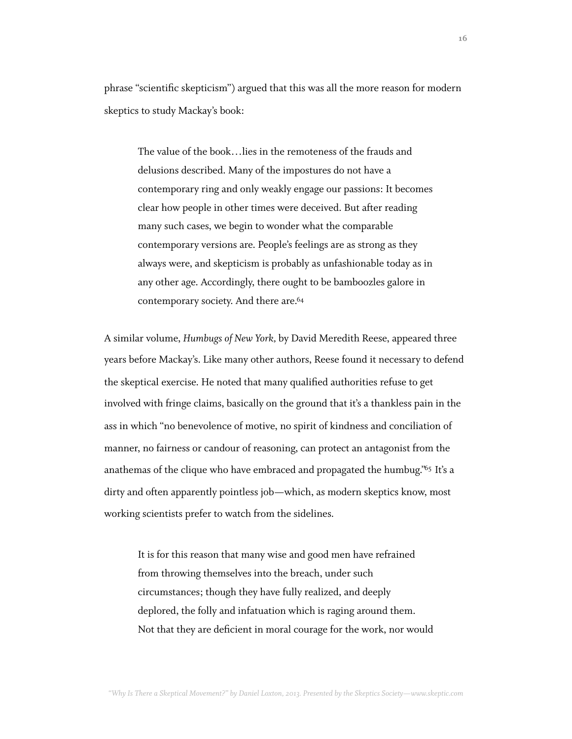phrase "scientific skepticism") argued that this was all the more reason for modern skeptics to study Mackay's book:

The value of the book…lies in the remoteness of the frauds and delusions described. Many of the impostures do not have a contemporary ring and only weakly engage our passions: It becomes clear how people in other times were deceived. But after reading many such cases, we begin to wonder what the comparable contemporary versions are. People's feelings are as strong as they always were, and skepticism is probably as unfashionable today as in any other age. Accordingly, there ought to be bamboozles galore in contemporary society. And there are[.64](#page-71-4)

A similar volume, *Humbugs of New York,* by David Meredith Reese, appeared three years before Mackay's. Like many other authors, Reese found it necessary to defend the skeptical exercise. He noted that many qualified authorities refuse to get involved with fringe claims, basically on the ground that it's a thankless pain in the ass in which "no benevolence of motive, no spirit of kindness and conciliation of manner, no fairness or candour of reasoning, can protect an antagonist from the anathemas of the clique who have embraced and propagated the humbug.["65](#page-71-5) It's a dirty and often apparently pointless job—which, as modern skeptics know, most working scientists prefer to watch from the sidelines.

It is for this reason that many wise and good men have refrained from throwing themselves into the breach, under such circumstances; though they have fully realized, and deeply deplored, the folly and infatuation which is raging around them. Not that they are deficient in moral courage for the work, nor would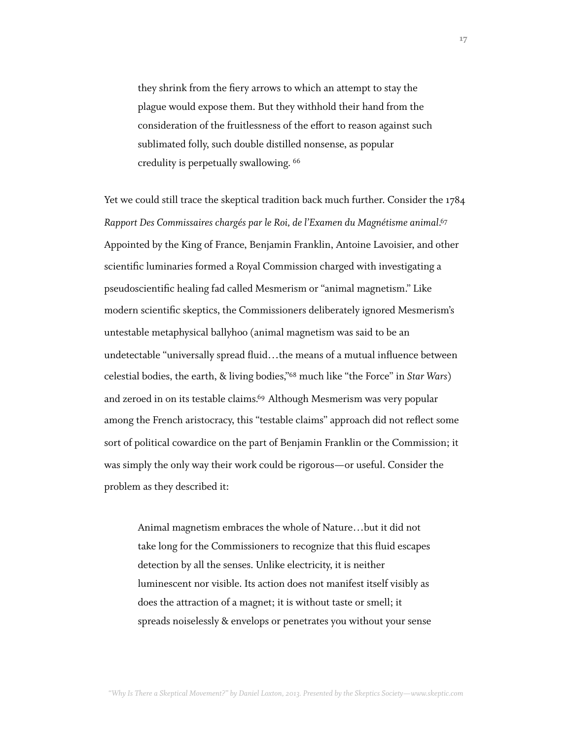they shrink from the fiery arrows to which an attempt to stay the plague would expose them. But they withhold their hand from the consideration of the fruitlessness of the effort to reason against such sublimated folly, such double distilled nonsense, as popular credulity is perpetually swallowing. [66](#page-71-6)

Yet we could still trace the skeptical tradition back much further. Consider the 1784 *Rapport Des Commissaires chargés par le Roi, de l'Examen du Magnétisme animal*. [67](#page-71-7) Appointed by the King of France, Benjamin Franklin, Antoine Lavoisier, and other scientific luminaries formed a Royal Commission charged with investigating a pseudoscientific healing fad called Mesmerism or "animal magnetism." Like modern scientific skeptics, the Commissioners deliberately ignored Mesmerism's untestable metaphysical ballyhoo (animal magnetism was said to be an undetectable "universally spread fluid…the means of a mutual influence between celestial bodies, the earth, & living bodies,"[68](#page-71-8) much like "the Force" in *Star Wars*) and zeroed in on its testable claims[.69](#page-71-9) Although Mesmerism was very popular among the French aristocracy, this "testable claims" approach did not reflect some sort of political cowardice on the part of Benjamin Franklin or the Commission; it was simply the only way their work could be rigorous—or useful. Consider the problem as they described it:

Animal magnetism embraces the whole of Nature…but it did not take long for the Commissioners to recognize that this fluid escapes detection by all the senses. Unlike electricity, it is neither luminescent nor visible. Its action does not manifest itself visibly as does the attraction of a magnet; it is without taste or smell; it spreads noiselessly & envelops or penetrates you without your sense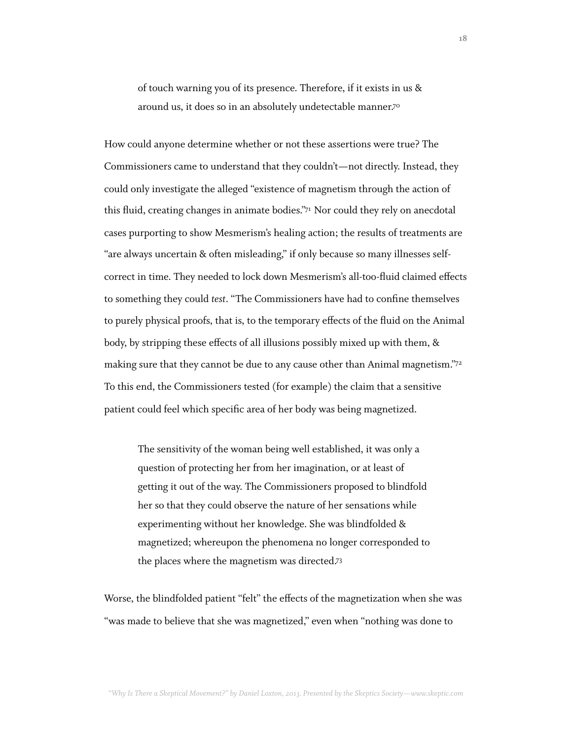of touch warning you of its presence. Therefore, if it exists in us & around us, it does so in an absolutely undetectable manner[.70](#page-71-10)

How could anyone determine whether or not these assertions were true? The Commissioners came to understand that they couldn't—not directly. Instead, they could only investigate the alleged "existence of magnetism through the action of this fluid, creating changes in animate bodies.["71](#page-71-11) Nor could they rely on anecdotal cases purporting to show Mesmerism's healing action; the results of treatments are "are always uncertain & often misleading," if only because so many illnesses selfcorrect in time. They needed to lock down Mesmerism's all-too-fluid claimed effects to something they could *test*. "The Commissioners have had to confine themselves to purely physical proofs, that is, to the temporary effects of the fluid on the Animal body, by stripping these effects of all illusions possibly mixed up with them, & making sure that they cannot be due to any cause other than Animal magnetism."<sup>[72](#page-71-12)</sup> To this end, the Commissioners tested (for example) the claim that a sensitive patient could feel which specific area of her body was being magnetized.

The sensitivity of the woman being well established, it was only a question of protecting her from her imagination, or at least of getting it out of the way. The Commissioners proposed to blindfold her so that they could observe the nature of her sensations while experimenting without her knowledge. She was blindfolded & magnetized; whereupon the phenomena no longer corresponded to the places where the magnetism was directed[.73](#page-72-0)

Worse, the blindfolded patient "felt" the effects of the magnetization when she was "was made to believe that she was magnetized," even when "nothing was done to

*"Why Is There a Skeptical Movement?" by Daniel Loxton, 2013. Presented by the Skeptics Society—www.skeptic.com*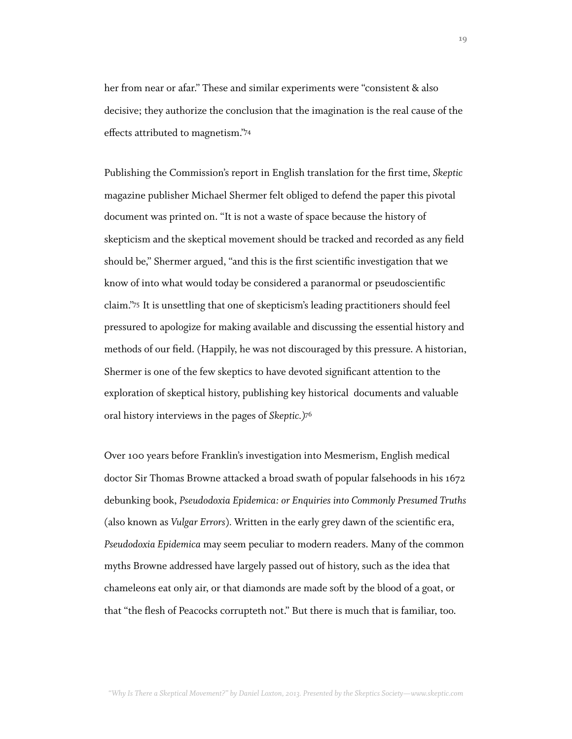her from near or afar." These and similar experiments were "consistent & also decisive; they authorize the conclusion that the imagination is the real cause of the effects attributed to magnetism.["74](#page-72-1)

Publishing the Commission's report in English translation for the first time, *Skeptic* magazine publisher Michael Shermer felt obliged to defend the paper this pivotal document was printed on. "It is not a waste of space because the history of skepticism and the skeptical movement should be tracked and recorded as any field should be," Shermer argued, "and this is the first scientific investigation that we know of into what would today be considered a paranormal or pseudoscientific claim.["75](#page-72-2) It is unsettling that one of skepticism's leading practitioners should feel pressured to apologize for making available and discussing the essential history and methods of our field. (Happily, he was not discouraged by this pressure. A historian, Shermer is one of the few skeptics to have devoted significant attention to the exploration of skeptical history, publishing key historical documents and valuable oral history interviews in the pages of *Skeptic.)*[76](#page-72-3)

Over 100 years before Franklin's investigation into Mesmerism, English medical doctor Sir Thomas Browne attacked a broad swath of popular falsehoods in his 1672 debunking book, *Pseudodoxia Epidemica: or Enquiries into Commonly Presumed Truths*  (also known as *Vulgar Errors*)*.* Written in the early grey dawn of the scientific era, *Pseudodoxia Epidemica* may seem peculiar to modern readers. Many of the common myths Browne addressed have largely passed out of history, such as the idea that chameleons eat only air, or that diamonds are made soft by the blood of a goat, or that "the flesh of Peacocks corrupteth not." But there is much that is familiar, too.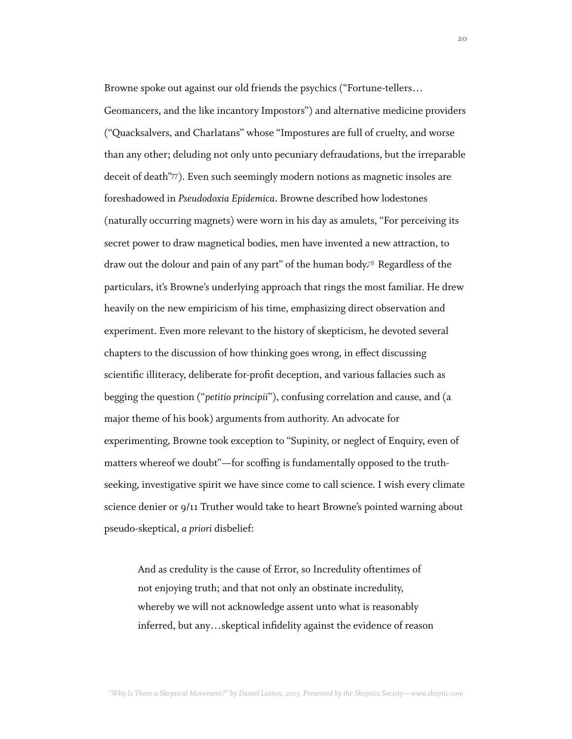Browne spoke out against our old friends the psychics ("Fortune-tellers…

Geomancers, and the like incantory Impostors") and alternative medicine providers ("Quacksalvers, and Charlatans" whose "Impostures are full of cruelty, and worse than any other; deluding not only unto pecuniary defraudations, but the irreparable deceit of death["77\)](#page-72-4). Even such seemingly modern notions as magnetic insoles are foreshadowed in *Pseudodoxia Epidemica*. Browne described how lodestones (naturally occurring magnets) were worn in his day as amulets, "For perceiving its secret power to draw magnetical bodies, men have invented a new attraction, to draw out the dolour and pain of any part" of the human body.<sup>78</sup> Regardless of the particulars, it's Browne's underlying approach that rings the most familiar. He drew heavily on the new empiricism of his time, emphasizing direct observation and experiment. Even more relevant to the history of skepticism, he devoted several chapters to the discussion of how thinking goes wrong, in effect discussing scientific illiteracy, deliberate for-profit deception, and various fallacies such as begging the question ("*petitio principii*"), confusing correlation and cause, and (a major theme of his book) arguments from authority. An advocate for experimenting, Browne took exception to "Supinity, or neglect of Enquiry, even of matters whereof we doubt"—for scoffing is fundamentally opposed to the truthseeking, investigative spirit we have since come to call science. I wish every climate science denier or 9/11 Truther would take to heart Browne's pointed warning about pseudo-skeptical, *a priori* disbelief:

And as credulity is the cause of Error, so Incredulity oftentimes of not enjoying truth; and that not only an obstinate incredulity, whereby we will not acknowledge assent unto what is reasonably inferred, but any…skeptical infidelity against the evidence of reason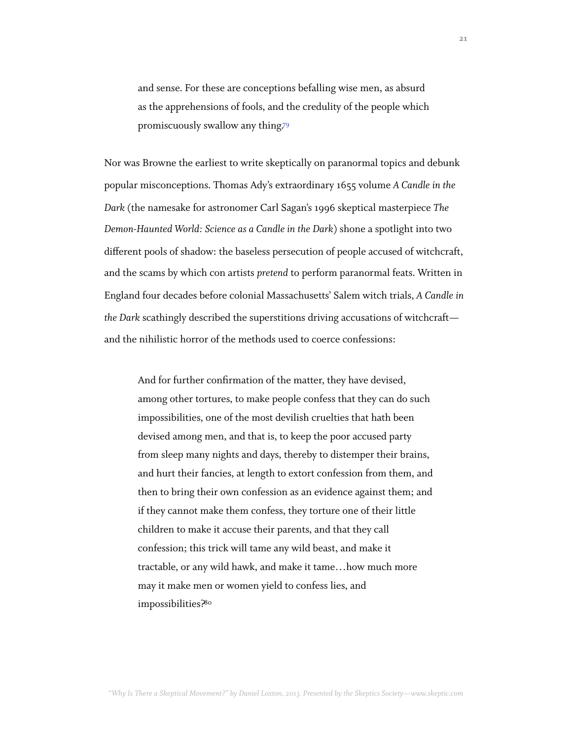and sense. For these are conceptions befalling wise men, as absurd as the apprehensions of fools, and the credulity of the people which promiscuously swallow any thing[.79](#page-72-6)

Nor was Browne the earliest to write skeptically on paranormal topics and debunk popular misconceptions. Thomas Ady's extraordinary 1655 volume *A Candle in the Dark* (the namesake for astronomer Carl Sagan's 1996 skeptical masterpiece *The Demon-Haunted World: Science as a Candle in the Dark*) shone a spotlight into two different pools of shadow: the baseless persecution of people accused of witchcraft, and the scams by which con artists *pretend* to perform paranormal feats. Written in England four decades before colonial Massachusetts' Salem witch trials, *A Candle in the Dark* scathingly described the superstitions driving accusations of witchcraft and the nihilistic horror of the methods used to coerce confessions:

And for further confirmation of the matter, they have devised, among other tortures, to make people confess that they can do such impossibilities, one of the most devilish cruelties that hath been devised among men, and that is, to keep the poor accused party from sleep many nights and days, thereby to distemper their brains, and hurt their fancies, at length to extort confession from them, and then to bring their own confession as an evidence against them; and if they cannot make them confess, they torture one of their little children to make it accuse their parents, and that they call confession; this trick will tame any wild beast, and make it tractable, or any wild hawk, and make it tame…how much more may it make men or women yield to confess lies, and impossibilities[?80](#page-72-7)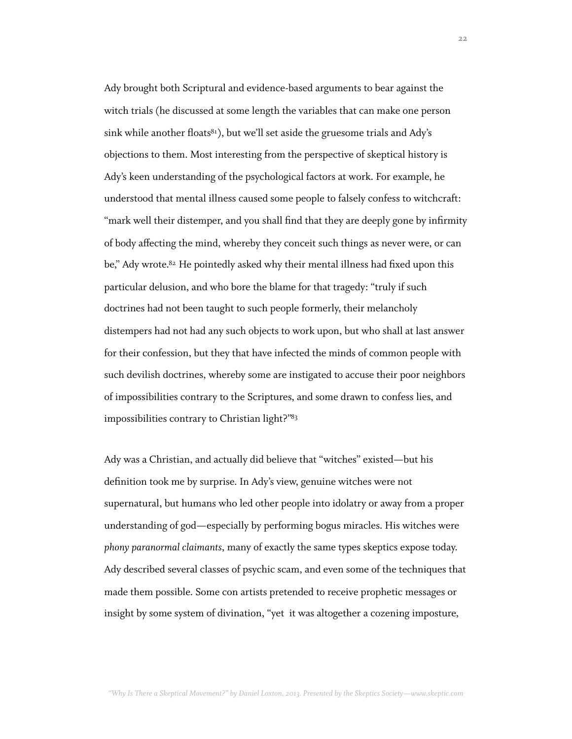Ady brought both Scriptural and evidence-based arguments to bear against the witch trials (he discussed at some length the variables that can make one person sink while another floats $81$ , but we'll set aside the gruesome trials and Ady's objections to them. Most interesting from the perspective of skeptical history is Ady's keen understanding of the psychological factors at work. For example, he understood that mental illness caused some people to falsely confess to witchcraft: "mark well their distemper, and you shall find that they are deeply gone by infirmity of body affecting the mind, whereby they conceit such things as never were, or can be," Ady wrote.<sup>82</sup> He pointedly asked why their mental illness had fixed upon this particular delusion, and who bore the blame for that tragedy: "truly if such doctrines had not been taught to such people formerly, their melancholy distempers had not had any such objects to work upon, but who shall at last answer for their confession, but they that have infected the minds of common people with such devilish doctrines, whereby some are instigated to accuse their poor neighbors of impossibilities contrary to the Scriptures, and some drawn to confess lies, and impossibilities contrary to Christian light?["83](#page-72-10)

Ady was a Christian, and actually did believe that "witches" existed—but his definition took me by surprise. In Ady's view, genuine witches were not supernatural, but humans who led other people into idolatry or away from a proper understanding of god—especially by performing bogus miracles. His witches were *phony paranormal claimants*, many of exactly the same types skeptics expose today. Ady described several classes of psychic scam, and even some of the techniques that made them possible. Some con artists pretended to receive prophetic messages or insight by some system of divination, "yet it was altogether a cozening imposture,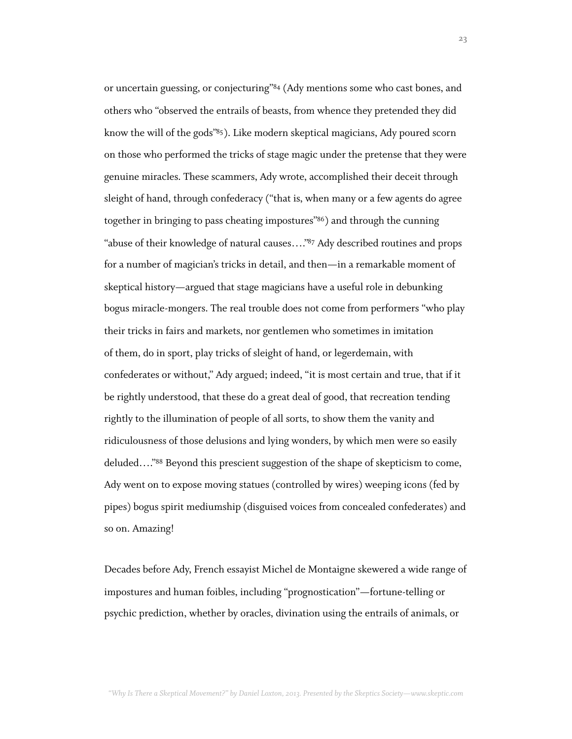or uncertain guessing, or conjecturing"[84](#page-72-11) (Ady mentions some who cast bones, and others who "observed the entrails of beasts, from whence they pretended they did know the will of the gods["85\)](#page-72-12). Like modern skeptical magicians, Ady poured scorn on those who performed the tricks of stage magic under the pretense that they were genuine miracles. These scammers, Ady wrote, accomplished their deceit through sleight of hand, through confederacy ("that is, when many or a few agents do agree together in bringing to pass cheating impostures"[86\)](#page-72-13) and through the cunning "abuse of their knowledge of natural causes….["87](#page-72-14) Ady described routines and props for a number of magician's tricks in detail, and then—in a remarkable moment of skeptical history—argued that stage magicians have a useful role in debunking bogus miracle-mongers. The real trouble does not come from performers "who play their tricks in fairs and markets, nor gentlemen who sometimes in imitation of them, do in sport, play tricks of sleight of hand, or legerdemain, with confederates or without," Ady argued; indeed, "it is most certain and true, that if it be rightly understood, that these do a great deal of good, that recreation tending rightly to the illumination of people of all sorts, to show them the vanity and ridiculousness of those delusions and lying wonders, by which men were so easily deluded…."[88](#page-72-15) Beyond this prescient suggestion of the shape of skepticism to come, Ady went on to expose moving statues (controlled by wires) weeping icons (fed by pipes) bogus spirit mediumship (disguised voices from concealed confederates) and so on. Amazing!

Decades before Ady, French essayist Michel de Montaigne skewered a wide range of impostures and human foibles, including "prognostication"—fortune-telling or psychic prediction, whether by oracles, divination using the entrails of animals, or

*"Why Is There a Skeptical Movement?" by Daniel Loxton, 2013. Presented by the Skeptics Society—www.skeptic.com*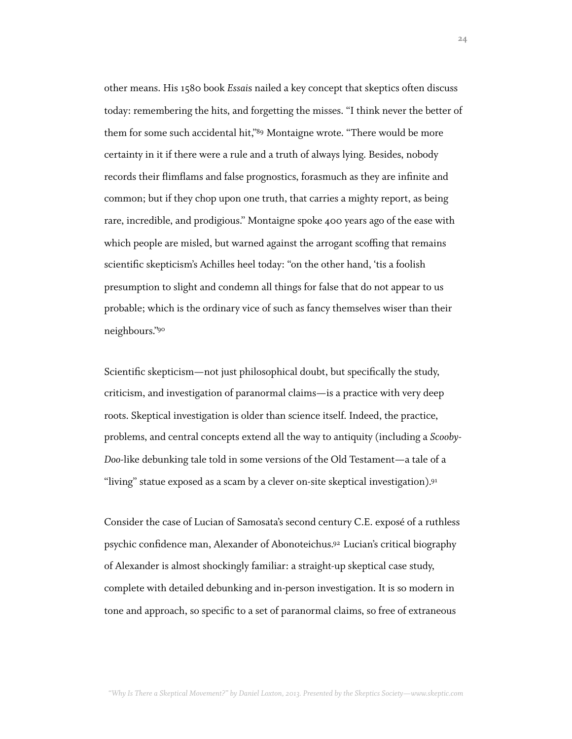other means. His 1580 book *Essai*s nailed a key concept that skeptics often discuss today: remembering the hits, and forgetting the misses. "I think never the better of them for some such accidental hit,["89](#page-72-16) Montaigne wrote. "There would be more certainty in it if there were a rule and a truth of always lying. Besides, nobody records their flimflams and false prognostics, forasmuch as they are infinite and common; but if they chop upon one truth, that carries a mighty report, as being rare, incredible, and prodigious." Montaigne spoke 400 years ago of the ease with which people are misled, but warned against the arrogant scoffing that remains scientific skepticism's Achilles heel today: "on the other hand, 'tis a foolish presumption to slight and condemn all things for false that do not appear to us probable; which is the ordinary vice of such as fancy themselves wiser than their neighbours.["90](#page-72-17)

Scientific skepticism—not just philosophical doubt, but specifically the study, criticism, and investigation of paranormal claims—is a practice with very deep roots. Skeptical investigation is older than science itself. Indeed, the practice, problems, and central concepts extend all the way to antiquity (including a *Scooby-Doo*-like debunking tale told in some versions of the Old Testament—a tale of a "living" statue exposed as a scam by a clever on-site skeptical investigation).<sup>91</sup>

Consider the case of Lucian of Samosata's second century C.E. exposé of a ruthless psychic confidence man, Alexander of Abonoteichus[.92](#page-72-19) Lucian's critical biography of Alexander is almost shockingly familiar: a straight-up skeptical case study, complete with detailed debunking and in-person investigation. It is so modern in tone and approach, so specific to a set of paranormal claims, so free of extraneous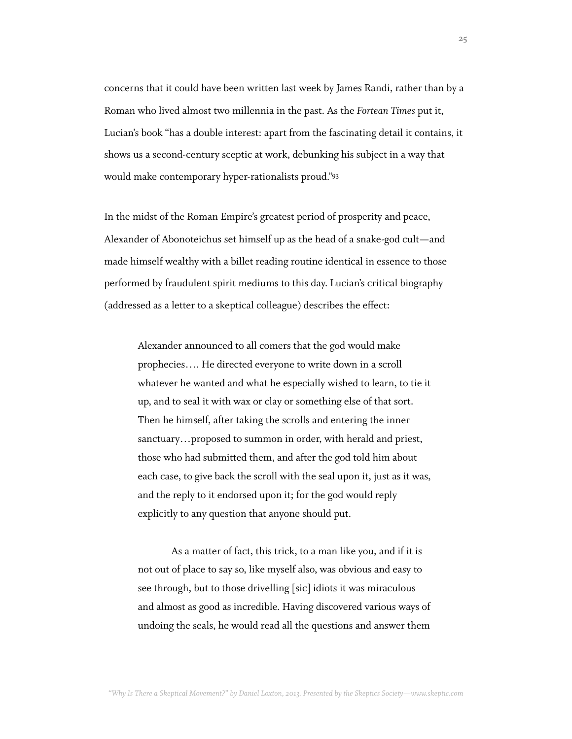concerns that it could have been written last week by James Randi, rather than by a Roman who lived almost two millennia in the past. As the *Fortean Times* put it, Lucian's book "has a double interest: apart from the fascinating detail it contains, it shows us a second-century sceptic at work, debunking his subject in a way that would make contemporary hyper-rationalists proud.["93](#page-73-0)

In the midst of the Roman Empire's greatest period of prosperity and peace, Alexander of Abonoteichus set himself up as the head of a snake-god cult—and made himself wealthy with a billet reading routine identical in essence to those performed by fraudulent spirit mediums to this day. Lucian's critical biography (addressed as a letter to a skeptical colleague) describes the effect:

Alexander announced to all comers that the god would make prophecies…. He directed everyone to write down in a scroll whatever he wanted and what he especially wished to learn, to tie it up, and to seal it with wax or clay or something else of that sort. Then he himself, after taking the scrolls and entering the inner sanctuary…proposed to summon in order, with herald and priest, those who had submitted them, and after the god told him about each case, to give back the scroll with the seal upon it, just as it was, and the reply to it endorsed upon it; for the god would reply explicitly to any question that anyone should put.

 As a matter of fact, this trick, to a man like you, and if it is not out of place to say so, like myself also, was obvious and easy to see through, but to those drivelling [sic] idiots it was miraculous and almost as good as incredible. Having discovered various ways of undoing the seals, he would read all the questions and answer them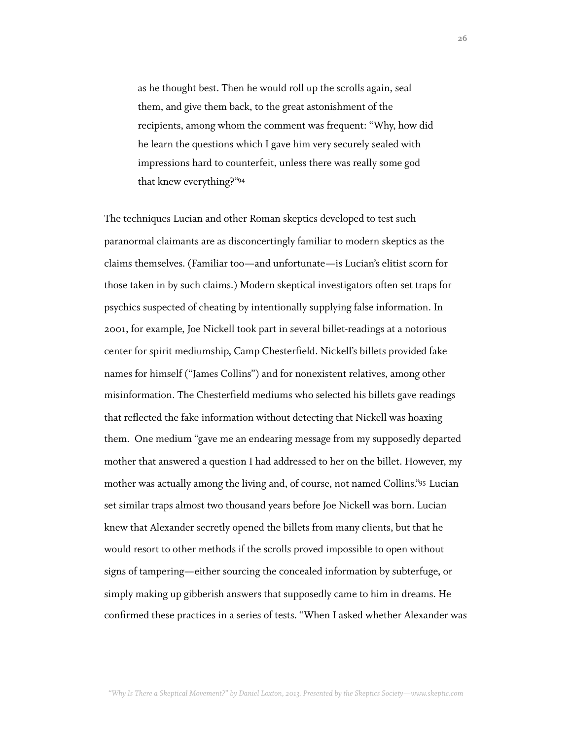as he thought best. Then he would roll up the scrolls again, seal them, and give them back, to the great astonishment of the recipients, among whom the comment was frequent: "Why, how did he learn the questions which I gave him very securely sealed with impressions hard to counterfeit, unless there was really some god that knew everything?["94](#page-73-1)

The techniques Lucian and other Roman skeptics developed to test such paranormal claimants are as disconcertingly familiar to modern skeptics as the claims themselves. (Familiar too—and unfortunate—is Lucian's elitist scorn for those taken in by such claims.) Modern skeptical investigators often set traps for psychics suspected of cheating by intentionally supplying false information. In 2001, for example, Joe Nickell took part in several billet-readings at a notorious center for spirit mediumship, Camp Chesterfield. Nickell's billets provided fake names for himself ("James Collins") and for nonexistent relatives, among other misinformation. The Chesterfield mediums who selected his billets gave readings that reflected the fake information without detecting that Nickell was hoaxing them. One medium "gave me an endearing message from my supposedly departed mother that answered a question I had addressed to her on the billet. However, my mother was actually among the living and, of course, not named Collins.["95](#page-73-2) Lucian set similar traps almost two thousand years before Joe Nickell was born. Lucian knew that Alexander secretly opened the billets from many clients, but that he would resort to other methods if the scrolls proved impossible to open without signs of tampering—either sourcing the concealed information by subterfuge, or simply making up gibberish answers that supposedly came to him in dreams. He confirmed these practices in a series of tests. "When I asked whether Alexander was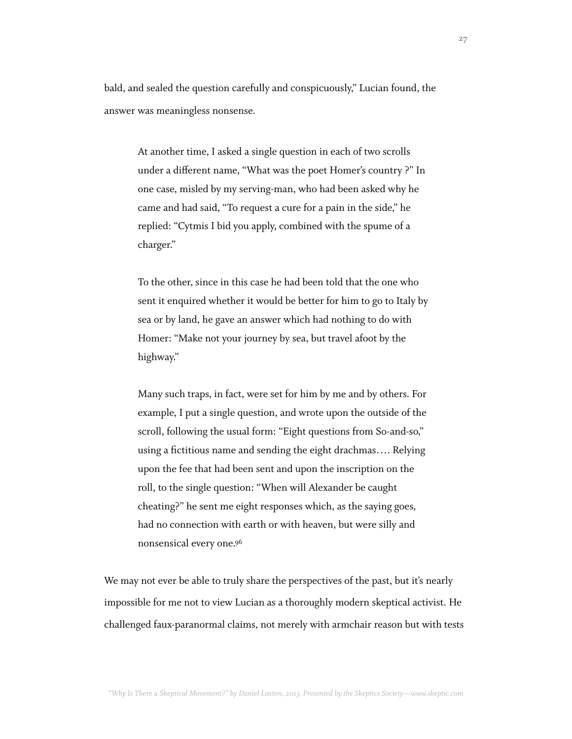bald, and sealed the question carefully and conspicuously," Lucian found, the answer was meaningless nonsense.

> At another time, I asked a single question in each of two scrolls under a different name, "What was the poet Homer's country ?" In one case, misled by my serving-man, who had been asked why he came and had said, "To request a cure for a pain in the side," he replied: "Cytmis I bid you apply, combined with the spume of a charger."

> To the other, since in this case he had been told that the one who sent it enquired whether it would be better for him to go to Italy by sea or by land, he gave an answer which had nothing to do with Homer: "Make not your journey by sea, but travel afoot by the highway."

> Many such traps, in fact, were set for him by me and by others. For example, I put a single question, and wrote upon the outside of the scroll, following the usual form: "Eight questions from So-and-so," using a fictitious name and sending the eight drachmas…. Relying upon the fee that had been sent and upon the inscription on the roll, to the single question: "When will Alexander be caught cheating?" he sent me eight responses which, as the saying goes, had no connection with earth or with heaven, but were silly and nonsensical every one[.96](#page-73-3)

We may not ever be able to truly share the perspectives of the past, but it's nearly impossible for me not to view Lucian as a thoroughly modern skeptical activist. He challenged faux-paranormal claims, not merely with armchair reason but with tests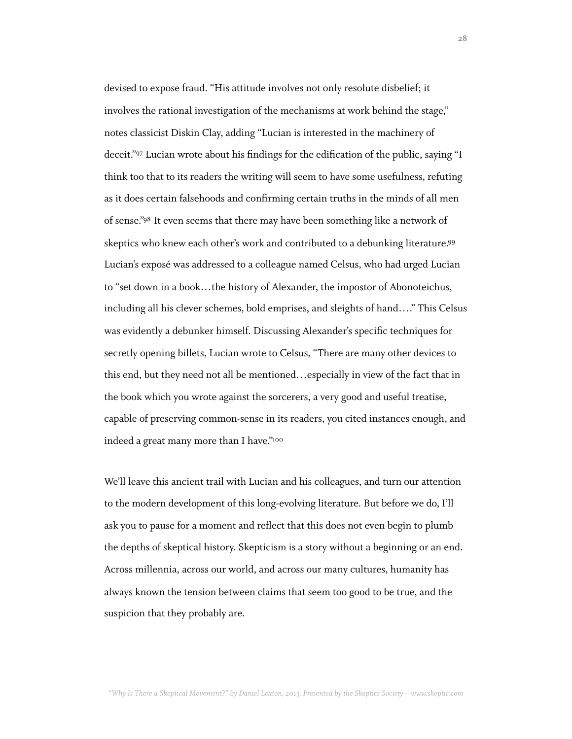devised to expose fraud. "His attitude involves not only resolute disbelief; it involves the rational investigation of the mechanisms at work behind the stage," notes classicist Diskin Clay, adding "Lucian is interested in the machinery of deceit."[97](#page-73-4) Lucian wrote about his findings for the edification of the public, saying "I think too that to its readers the writing will seem to have some usefulness, refuting as it does certain falsehoods and confirming certain truths in the minds of all men of sense.["98](#page-73-5) It even seems that there may have been something like a network of skeptics who knew each other's work and contributed to a debunking literature[.99](#page-73-6) Lucian's exposé was addressed to a colleague named Celsus, who had urged Lucian to "set down in a book…the history of Alexander, the impostor of Abonoteichus, including all his clever schemes, bold emprises, and sleights of hand…." This Celsus was evidently a debunker himself. Discussing Alexander's specific techniques for secretly opening billets, Lucian wrote to Celsus, "There are many other devices to this end, but they need not all be mentioned…especially in view of the fact that in the book which you wrote against the sorcerers, a very good and useful treatise, capable of preserving common-sense in its readers, you cited instances enough, and indeed a great many more than I have."<sup>100</sup>

We'll leave this ancient trail with Lucian and his colleagues, and turn our attention to the modern development of this long-evolving literature. But before we do, I'll ask you to pause for a moment and reflect that this does not even begin to plumb the depths of skeptical history. Skepticism is a story without a beginning or an end. Across millennia, across our world, and across our many cultures, humanity has always known the tension between claims that seem too good to be true, and the suspicion that they probably are.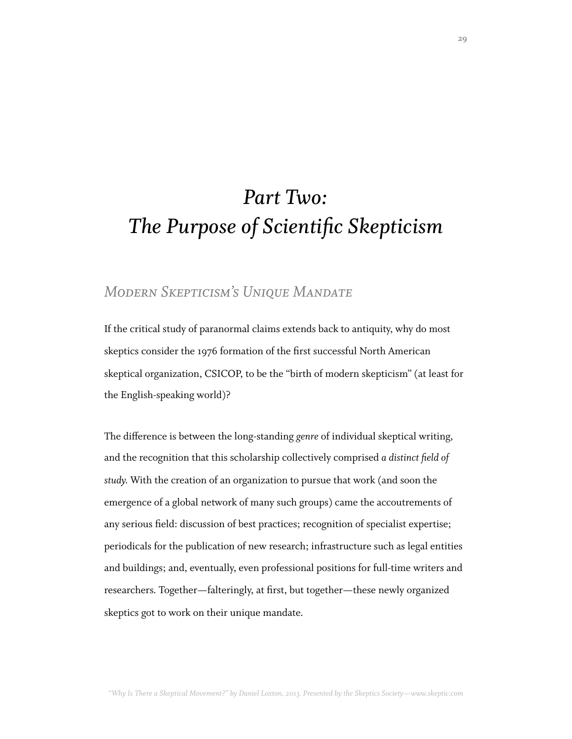## *Part Two: The Purpose of Scientific Skepticism*

### *Modern Skepticism's Unique Mandate*

If the critical study of paranormal claims extends back to antiquity, why do most skeptics consider the 1976 formation of the first successful North American skeptical organization, CSICOP, to be the "birth of modern skepticism" (at least for the English-speaking world)?

The difference is between the long-standing *genre* of individual skeptical writing, and the recognition that this scholarship collectively comprised *a distinct field of study.* With the creation of an organization to pursue that work (and soon the emergence of a global network of many such groups) came the accoutrements of any serious field: discussion of best practices; recognition of specialist expertise; periodicals for the publication of new research; infrastructure such as legal entities and buildings; and, eventually, even professional positions for full-time writers and researchers. Together—falteringly, at first, but together—these newly organized skeptics got to work on their unique mandate.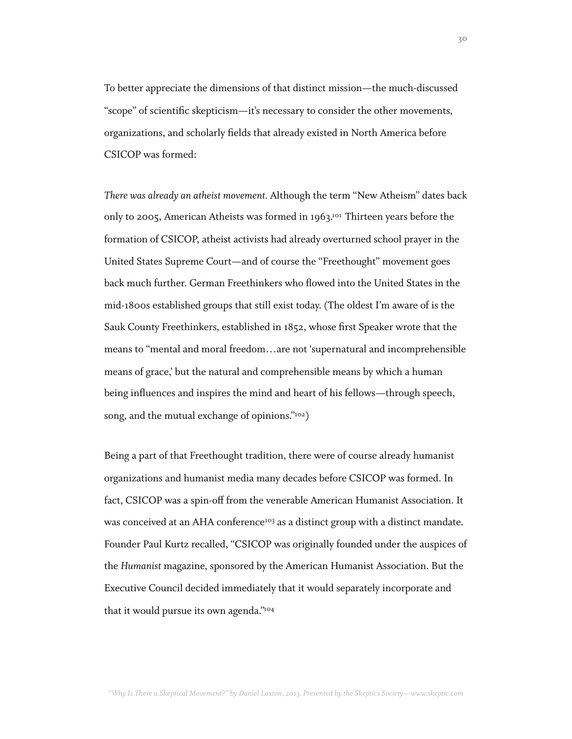To better appreciate the dimensions of that distinct mission—the much-discussed "scope" of scientific skepticism—it's necessary to consider the other movements, organizations, and scholarly fields that already existed in North America before CSICOP was formed:

*There was already an atheist movement.* Although the term "New Atheism" dates back only to 2005, American Atheists was formed in 1963[.101](#page-73-8) Thirteen years before the formation of CSICOP, atheist activists had already overturned school prayer in the United States Supreme Court—and of course the "Freethought" movement goes back much further. German Freethinkers who flowed into the United States in the mid-1800s established groups that still exist today. (The oldest I'm aware of is the Sauk County Freethinkers, established in 1852, whose first Speaker wrote that the means to "mental and moral freedom…are not 'supernatural and incomprehensible means of grace,' but the natural and comprehensible means by which a human being influences and inspires the mind and heart of his fellows—through speech, song, and the mutual exchange of opinions."<sup>102</sup>)

Being a part of that Freethought tradition, there were of course already humanist organizations and humanist media many decades before CSICOP was formed. In fact, CSICOP was a spin-off from the venerable American Humanist Association. It was conceived at an AHA conference<sup>[103](#page-73-10)</sup> as a distinct group with a distinct mandate. Founder Paul Kurtz recalled, "CSICOP was originally founded under the auspices of the *Humanist* magazine, sponsored by the American Humanist Association. But the Executive Council decided immediately that it would separately incorporate and that it would pursue its own agenda.["104](#page-73-11)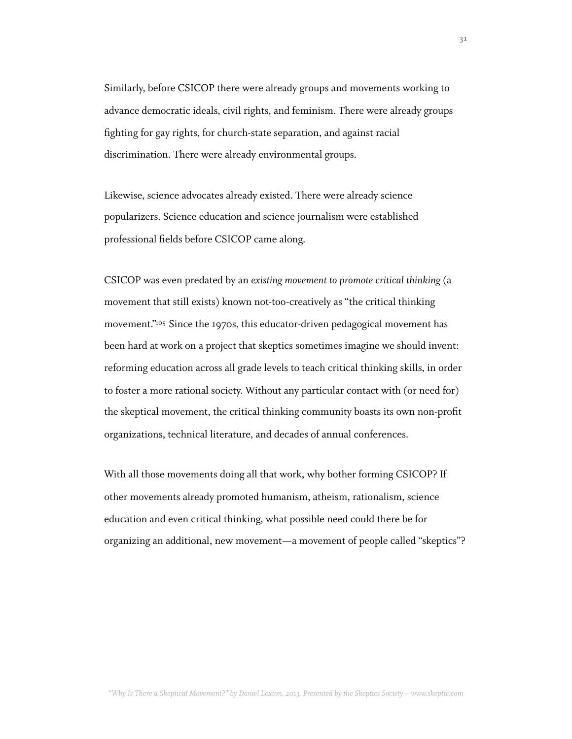Similarly, before CSICOP there were already groups and movements working to advance democratic ideals, civil rights, and feminism. There were already groups fighting for gay rights, for church-state separation, and against racial discrimination. There were already environmental groups.

Likewise, science advocates already existed. There were already science popularizers. Science education and science journalism were established professional fields before CSICOP came along.

CSICOP was even predated by an *existing movement to promote critical thinking* (a movement that still exists) known not-too-creatively as "the critical thinking movement."<sup>105</sup> Since the 1970s, this educator-driven pedagogical movement has been hard at work on a project that skeptics sometimes imagine we should invent: reforming education across all grade levels to teach critical thinking skills, in order to foster a more rational society. Without any particular contact with (or need for) the skeptical movement, the critical thinking community boasts its own non-profit organizations, technical literature, and decades of annual conferences.

With all those movements doing all that work, why bother forming CSICOP? If other movements already promoted humanism, atheism, rationalism, science education and even critical thinking, what possible need could there be for organizing an additional, new movement—a movement of people called "skeptics"?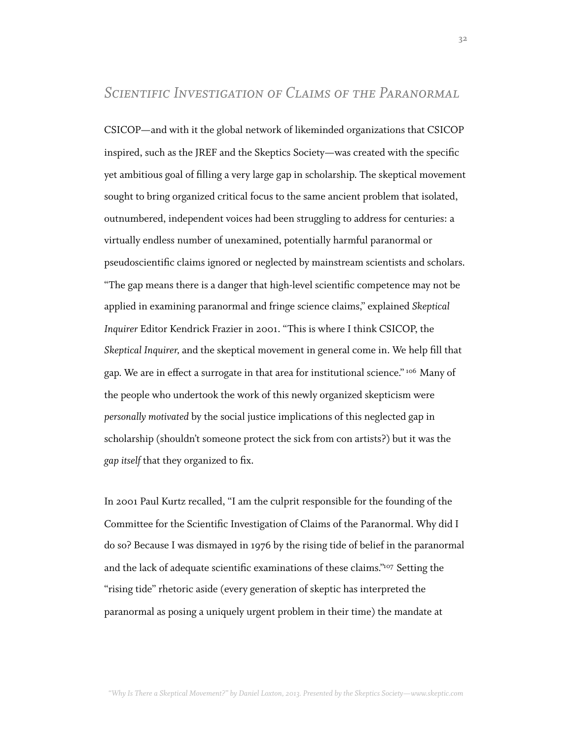#### *Scientific Investigation of Claims of the Paranormal*

CSICOP—and with it the global network of likeminded organizations that CSICOP inspired, such as the JREF and the Skeptics Society—was created with the specific yet ambitious goal of filling a very large gap in scholarship. The skeptical movement sought to bring organized critical focus to the same ancient problem that isolated, outnumbered, independent voices had been struggling to address for centuries: a virtually endless number of unexamined, potentially harmful paranormal or pseudoscientific claims ignored or neglected by mainstream scientists and scholars. "The gap means there is a danger that high-level scientific competence may not be applied in examining paranormal and fringe science claims," explained *Skeptical Inquirer* Editor Kendrick Frazier in 2001. "This is where I think CSICOP, the *Skeptical Inquirer,* and the skeptical movement in general come in. We help fill that gap. We are in effect a surrogate in that area for institutional science."  $106$  Many of the people who undertook the work of this newly organized skepticism were *personally motivated* by the social justice implications of this neglected gap in scholarship (shouldn't someone protect the sick from con artists?) but it was the *gap itself* that they organized to fix.

In 2001 Paul Kurtz recalled, "I am the culprit responsible for the founding of the Committee for the Scientific Investigation of Claims of the Paranormal. Why did I do so? Because I was dismayed in 1976 by the rising tide of belief in the paranormal and the lack of adequate scientific examinations of these claims.["107](#page-74-2) Setting the "rising tide" rhetoric aside (every generation of skeptic has interpreted the paranormal as posing a uniquely urgent problem in their time) the mandate at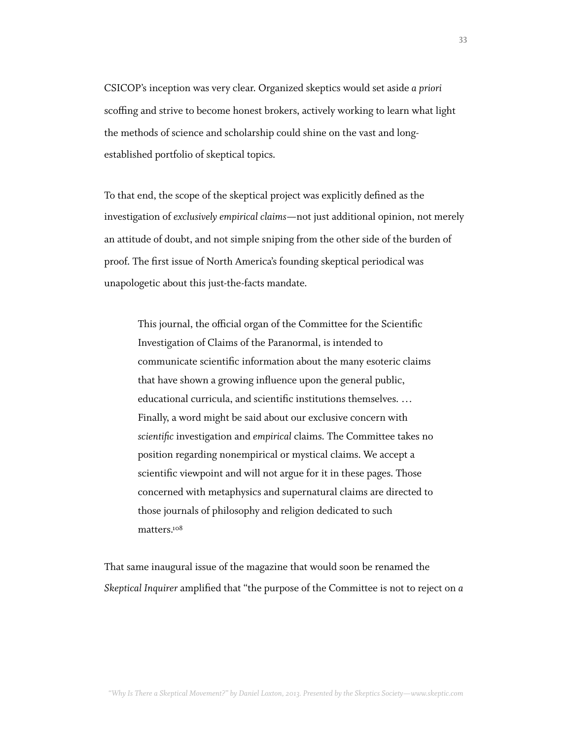CSICOP's inception was very clear. Organized skeptics would set aside *a priori* scoffing and strive to become honest brokers, actively working to learn what light the methods of science and scholarship could shine on the vast and longestablished portfolio of skeptical topics.

To that end, the scope of the skeptical project was explicitly defined as the investigation of *exclusively empirical claims*—not just additional opinion, not merely an attitude of doubt, and not simple sniping from the other side of the burden of proof. The first issue of North America's founding skeptical periodical was unapologetic about this just-the-facts mandate.

This journal, the official organ of the Committee for the Scientific Investigation of Claims of the Paranormal, is intended to communicate scientific information about the many esoteric claims that have shown a growing influence upon the general public, educational curricula, and scientific institutions themselves. … Finally, a word might be said about our exclusive concern with *scientific* investigation and *empirical* claims. The Committee takes no position regarding nonempirical or mystical claims. We accept a scientific viewpoint and will not argue for it in these pages. Those concerned with metaphysics and supernatural claims are directed to those journals of philosophy and religion dedicated to such matters[.108](#page-74-3)

That same inaugural issue of the magazine that would soon be renamed the *Skeptical Inquirer* amplified that "the purpose of the Committee is not to reject on *a*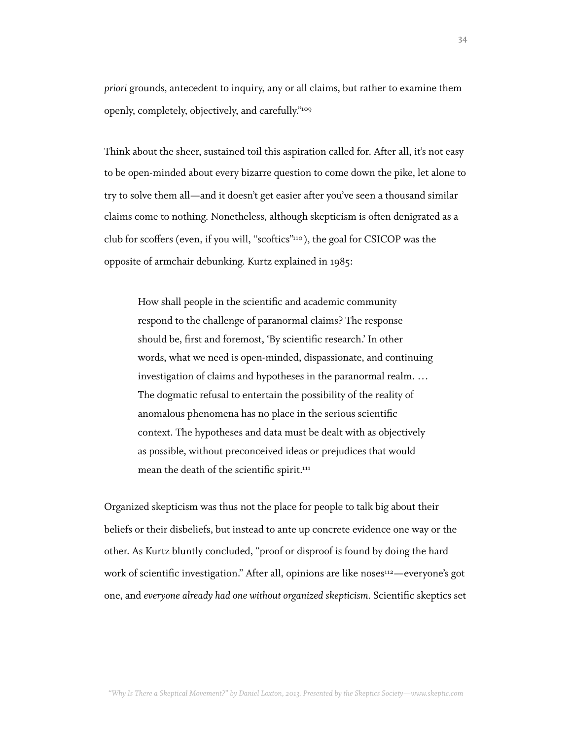*priori* grounds, antecedent to inquiry, any or all claims, but rather to examine them openly, completely, objectively, and carefully.["109](#page-74-4)

Think about the sheer, sustained toil this aspiration called for. After all, it's not easy to be open-minded about every bizarre question to come down the pike, let alone to try to solve them all—and it doesn't get easier after you've seen a thousand similar claims come to nothing. Nonetheless, although skepticism is often denigrated as a club for scoffers (even, if you will, "scoftics"<sup>110</sup>), the goal for CSICOP was the opposite of armchair debunking. Kurtz explained in 1985:

How shall people in the scientific and academic community respond to the challenge of paranormal claims? The response should be, first and foremost, 'By scientific research.' In other words, what we need is open-minded, dispassionate, and continuing investigation of claims and hypotheses in the paranormal realm. … The dogmatic refusal to entertain the possibility of the reality of anomalous phenomena has no place in the serious scientific context. The hypotheses and data must be dealt with as objectively as possible, without preconceived ideas or prejudices that would mean the death of the scientific spirit.<sup>111</sup>

Organized skepticism was thus not the place for people to talk big about their beliefs or their disbeliefs, but instead to ante up concrete evidence one way or the other. As Kurtz bluntly concluded, "proof or disproof is found by doing the hard work of scientific investigation." After all, opinions are like noses<sup>112</sup>—everyone's got one, and *everyone already had one without organized skepticism.* Scientific skeptics set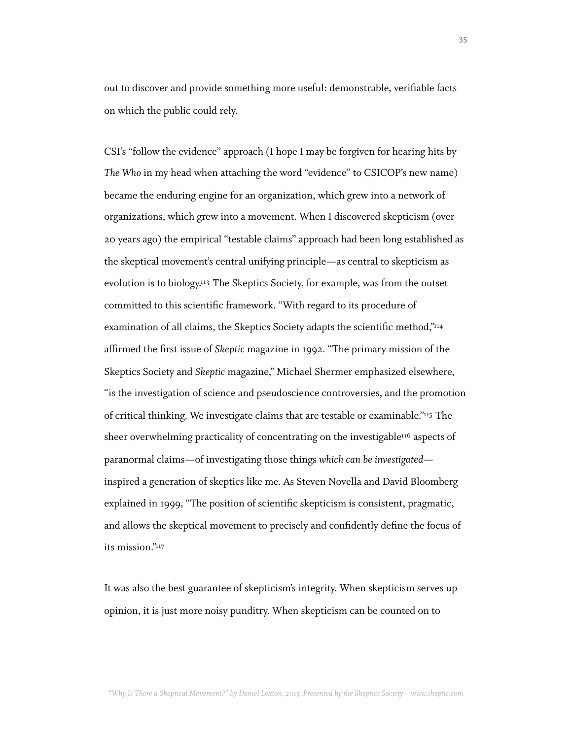out to discover and provide something more useful: demonstrable, verifiable facts on which the public could rely.

CSI's "follow the evidence" approach (I hope I may be forgiven for hearing hits by *The Who* in my head when attaching the word "evidence" to CSICOP's new name) became the enduring engine for an organization, which grew into a network of organizations, which grew into a movement. When I discovered skepticism (over 20 years ago) the empirical "testable claims" approach had been long established as the skeptical movement's central unifying principle—as central to skepticism as evolution is to biology[.113](#page-74-8) The Skeptics Society, for example, was from the outset committed to this scientific framework. "With regard to its procedure of examination of all claims, the Skeptics Society adapts the scientific method,"<sup>114</sup> affirmed the first issue of *Skeptic* magazine in 1992. "The primary mission of the Skeptics Society and *Skeptic* magazine," Michael Shermer emphasized elsewhere, "is the investigation of science and pseudoscience controversies, and the promotion of critical thinking. We investigate claims that are testable or examinable.["115](#page-74-10) The sheer overwhelming practicality of concentrating on the investigable<sup>116</sup> aspects of paranormal claims—of investigating those things *which can be investigated* inspired a generation of skeptics like me. As Steven Novella and David Bloomberg explained in 1999, "The position of scientific skepticism is consistent, pragmatic, and allows the skeptical movement to precisely and confidently define the focus of its mission.["117](#page-74-12)

It was also the best guarantee of skepticism's integrity. When skepticism serves up opinion, it is just more noisy punditry. When skepticism can be counted on to

*"Why Is There a Skeptical Movement?" by Daniel Loxton, 2013. Presented by the Skeptics Society—www.skeptic.com*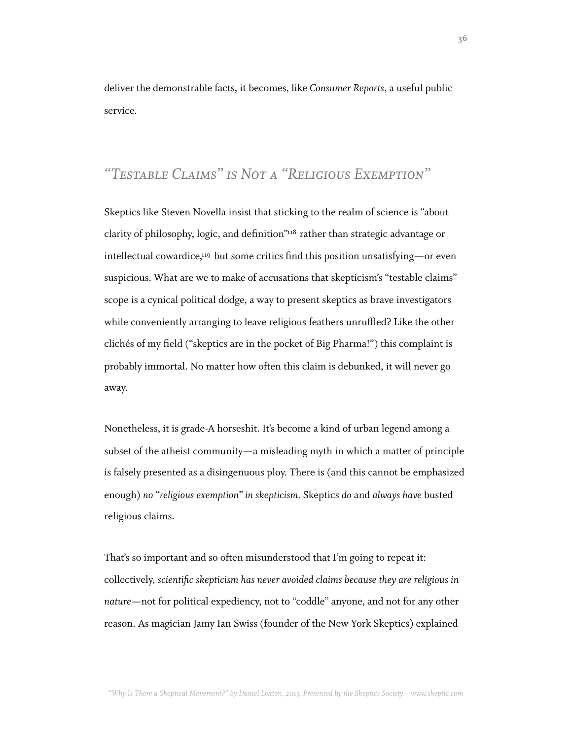deliver the demonstrable facts, it becomes, like *Consumer Reports*, a useful public service.

### *"Testable Claims" is Not a "Religious Exemption"*

Skeptics like Steven Novella insist that sticking to the realm of science is "about clarity of philosophy, logic, and definition["118](#page-74-13) rather than strategic advantage or intellectual cowardice[,119](#page-75-0) but some critics find this position unsatisfying—or even suspicious. What are we to make of accusations that skepticism's "testable claims" scope is a cynical political dodge, a way to present skeptics as brave investigators while conveniently arranging to leave religious feathers unruffled? Like the other clichés of my field ("skeptics are in the pocket of Big Pharma!") this complaint is probably immortal. No matter how often this claim is debunked, it will never go away.

Nonetheless, it is grade-A horseshit. It's become a kind of urban legend among a subset of the atheist community—a misleading myth in which a matter of principle is falsely presented as a disingenuous ploy. There is (and this cannot be emphasized enough) *no "religious exemption" in skepticism.* Skeptics *do* and *always have* busted religious claims.

That's so important and so often misunderstood that I'm going to repeat it: collectively, *scientific skepticism has never avoided claims because they are religious in nature*—not for political expediency, not to "coddle" anyone, and not for any other reason. As magician Jamy Ian Swiss (founder of the New York Skeptics) explained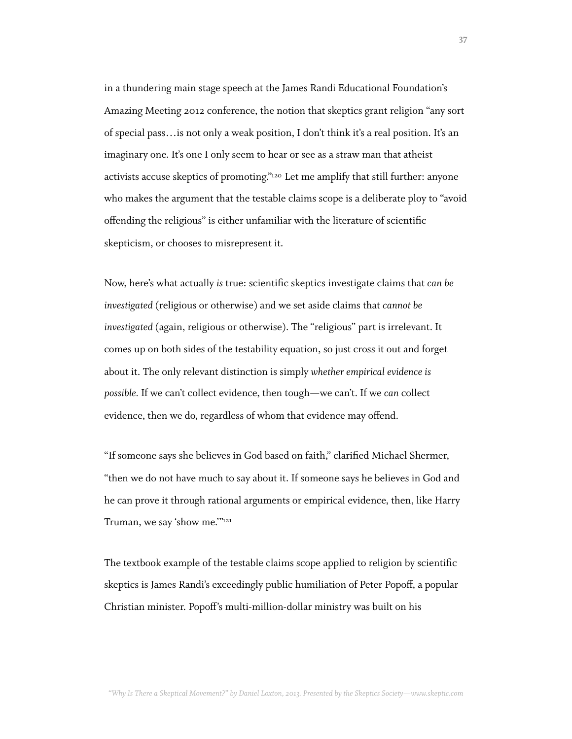in a thundering main stage speech at the James Randi Educational Foundation's Amazing Meeting 2012 conference, the notion that skeptics grant religion "any sort of special pass…is not only a weak position, I don't think it's a real position. It's an imaginary one. It's one I only seem to hear or see as a straw man that atheist activists accuse skeptics of promoting.["120](#page-75-0) Let me amplify that still further: anyone who makes the argument that the testable claims scope is a deliberate ploy to "avoid offending the religious" is either unfamiliar with the literature of scientific skepticism, or chooses to misrepresent it.

Now, here's what actually *is* true: scientific skeptics investigate claims that *can be investigated* (religious or otherwise) and we set aside claims that *cannot be investigated* (again, religious or otherwise). The "religious" part is irrelevant. It comes up on both sides of the testability equation, so just cross it out and forget about it. The only relevant distinction is simply *whether empirical evidence is possible.* If we can't collect evidence, then tough—we can't. If we *can* collect evidence, then we do, regardless of whom that evidence may offend.

"If someone says she believes in God based on faith," clarified Michael Shermer, "then we do not have much to say about it. If someone says he believes in God and he can prove it through rational arguments or empirical evidence, then, like Harry Truman, we say 'show me.'["121](#page-75-1)

The textbook example of the testable claims scope applied to religion by scientific skeptics is James Randi's exceedingly public humiliation of Peter Popoff, a popular Christian minister. Popoff's multi-million-dollar ministry was built on his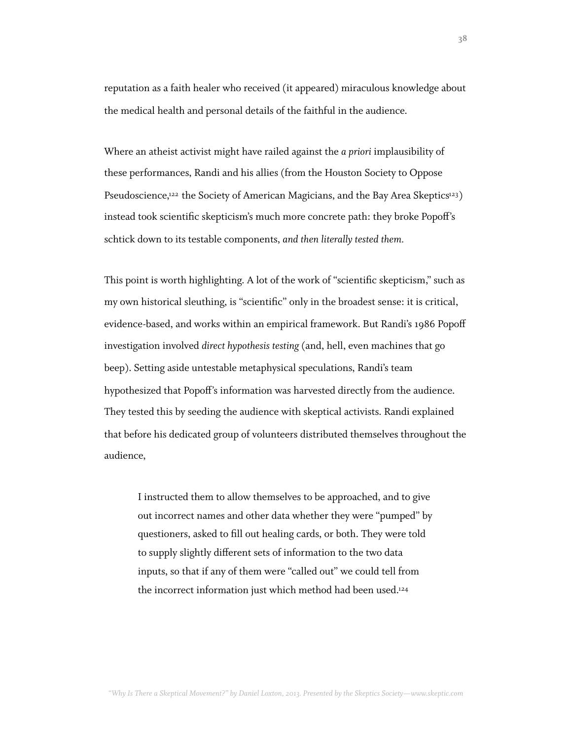reputation as a faith healer who received (it appeared) miraculous knowledge about the medical health and personal details of the faithful in the audience.

Where an atheist activist might have railed against the *a priori* implausibility of these performances, Randi and his allies (from the Houston Society to Oppose Pseudoscience,<sup>122</sup> the Society of American Magicians, and the Bay Area Skeptics<sup>123</sup>) instead took scientific skepticism's much more concrete path: they broke Popoff's schtick down to its testable components, *and then literally tested them.*

This point is worth highlighting. A lot of the work of "scientific skepticism," such as my own historical sleuthing, is "scientific" only in the broadest sense: it is critical, evidence-based, and works within an empirical framework. But Randi's 1986 Popoff investigation involved *direct hypothesis testing* (and, hell, even machines that go beep). Setting aside untestable metaphysical speculations, Randi's team hypothesized that Popoff's information was harvested directly from the audience. They tested this by seeding the audience with skeptical activists. Randi explained that before his dedicated group of volunteers distributed themselves throughout the audience,

I instructed them to allow themselves to be approached, and to give out incorrect names and other data whether they were "pumped" by questioners, asked to fill out healing cards, or both. They were told to supply slightly different sets of information to the two data inputs, so that if any of them were "called out" we could tell from the incorrect information just which method had been used[.124](#page-75-4)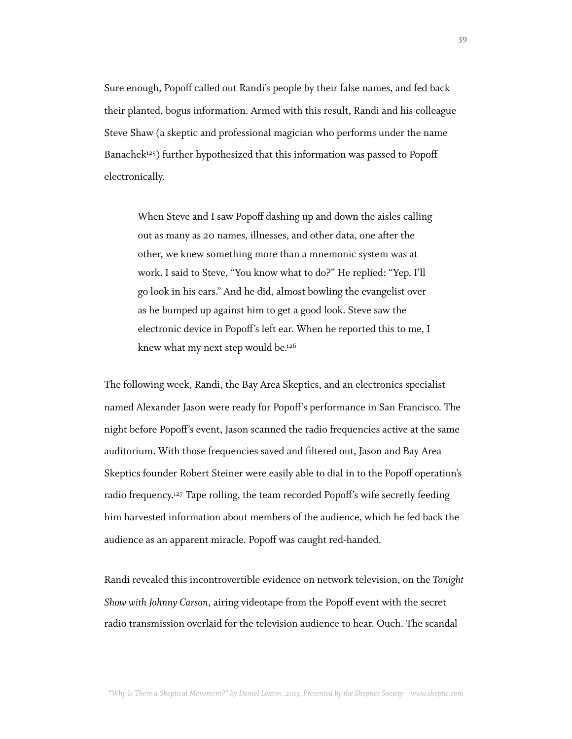Sure enough, Popoff called out Randi's people by their false names, and fed back their planted, bogus information. Armed with this result, Randi and his colleague Steve Shaw (a skeptic and professional magician who performs under the name Banachek<sup>[125](#page-75-5)</sup>) further hypothesized that this information was passed to Popoff electronically.

When Steve and I saw Popoff dashing up and down the aisles calling out as many as 20 names, illnesses, and other data, one after the other, we knew something more than a mnemonic system was at work. I said to Steve, "You know what to do?" He replied: "Yep. I'll go look in his ears." And he did, almost bowling the evangelist over as he bumped up against him to get a good look. Steve saw the electronic device in Popoff's left ear. When he reported this to me, I knew what my next step would be.<sup>126</sup>

The following week, Randi, the Bay Area Skeptics, and an electronics specialist named Alexander Jason were ready for Popoff's performance in San Francisco. The night before Popoff's event, Jason scanned the radio frequencies active at the same auditorium. With those frequencies saved and filtered out, Jason and Bay Area Skeptics founder Robert Steiner were easily able to dial in to the Popoff operation's radio frequency.<sup>127</sup> Tape rolling, the team recorded Popoff's wife secretly feeding him harvested information about members of the audience, which he fed back the audience as an apparent miracle. Popoff was caught red-handed.

Randi revealed this incontrovertible evidence on network television, on the *Tonight Show with Johnny Carson, airing videotape from the Popoff event with the secret* radio transmission overlaid for the television audience to hear. Ouch. The scandal

*"Why Is There a Skeptical Movement?" by Daniel Loxton, 2013. Presented by the Skeptics Society—www.skeptic.com*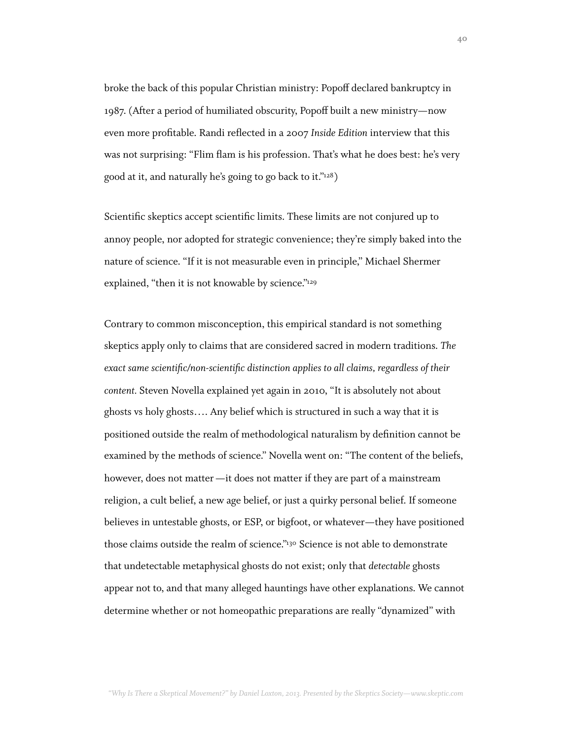broke the back of this popular Christian ministry: Popoff declared bankruptcy in 1987. (After a period of humiliated obscurity, Popoff built a new ministry—now even more profitable. Randi reflected in a 2007 *Inside Edition* interview that this was not surprising: "Flim flam is his profession. That's what he does best: he's very good at it, and naturally he's going to go back to it.["128\)](#page-75-8)

Scientific skeptics accept scientific limits. These limits are not conjured up to annoy people, nor adopted for strategic convenience; they're simply baked into the nature of science. "If it is not measurable even in principle," Michael Shermer explained, "then it is not knowable by science."<sup>129</sup>

Contrary to common misconception, this empirical standard is not something skeptics apply only to claims that are considered sacred in modern traditions. *The exact same scientific/non-scientific distinction applies to all claims, regardless of their content.* Steven Novella explained yet again in 2010, "It is absolutely not about ghosts vs holy ghosts…. Any belief which is structured in such a way that it is positioned outside the realm of methodological naturalism by definition cannot be examined by the methods of science." Novella went on: "The content of the beliefs, however, does not matter —it does not matter if they are part of a mainstream religion, a cult belief, a new age belief, or just a quirky personal belief. If someone believes in untestable ghosts, or ESP, or bigfoot, or whatever—they have positioned those claims outside the realm of science.["130](#page-75-10) Science is not able to demonstrate that undetectable metaphysical ghosts do not exist; only that *detectable* ghosts appear not to, and that many alleged hauntings have other explanations. We cannot determine whether or not homeopathic preparations are really "dynamized" with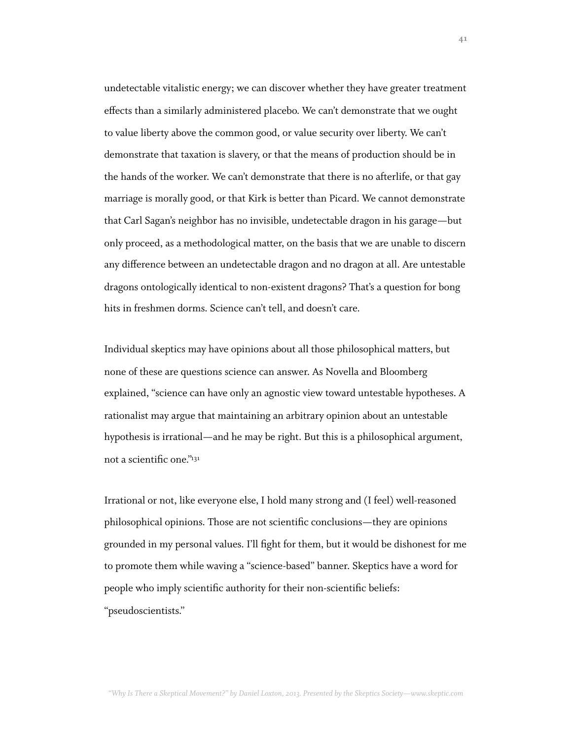undetectable vitalistic energy; we can discover whether they have greater treatment effects than a similarly administered placebo. We can't demonstrate that we ought to value liberty above the common good, or value security over liberty. We can't demonstrate that taxation is slavery, or that the means of production should be in the hands of the worker. We can't demonstrate that there is no afterlife, or that gay marriage is morally good, or that Kirk is better than Picard. We cannot demonstrate that Carl Sagan's neighbor has no invisible, undetectable dragon in his garage—but only proceed, as a methodological matter, on the basis that we are unable to discern any difference between an undetectable dragon and no dragon at all. Are untestable dragons ontologically identical to non-existent dragons? That's a question for bong hits in freshmen dorms. Science can't tell, and doesn't care.

Individual skeptics may have opinions about all those philosophical matters, but none of these are questions science can answer. As Novella and Bloomberg explained, "science can have only an agnostic view toward untestable hypotheses. A rationalist may argue that maintaining an arbitrary opinion about an untestable hypothesis is irrational—and he may be right. But this is a philosophical argument, not a scientific one.["131](#page-75-11)

Irrational or not, like everyone else, I hold many strong and (I feel) well-reasoned philosophical opinions. Those are not scientific conclusions—they are opinions grounded in my personal values. I'll fight for them, but it would be dishonest for me to promote them while waving a "science-based" banner. Skeptics have a word for people who imply scientific authority for their non-scientific beliefs: "pseudoscientists."

*"Why Is There a Skeptical Movement?" by Daniel Loxton, 2013. Presented by the Skeptics Society—www.skeptic.com*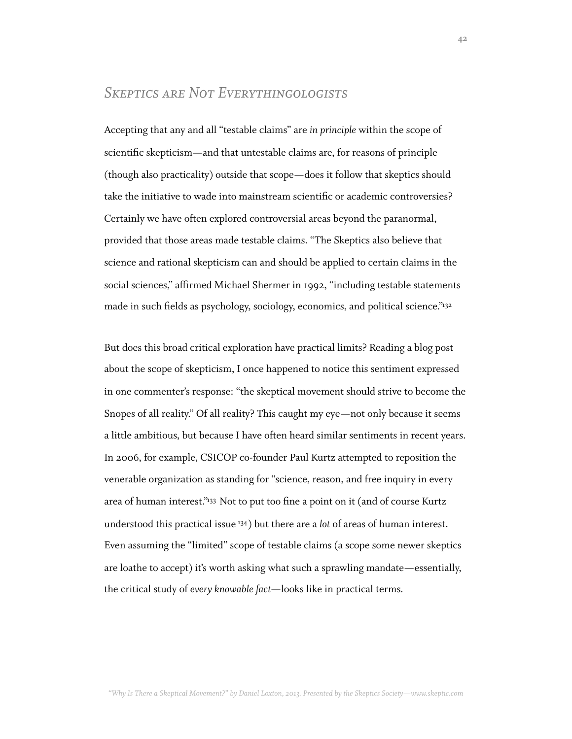### *Skeptics are Not Everythingologists*

Accepting that any and all "testable claims" are *in principle* within the scope of scientific skepticism—and that untestable claims are, for reasons of principle (though also practicality) outside that scope—does it follow that skeptics should take the initiative to wade into mainstream scientific or academic controversies? Certainly we have often explored controversial areas beyond the paranormal, provided that those areas made testable claims. "The Skeptics also believe that science and rational skepticism can and should be applied to certain claims in the social sciences," affirmed Michael Shermer in 1992, "including testable statements made in such fields as psychology, sociology, economics, and political science.["132](#page-75-12)

But does this broad critical exploration have practical limits? Reading a blog post about the scope of skepticism, I once happened to notice this sentiment expressed in one commenter's response: "the skeptical movement should strive to become the Snopes of all reality." Of all reality? This caught my eye—not only because it seems a little ambitious, but because I have often heard similar sentiments in recent years. In 2006, for example, CSICOP co-founder Paul Kurtz attempted to reposition the venerable organization as standing for "science, reason, and free inquiry in every area of human interest.["133](#page-75-13) Not to put too fine a point on it (and of course Kurtz understood this practical issue [134\)](#page-75-14) but there are a *lot* of areas of human interest. Even assuming the "limited" scope of testable claims (a scope some newer skeptics are loathe to accept) it's worth asking what such a sprawling mandate—essentially, the critical study of *every knowable fact*—looks like in practical terms.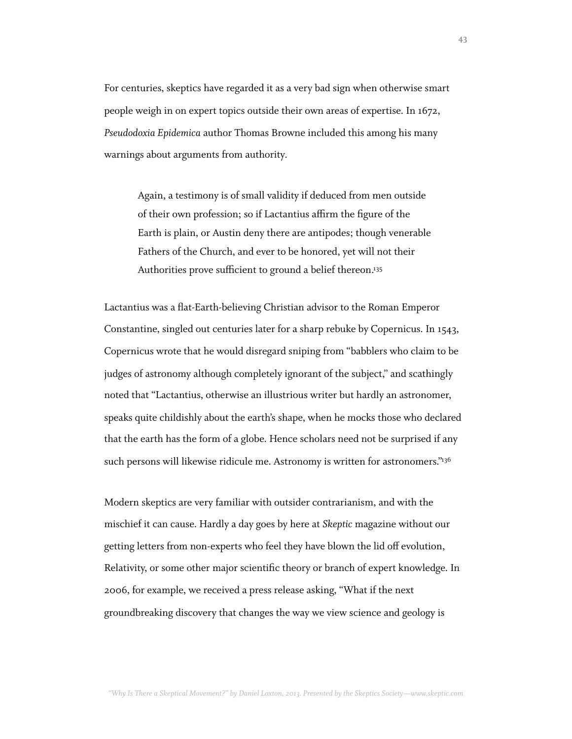For centuries, skeptics have regarded it as a very bad sign when otherwise smart people weigh in on expert topics outside their own areas of expertise. In 1672, *Pseudodoxia Epidemica* author Thomas Browne included this among his many warnings about arguments from authority*.*

Again, a testimony is of small validity if deduced from men outside of their own profession; so if Lactantius affirm the figure of the Earth is plain, or Austin deny there are antipodes; though venerable Fathers of the Church, and ever to be honored, yet will not their Authorities prove sufficient to ground a belief thereon.<sup>135</sup>

Lactantius was a flat-Earth-believing Christian advisor to the Roman Emperor Constantine, singled out centuries later for a sharp rebuke by Copernicus. In 1543, Copernicus wrote that he would disregard sniping from "babblers who claim to be judges of astronomy although completely ignorant of the subject," and scathingly noted that "Lactantius, otherwise an illustrious writer but hardly an astronomer, speaks quite childishly about the earth's shape, when he mocks those who declared that the earth has the form of a globe. Hence scholars need not be surprised if any such persons will likewise ridicule me. Astronomy is written for astronomers."<sup>136</sup>

Modern skeptics are very familiar with outsider contrarianism, and with the mischief it can cause. Hardly a day goes by here at *Skeptic* magazine without our getting letters from non-experts who feel they have blown the lid off evolution, Relativity, or some other major scientific theory or branch of expert knowledge. In 2006, for example, we received a press release asking, "What if the next groundbreaking discovery that changes the way we view science and geology is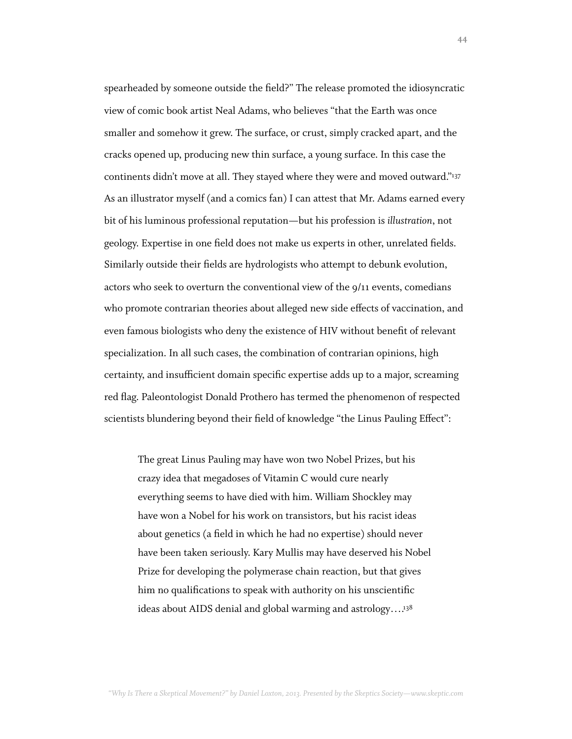spearheaded by someone outside the field?" The release promoted the idiosyncratic view of comic book artist Neal Adams, who believes "that the Earth was once smaller and somehow it grew. The surface, or crust, simply cracked apart, and the cracks opened up, producing new thin surface, a young surface. In this case the continents didn't move at all. They stayed where they were and moved outward."[137](#page-76-2) As an illustrator myself (and a comics fan) I can attest that Mr. Adams earned every bit of his luminous professional reputation—but his profession is *illustration*, not geology. Expertise in one field does not make us experts in other, unrelated fields. Similarly outside their fields are hydrologists who attempt to debunk evolution, actors who seek to overturn the conventional view of the 9/11 events, comedians who promote contrarian theories about alleged new side effects of vaccination, and even famous biologists who deny the existence of HIV without benefit of relevant specialization. In all such cases, the combination of contrarian opinions, high certainty, and insufficient domain specific expertise adds up to a major, screaming red flag. Paleontologist Donald Prothero has termed the phenomenon of respected scientists blundering beyond their field of knowledge "the Linus Pauling Effect":

The great Linus Pauling may have won two Nobel Prizes, but his crazy idea that megadoses of Vitamin C would cure nearly everything seems to have died with him. William Shockley may have won a Nobel for his work on transistors, but his racist ideas about genetics (a field in which he had no expertise) should never have been taken seriously. Kary Mullis may have deserved his Nobel Prize for developing the polymerase chain reaction, but that gives him no qualifications to speak with authority on his unscientific ideas about AIDS denial and global warming and astrology…[.138](#page-76-3)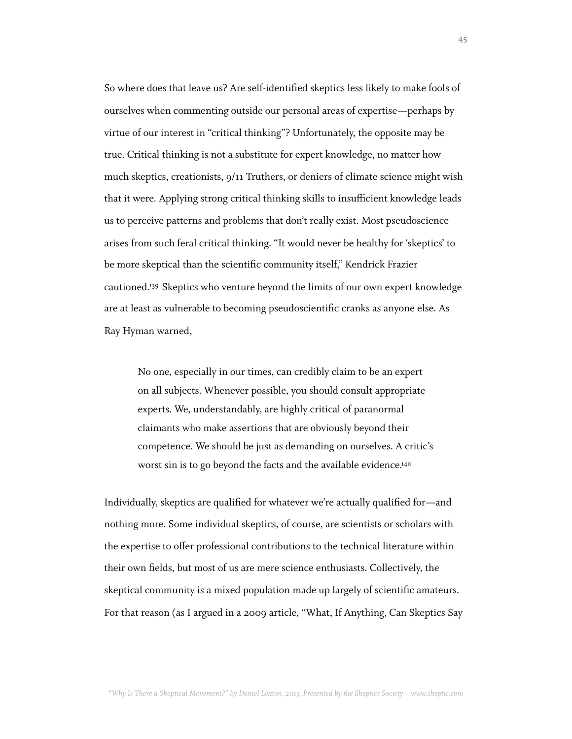So where does that leave us? Are self-identified skeptics less likely to make fools of ourselves when commenting outside our personal areas of expertise—perhaps by virtue of our interest in "critical thinking"? Unfortunately, the opposite may be true. Critical thinking is not a substitute for expert knowledge, no matter how much skeptics, creationists, 9/11 Truthers, or deniers of climate science might wish that it were. Applying strong critical thinking skills to insufficient knowledge leads us to perceive patterns and problems that don't really exist. Most pseudoscience arises from such feral critical thinking. "It would never be healthy for 'skeptics' to be more skeptical than the scientific community itself," Kendrick Frazier cautioned[.139](#page-76-4) Skeptics who venture beyond the limits of our own expert knowledge are at least as vulnerable to becoming pseudoscientific cranks as anyone else. As Ray Hyman warned,

No one, especially in our times, can credibly claim to be an expert on all subjects. Whenever possible, you should consult appropriate experts. We, understandably, are highly critical of paranormal claimants who make assertions that are obviously beyond their competence. We should be just as demanding on ourselves. A critic's worst sin is to go beyond the facts and the available evidence[.140](#page-76-5)

Individually, skeptics are qualified for whatever we're actually qualified for—and nothing more. Some individual skeptics, of course, are scientists or scholars with the expertise to offer professional contributions to the technical literature within their own fields, but most of us are mere science enthusiasts. Collectively, the skeptical community is a mixed population made up largely of scientific amateurs. For that reason (as I argued in a 2009 article, "What, If Anything, Can Skeptics Say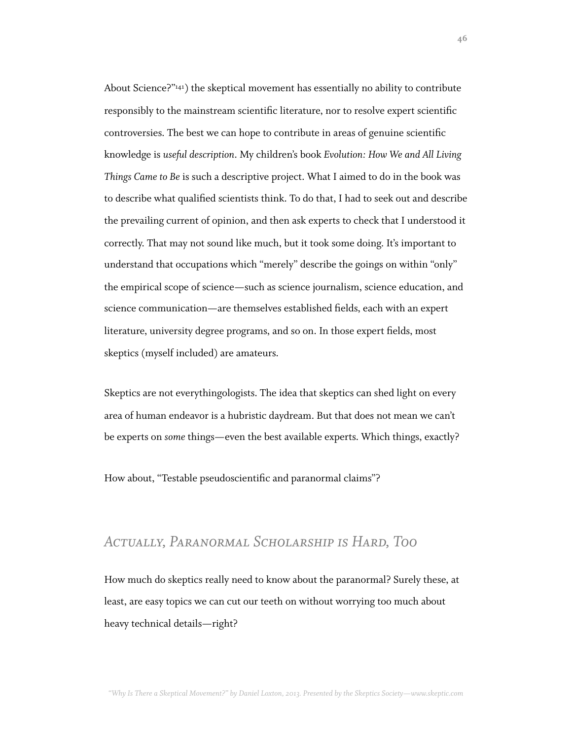About Science?"[141\)](#page-76-6) the skeptical movement has essentially no ability to contribute responsibly to the mainstream scientific literature, nor to resolve expert scientific controversies. The best we can hope to contribute in areas of genuine scientific knowledge is *useful description*. My children's book *Evolution: How We and All Living Things Came to Be* is such a descriptive project. What I aimed to do in the book was to describe what qualified scientists think. To do that, I had to seek out and describe the prevailing current of opinion, and then ask experts to check that I understood it correctly. That may not sound like much, but it took some doing. It's important to understand that occupations which "merely" describe the goings on within "only" the empirical scope of science—such as science journalism, science education, and science communication—are themselves established fields, each with an expert literature, university degree programs, and so on. In those expert fields, most skeptics (myself included) are amateurs.

Skeptics are not everythingologists. The idea that skeptics can shed light on every area of human endeavor is a hubristic daydream. But that does not mean we can't be experts on *some* things—even the best available experts. Which things, exactly?

How about, "Testable pseudoscientific and paranormal claims"?

### *Actually, Paranormal Scholarship is Hard, Too*

How much do skeptics really need to know about the paranormal? Surely these, at least, are easy topics we can cut our teeth on without worrying too much about heavy technical details—right?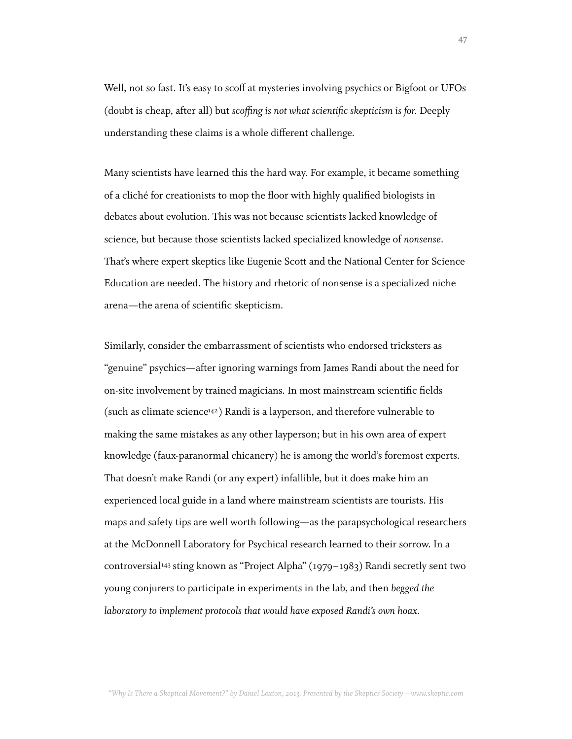Well, not so fast. It's easy to scoff at mysteries involving psychics or Bigfoot or UFOs (doubt is cheap, after all) but *scoffing is not what scientific skepticism is for.* Deeply understanding these claims is a whole different challenge.

Many scientists have learned this the hard way. For example, it became something of a cliché for creationists to mop the floor with highly qualified biologists in debates about evolution. This was not because scientists lacked knowledge of science, but because those scientists lacked specialized knowledge of *nonsense*. That's where expert skeptics like Eugenie Scott and the National Center for Science Education are needed. The history and rhetoric of nonsense is a specialized niche arena—the arena of scientific skepticism.

Similarly, consider the embarrassment of scientists who endorsed tricksters as "genuine" psychics—after ignoring warnings from James Randi about the need for on-site involvement by trained magicians. In most mainstream scientific fields (such as climate science<sup>142</sup>) Randi is a layperson, and therefore vulnerable to making the same mistakes as any other layperson; but in his own area of expert knowledge (faux-paranormal chicanery) he is among the world's foremost experts. That doesn't make Randi (or any expert) infallible, but it does make him an experienced local guide in a land where mainstream scientists are tourists. His maps and safety tips are well worth following—as the parapsychological researchers at the McDonnell Laboratory for Psychical research learned to their sorrow. In a controversial[143](#page-76-8) sting known as "Project Alpha" (1979–1983) Randi secretly sent two young conjurers to participate in experiments in the lab, and then *begged the laboratory to implement protocols that would have exposed Randi's own hoax.*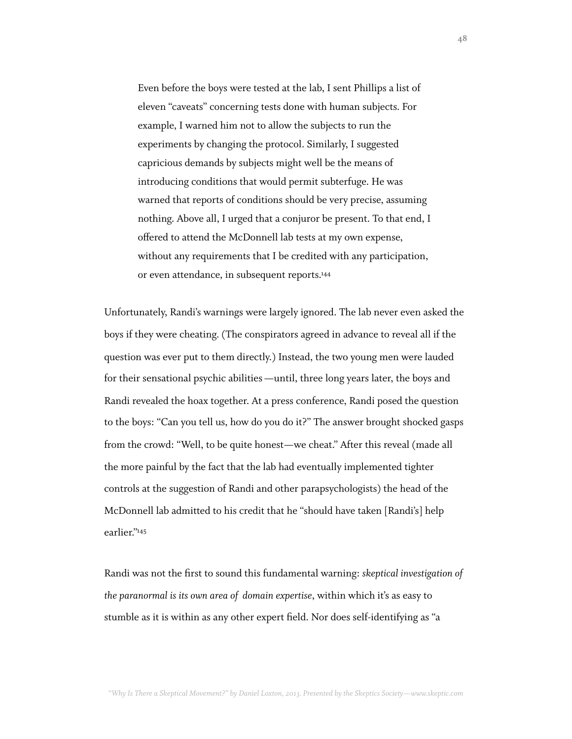Even before the boys were tested at the lab, I sent Phillips a list of eleven "caveats" concerning tests done with human subjects. For example, I warned him not to allow the subjects to run the experiments by changing the protocol. Similarly, I suggested capricious demands by subjects might well be the means of introducing conditions that would permit subterfuge. He was warned that reports of conditions should be very precise, assuming nothing. Above all, I urged that a conjuror be present. To that end, I offered to attend the McDonnell lab tests at my own expense, without any requirements that I be credited with any participation, or even attendance, in subsequent reports[.144](#page-76-9)

Unfortunately, Randi's warnings were largely ignored. The lab never even asked the boys if they were cheating. (The conspirators agreed in advance to reveal all if the question was ever put to them directly.) Instead, the two young men were lauded for their sensational psychic abilities —until, three long years later, the boys and Randi revealed the hoax together. At a press conference, Randi posed the question to the boys: "Can you tell us, how do you do it?" The answer brought shocked gasps from the crowd: "Well, to be quite honest—we cheat." After this reveal (made all the more painful by the fact that the lab had eventually implemented tighter controls at the suggestion of Randi and other parapsychologists) the head of the McDonnell lab admitted to his credit that he "should have taken [Randi's] help earlier.["145](#page-76-10)

Randi was not the first to sound this fundamental warning: *skeptical investigation of the paranormal is its own area of domain expertise*, within which it's as easy to stumble as it is within as any other expert field. Nor does self-identifying as "a

*"Why Is There a Skeptical Movement?" by Daniel Loxton, 2013. Presented by the Skeptics Society—www.skeptic.com*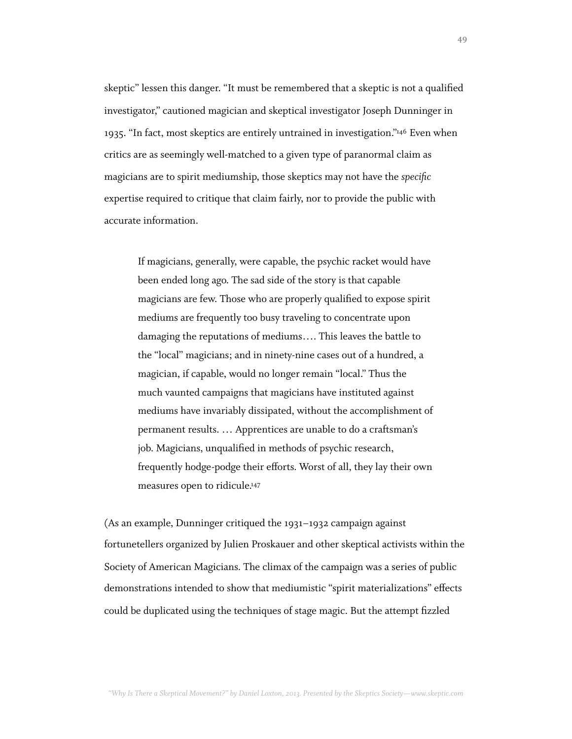skeptic" lessen this danger. "It must be remembered that a skeptic is not a qualified investigator," cautioned magician and skeptical investigator Joseph Dunninger in 1935. "In fact, most skeptics are entirely untrained in investigation.["146](#page-76-11) Even when critics are as seemingly well-matched to a given type of paranormal claim as magicians are to spirit mediumship, those skeptics may not have the *specific* expertise required to critique that claim fairly, nor to provide the public with accurate information.

If magicians, generally, were capable, the psychic racket would have been ended long ago. The sad side of the story is that capable magicians are few. Those who are properly qualified to expose spirit mediums are frequently too busy traveling to concentrate upon damaging the reputations of mediums…. This leaves the battle to the "local" magicians; and in ninety-nine cases out of a hundred, a magician, if capable, would no longer remain "local." Thus the much vaunted campaigns that magicians have instituted against mediums have invariably dissipated, without the accomplishment of permanent results. … Apprentices are unable to do a craftsman's job. Magicians, unqualified in methods of psychic research, frequently hodge-podge their efforts. Worst of all, they lay their own measures open to ridicule[.147](#page-76-12)

(As an example, Dunninger critiqued the 1931–1932 campaign against fortunetellers organized by Julien Proskauer and other skeptical activists within the Society of American Magicians. The climax of the campaign was a series of public demonstrations intended to show that mediumistic "spirit materializations" effects could be duplicated using the techniques of stage magic. But the attempt fizzled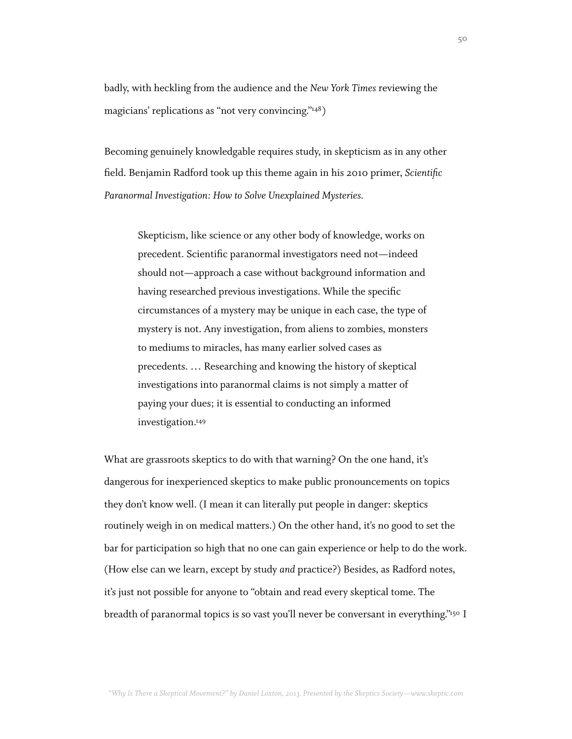badly, with heckling from the audience and the *New York Times* reviewing the magicians' replications as "not very convincing.["148\)](#page-77-0)

Becoming genuinely knowledgable requires study, in skepticism as in any other field. Benjamin Radford took up this theme again in his 2010 primer, *Scientific Paranormal Investigation: How to Solve Unexplained Mysteries.*

Skepticism, like science or any other body of knowledge, works on precedent. Scientific paranormal investigators need not—indeed should not—approach a case without background information and having researched previous investigations. While the specific circumstances of a mystery may be unique in each case, the type of mystery is not. Any investigation, from aliens to zombies, monsters to mediums to miracles, has many earlier solved cases as precedents. … Researching and knowing the history of skeptical investigations into paranormal claims is not simply a matter of paying your dues; it is essential to conducting an informed investigation[.149](#page-77-1)

What are grassroots skeptics to do with that warning? On the one hand, it's dangerous for inexperienced skeptics to make public pronouncements on topics they don't know well. (I mean it can literally put people in danger: skeptics routinely weigh in on medical matters.) On the other hand, it's no good to set the bar for participation so high that no one can gain experience or help to do the work. (How else can we learn, except by study *and* practice?) Besides, as Radford notes, it's just not possible for anyone to "obtain and read every skeptical tome. The breadth of paranormal topics is so vast you'll never be conversant in everything.["150](#page-77-2) I

*"Why Is There a Skeptical Movement?" by Daniel Loxton, 2013. Presented by the Skeptics Society—www.skeptic.com*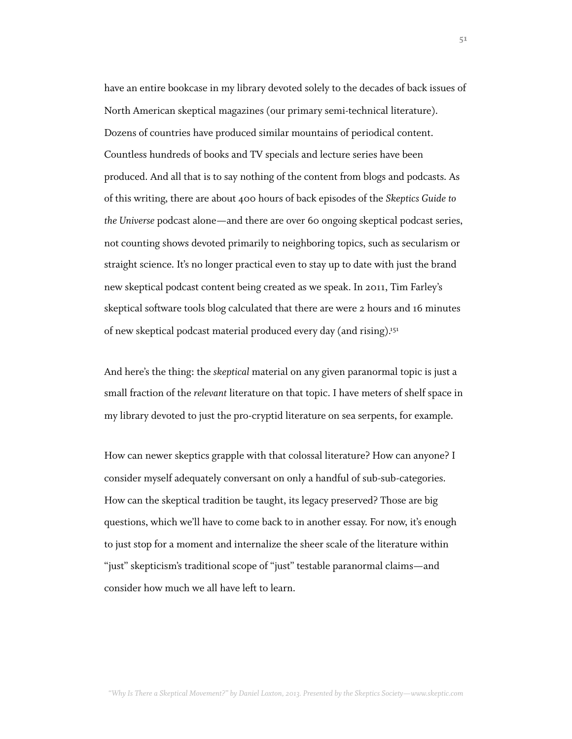have an entire bookcase in my library devoted solely to the decades of back issues of North American skeptical magazines (our primary semi-technical literature). Dozens of countries have produced similar mountains of periodical content. Countless hundreds of books and TV specials and lecture series have been produced. And all that is to say nothing of the content from blogs and podcasts. As of this writing, there are about 400 hours of back episodes of the *Skeptics Guide to the Universe* podcast alone—and there are over 60 ongoing skeptical podcast series, not counting shows devoted primarily to neighboring topics, such as secularism or straight science. It's no longer practical even to stay up to date with just the brand new skeptical podcast content being created as we speak. In 2011, Tim Farley's skeptical software tools blog calculated that there are were 2 hours and 16 minutes of new skeptical podcast material produced every day (and rising)[.151](#page-77-3)

And here's the thing: the *skeptical* material on any given paranormal topic is just a small fraction of the *relevant* literature on that topic. I have meters of shelf space in my library devoted to just the pro-cryptid literature on sea serpents, for example.

How can newer skeptics grapple with that colossal literature? How can anyone? I consider myself adequately conversant on only a handful of sub-sub-categories. How can the skeptical tradition be taught, its legacy preserved? Those are big questions, which we'll have to come back to in another essay. For now, it's enough to just stop for a moment and internalize the sheer scale of the literature within "just" skepticism's traditional scope of "just" testable paranormal claims—and consider how much we all have left to learn.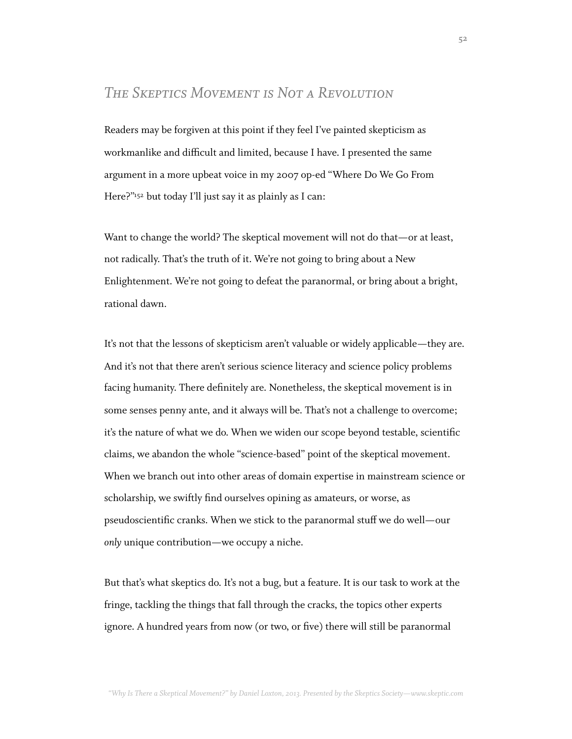### *The Skeptics Movement is Not a Revolution*

Readers may be forgiven at this point if they feel I've painted skepticism as workmanlike and difficult and limited, because I have. I presented the same argument in a more upbeat voice in my 2007 op-ed "Where Do We Go From Here?"<sup>152</sup> but today I'll just say it as plainly as I can:

Want to change the world? The skeptical movement will not do that—or at least, not radically. That's the truth of it. We're not going to bring about a New Enlightenment. We're not going to defeat the paranormal, or bring about a bright, rational dawn.

It's not that the lessons of skepticism aren't valuable or widely applicable—they are. And it's not that there aren't serious science literacy and science policy problems facing humanity. There definitely are. Nonetheless, the skeptical movement is in some senses penny ante, and it always will be. That's not a challenge to overcome; it's the nature of what we do. When we widen our scope beyond testable, scientific claims, we abandon the whole "science-based" point of the skeptical movement. When we branch out into other areas of domain expertise in mainstream science or scholarship, we swiftly find ourselves opining as amateurs, or worse, as pseudoscientific cranks. When we stick to the paranormal stuff we do well—our *only* unique contribution—we occupy a niche.

But that's what skeptics do. It's not a bug, but a feature. It is our task to work at the fringe, tackling the things that fall through the cracks, the topics other experts ignore. A hundred years from now (or two, or five) there will still be paranormal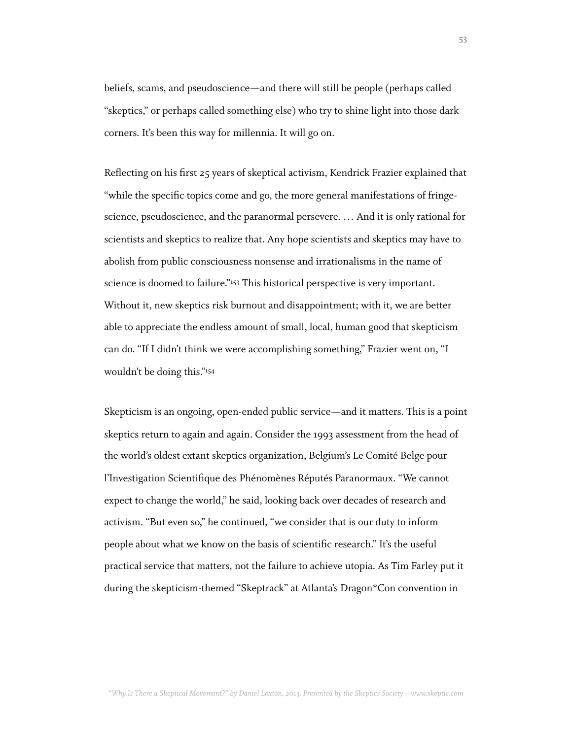beliefs, scams, and pseudoscience—and there will still be people (perhaps called "skeptics," or perhaps called something else) who try to shine light into those dark corners. It's been this way for millennia. It will go on.

Reflecting on his first 25 years of skeptical activism, Kendrick Frazier explained that "while the specific topics come and go, the more general manifestations of fringescience, pseudoscience, and the paranormal persevere. … And it is only rational for scientists and skeptics to realize that. Any hope scientists and skeptics may have to abolish from public consciousness nonsense and irrationalisms in the name of science is doomed to failure."[153](#page-77-5) This historical perspective is very important. Without it, new skeptics risk burnout and disappointment; with it, we are better able to appreciate the endless amount of small, local, human good that skepticism can do. "If I didn't think we were accomplishing something," Frazier went on, "I wouldn't be doing this.["154](#page-77-6)

Skepticism is an ongoing, open-ended public service—and it matters. This is a point skeptics return to again and again. Consider the 1993 assessment from the head of the world's oldest extant skeptics organization, Belgium's Le Comité Belge pour l'Investigation Scientifique des Phénomènes Réputés Paranormaux. "We cannot expect to change the world," he said, looking back over decades of research and activism. "But even so," he continued, "we consider that is our duty to inform people about what we know on the basis of scientific research." It's the useful practical service that matters, not the failure to achieve utopia. As Tim Farley put it during the skepticism-themed "Skeptrack" at Atlanta's Dragon\*Con convention in

*"Why Is There a Skeptical Movement?" by Daniel Loxton, 2013. Presented by the Skeptics Society—www.skeptic.com*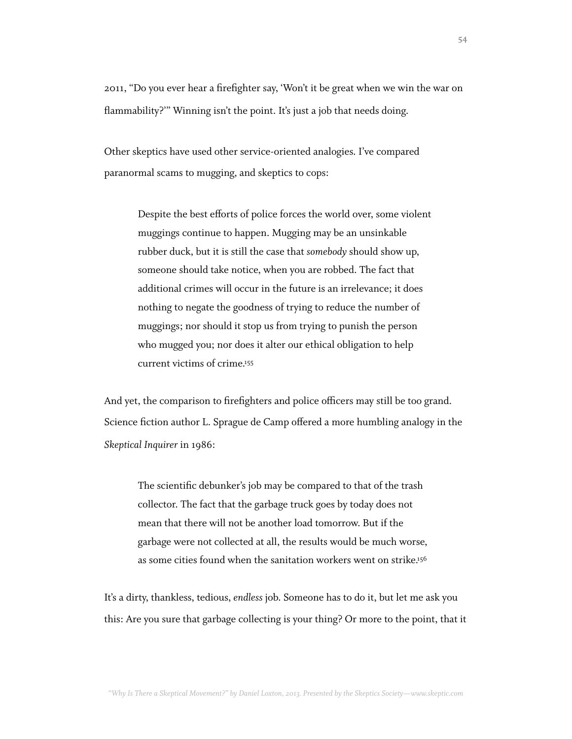2011, "Do you ever hear a firefighter say, 'Won't it be great when we win the war on flammability?'" Winning isn't the point. It's just a job that needs doing.

Other skeptics have used other service-oriented analogies. I've compared paranormal scams to mugging, and skeptics to cops:

> Despite the best efforts of police forces the world over, some violent muggings continue to happen. Mugging may be an unsinkable rubber duck, but it is still the case that *somebody* should show up, someone should take notice, when you are robbed. The fact that additional crimes will occur in the future is an irrelevance; it does nothing to negate the goodness of trying to reduce the number of muggings; nor should it stop us from trying to punish the person who mugged you; nor does it alter our ethical obligation to help current victims of crime[.155](#page-77-7)

And yet, the comparison to firefighters and police officers may still be too grand. Science fiction author L. Sprague de Camp offered a more humbling analogy in the *Skeptical Inquirer* in 1986:

The scientific debunker's job may be compared to that of the trash collector. The fact that the garbage truck goes by today does not mean that there will not be another load tomorrow. But if the garbage were not collected at all, the results would be much worse, as some cities found when the sanitation workers went on strike[.156](#page-77-8)

It's a dirty, thankless, tedious, *endless* job. Someone has to do it, but let me ask you this: Are you sure that garbage collecting is your thing? Or more to the point, that it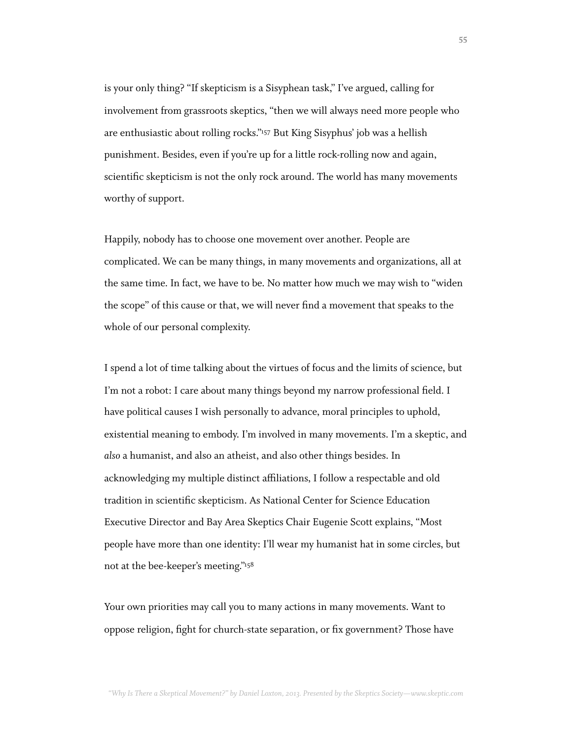is your only thing? "If skepticism is a Sisyphean task," I've argued, calling for involvement from grassroots skeptics, "then we will always need more people who are enthusiastic about rolling rocks.["157](#page-77-9) But King Sisyphus' job was a hellish punishment. Besides, even if you're up for a little rock-rolling now and again, scientific skepticism is not the only rock around. The world has many movements worthy of support.

Happily, nobody has to choose one movement over another. People are complicated. We can be many things, in many movements and organizations, all at the same time. In fact, we have to be. No matter how much we may wish to "widen the scope" of this cause or that, we will never find a movement that speaks to the whole of our personal complexity.

I spend a lot of time talking about the virtues of focus and the limits of science, but I'm not a robot: I care about many things beyond my narrow professional field. I have political causes I wish personally to advance, moral principles to uphold, existential meaning to embody. I'm involved in many movements. I'm a skeptic, and *also* a humanist, and also an atheist, and also other things besides. In acknowledging my multiple distinct affiliations, I follow a respectable and old tradition in scientific skepticism. As National Center for Science Education Executive Director and Bay Area Skeptics Chair Eugenie Scott explains, "Most people have more than one identity: I'll wear my humanist hat in some circles, but not at the bee-keeper's meeting.["158](#page-77-10)

Your own priorities may call you to many actions in many movements. Want to oppose religion, fight for church-state separation, or fix government? Those have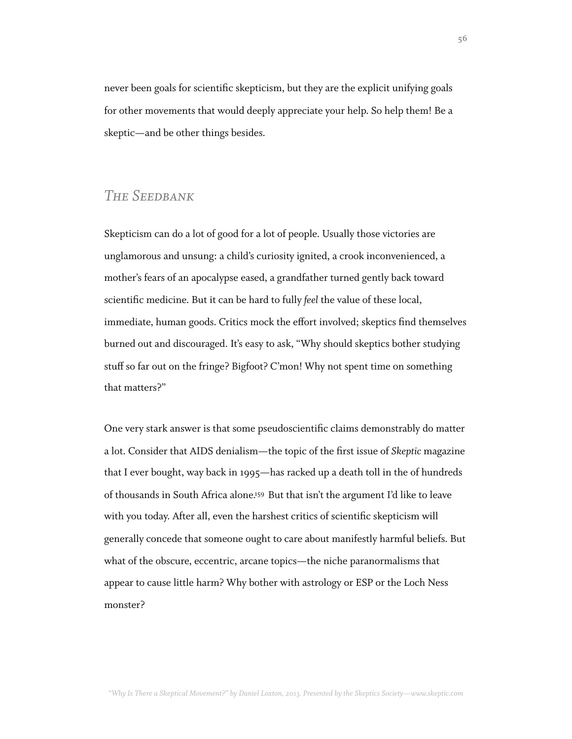never been goals for scientific skepticism, but they are the explicit unifying goals for other movements that would deeply appreciate your help. So help them! Be a skeptic—and be other things besides.

# *The Seedbank*

Skepticism can do a lot of good for a lot of people. Usually those victories are unglamorous and unsung: a child's curiosity ignited, a crook inconvenienced, a mother's fears of an apocalypse eased, a grandfather turned gently back toward scientific medicine. But it can be hard to fully *feel* the value of these local, immediate, human goods. Critics mock the effort involved; skeptics find themselves burned out and discouraged. It's easy to ask, "Why should skeptics bother studying stuff so far out on the fringe? Bigfoot? C'mon! Why not spent time on something that matters?"

One very stark answer is that some pseudoscientific claims demonstrably do matter a lot. Consider that AIDS denialism—the topic of the first issue of *Skeptic* magazine that I ever bought, way back in 1995—has racked up a death toll in the of hundreds of thousands in South Africa alone[.159](#page-77-11) But that isn't the argument I'd like to leave with you today. After all, even the harshest critics of scientific skepticism will generally concede that someone ought to care about manifestly harmful beliefs. But what of the obscure, eccentric, arcane topics—the niche paranormalisms that appear to cause little harm? Why bother with astrology or ESP or the Loch Ness monster?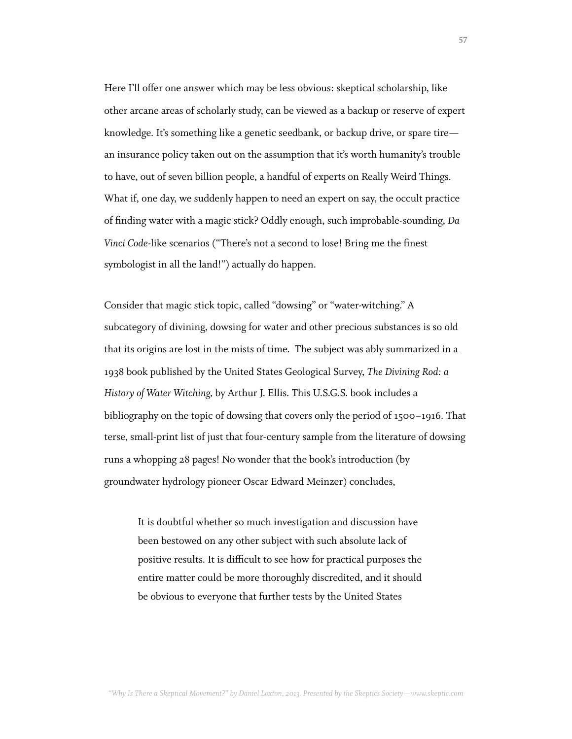Here I'll offer one answer which may be less obvious: skeptical scholarship, like other arcane areas of scholarly study, can be viewed as a backup or reserve of expert knowledge. It's something like a genetic seedbank, or backup drive, or spare tire an insurance policy taken out on the assumption that it's worth humanity's trouble to have, out of seven billion people, a handful of experts on Really Weird Things. What if, one day, we suddenly happen to need an expert on say, the occult practice of finding water with a magic stick? Oddly enough, such improbable-sounding, *Da Vinci Code*-like scenarios ("There's not a second to lose! Bring me the finest symbologist in all the land!") actually do happen.

Consider that magic stick topic, called "dowsing" or "water-witching." A subcategory of divining, dowsing for water and other precious substances is so old that its origins are lost in the mists of time. The subject was ably summarized in a 1938 book published by the United States Geological Survey, *The Divining Rod: a History of Water Witching,* by Arthur J. Ellis. This U.S.G.S. book includes a bibliography on the topic of dowsing that covers only the period of 1500–1916. That terse, small-print list of just that four-century sample from the literature of dowsing runs a whopping 28 pages! No wonder that the book's introduction (by groundwater hydrology pioneer Oscar Edward Meinzer) concludes,

It is doubtful whether so much investigation and discussion have been bestowed on any other subject with such absolute lack of positive results. It is difficult to see how for practical purposes the entire matter could be more thoroughly discredited, and it should be obvious to everyone that further tests by the United States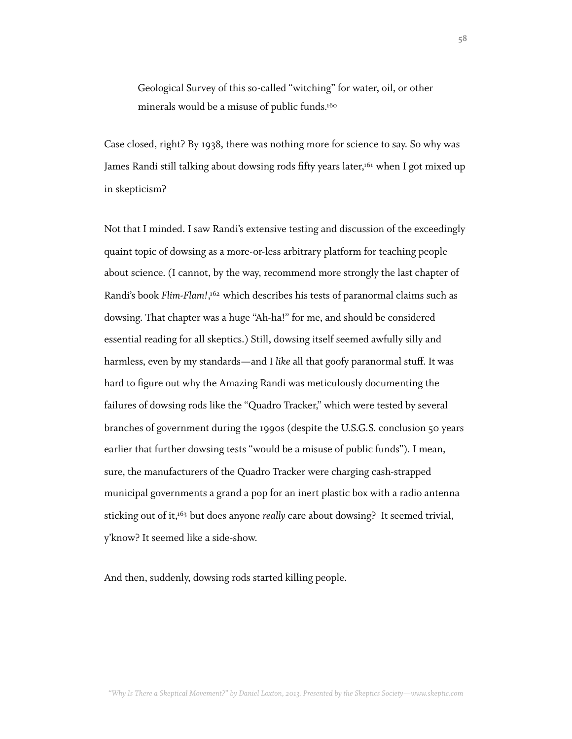Geological Survey of this so-called "witching" for water, oil, or other minerals would be a misuse of public funds[.160](#page-77-12)

Case closed, right? By 1938, there was nothing more for science to say. So why was James Randi still talking about dowsing rods fifty years later,<sup>161</sup> when I got mixed up in skepticism?

Not that I minded. I saw Randi's extensive testing and discussion of the exceedingly quaint topic of dowsing as a more-or-less arbitrary platform for teaching people about science. (I cannot, by the way, recommend more strongly the last chapter of Randi's book *Flim-Flam!*, [162](#page-77-14) which describes his tests of paranormal claims such as dowsing. That chapter was a huge "Ah-ha!" for me, and should be considered essential reading for all skeptics.) Still, dowsing itself seemed awfully silly and harmless, even by my standards—and I *like* all that goofy paranormal stuff. It was hard to figure out why the Amazing Randi was meticulously documenting the failures of dowsing rods like the "Quadro Tracker," which were tested by several branches of government during the 1990s (despite the U.S.G.S. conclusion 50 years earlier that further dowsing tests "would be a misuse of public funds"). I mean, sure, the manufacturers of the Quadro Tracker were charging cash-strapped municipal governments a grand a pop for an inert plastic box with a radio antenna sticking out of it[,163](#page-77-15) but does anyone *really* care about dowsing? It seemed trivial, y'know? It seemed like a side-show.

And then, suddenly, dowsing rods started killing people.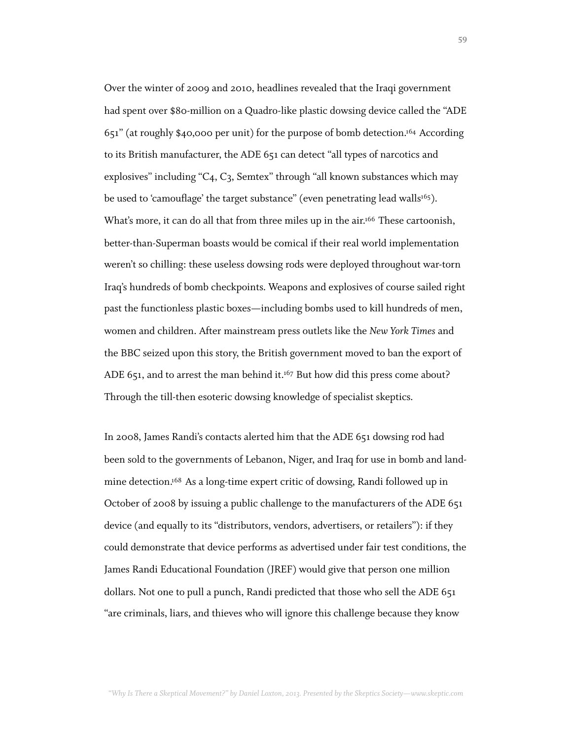Over the winter of 2009 and 2010, headlines revealed that the Iraqi government had spent over \$80-million on a Quadro-like plastic dowsing device called the "ADE 651" (at roughly \$40,000 per unit) for the purpose of bomb detection[.164](#page-77-16) According to its British manufacturer, the ADE 651 can detect "all types of narcotics and explosives" including " $C_4$ ,  $C_3$ , Semtex" through "all known substances which may be used to 'camouflage' the target substance" (even penetrating lead walls<sup>[165](#page-77-17)</sup>). What's more, it can do all that from three miles up in the air[.166](#page-77-18) These cartoonish, better-than-Superman boasts would be comical if their real world implementation weren't so chilling: these useless dowsing rods were deployed throughout war-torn Iraq's hundreds of bomb checkpoints. Weapons and explosives of course sailed right past the functionless plastic boxes—including bombs used to kill hundreds of men, women and children. After mainstream press outlets like the *New York Times* and the BBC seized upon this story, the British government moved to ban the export of ADE 651, and to arrest the man behind it[.167](#page-77-19) But how did this press come about? Through the till-then esoteric dowsing knowledge of specialist skeptics.

In 2008, James Randi's contacts alerted him that the ADE 651 dowsing rod had been sold to the governments of Lebanon, Niger, and Iraq for use in bomb and landmine detection[.168](#page-78-0) As a long-time expert critic of dowsing, Randi followed up in October of 2008 by issuing a public challenge to the manufacturers of the ADE 651 device (and equally to its "distributors, vendors, advertisers, or retailers"): if they could demonstrate that device performs as advertised under fair test conditions, the James Randi Educational Foundation (JREF) would give that person one million dollars. Not one to pull a punch, Randi predicted that those who sell the ADE 651 "are criminals, liars, and thieves who will ignore this challenge because they know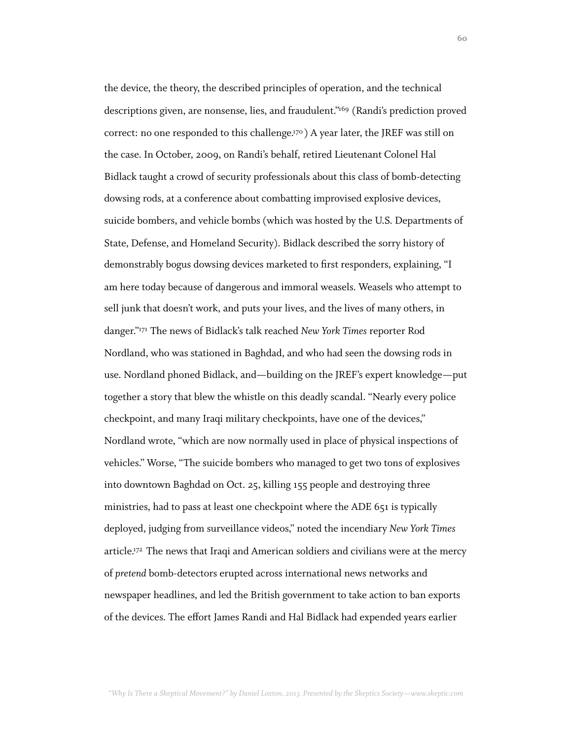the device, the theory, the described principles of operation, and the technical descriptions given, are nonsense, lies, and fraudulent.["169](#page-78-1) (Randi's prediction proved correct: no one responded to this challenge[.170](#page-78-2) ) A year later, the JREF was still on the case. In October, 2009, on Randi's behalf, retired Lieutenant Colonel Hal Bidlack taught a crowd of security professionals about this class of bomb-detecting dowsing rods, at a conference about combatting improvised explosive devices, suicide bombers, and vehicle bombs (which was hosted by the U.S. Departments of State, Defense, and Homeland Security). Bidlack described the sorry history of demonstrably bogus dowsing devices marketed to first responders, explaining, "I am here today because of dangerous and immoral weasels. Weasels who attempt to sell junk that doesn't work, and puts your lives, and the lives of many others, in danger."[171](#page-78-3) The news of Bidlack's talk reached *New York Times* reporter Rod Nordland, who was stationed in Baghdad, and who had seen the dowsing rods in use. Nordland phoned Bidlack, and—building on the JREF's expert knowledge—put together a story that blew the whistle on this deadly scandal. "Nearly every police checkpoint, and many Iraqi military checkpoints, have one of the devices," Nordland wrote, "which are now normally used in place of physical inspections of vehicles." Worse, "The suicide bombers who managed to get two tons of explosives into downtown Baghdad on Oct. 25, killing 155 people and destroying three ministries, had to pass at least one checkpoint where the ADE 651 is typically deployed, judging from surveillance videos," noted the incendiary *New York Times* article[.172](#page-78-4) The news that Iraqi and American soldiers and civilians were at the mercy of *pretend* bomb-detectors erupted across international news networks and newspaper headlines, and led the British government to take action to ban exports of the devices. The effort James Randi and Hal Bidlack had expended years earlier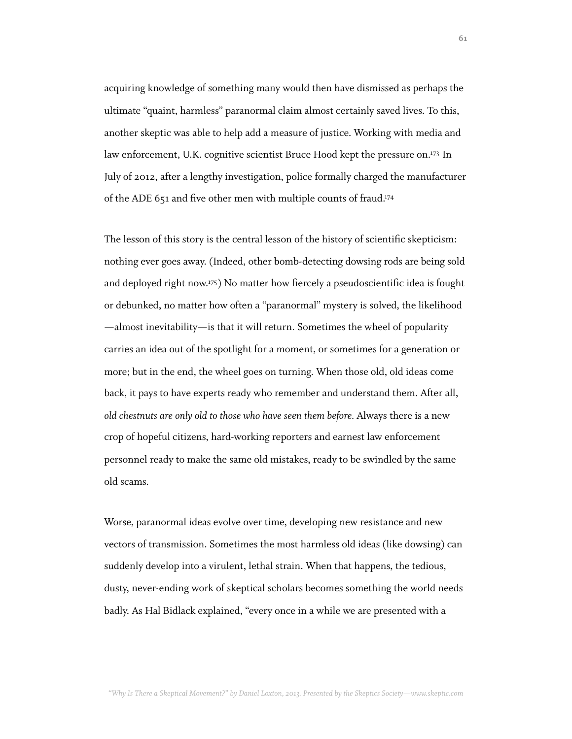acquiring knowledge of something many would then have dismissed as perhaps the ultimate "quaint, harmless" paranormal claim almost certainly saved lives. To this, another skeptic was able to help add a measure of justice. Working with media and law enforcement, U.K. cognitive scientist Bruce Hood kept the pressure on[.173](#page-78-5) In July of 2012, after a lengthy investigation, police formally charged the manufacturer of the ADE 651 and five other men with multiple counts of fraud[.174](#page-78-6) 

The lesson of this story is the central lesson of the history of scientific skepticism: nothing ever goes away. (Indeed, other bomb-detecting dowsing rods are being sold and deployed right now[.175\)](#page-78-7) No matter how fiercely a pseudoscientific idea is fought or debunked, no matter how often a "paranormal" mystery is solved, the likelihood —almost inevitability—is that it will return. Sometimes the wheel of popularity carries an idea out of the spotlight for a moment, or sometimes for a generation or more; but in the end, the wheel goes on turning. When those old, old ideas come back, it pays to have experts ready who remember and understand them. After all, *old chestnuts are only old to those who have seen them before.* Always there is a new crop of hopeful citizens, hard-working reporters and earnest law enforcement personnel ready to make the same old mistakes, ready to be swindled by the same old scams.

Worse, paranormal ideas evolve over time, developing new resistance and new vectors of transmission. Sometimes the most harmless old ideas (like dowsing) can suddenly develop into a virulent, lethal strain. When that happens, the tedious, dusty, never-ending work of skeptical scholars becomes something the world needs badly. As Hal Bidlack explained, "every once in a while we are presented with a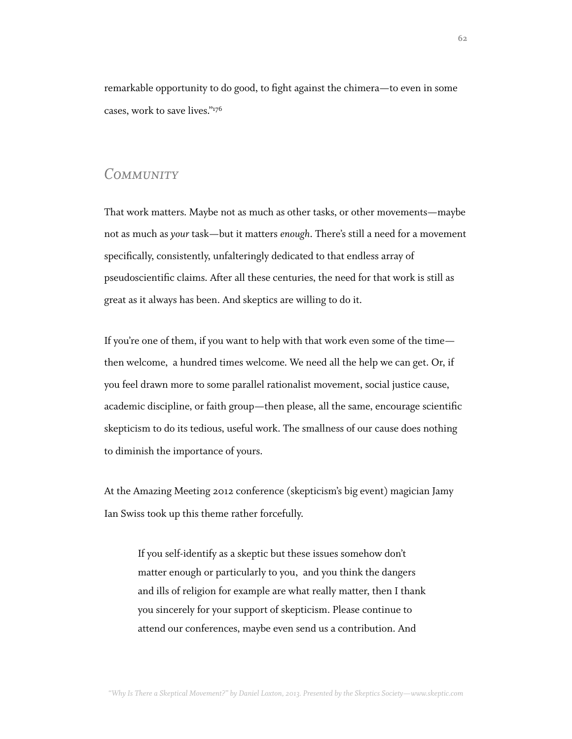remarkable opportunity to do good, to fight against the chimera—to even in some cases, work to save lives."[176](#page-78-8)

#### *Community*

That work matters. Maybe not as much as other tasks, or other movements—maybe not as much as *your* task—but it matters *enough*. There's still a need for a movement specifically, consistently, unfalteringly dedicated to that endless array of pseudoscientific claims. After all these centuries, the need for that work is still as great as it always has been. And skeptics are willing to do it.

If you're one of them, if you want to help with that work even some of the time then welcome, a hundred times welcome. We need all the help we can get. Or, if you feel drawn more to some parallel rationalist movement, social justice cause, academic discipline, or faith group—then please, all the same, encourage scientific skepticism to do its tedious, useful work. The smallness of our cause does nothing to diminish the importance of yours.

At the Amazing Meeting 2012 conference (skepticism's big event) magician Jamy Ian Swiss took up this theme rather forcefully.

If you self-identify as a skeptic but these issues somehow don't matter enough or particularly to you, and you think the dangers and ills of religion for example are what really matter, then I thank you sincerely for your support of skepticism. Please continue to attend our conferences, maybe even send us a contribution. And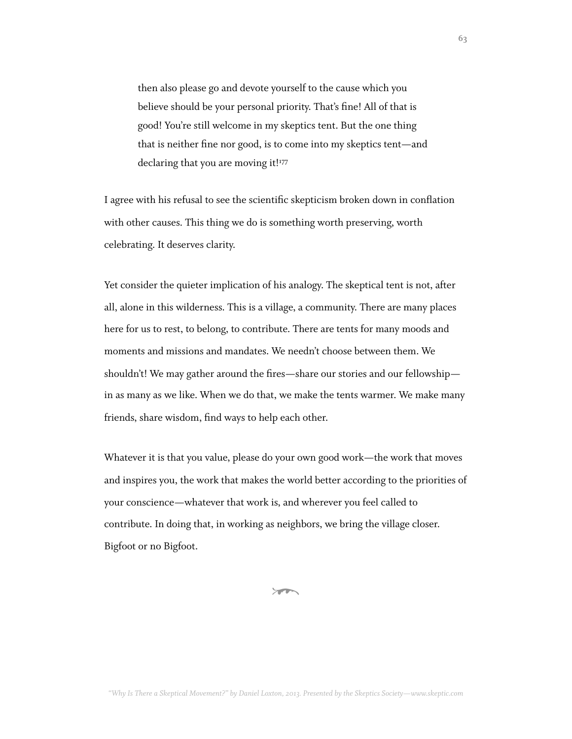then also please go and devote yourself to the cause which you believe should be your personal priority. That's fine! All of that is good! You're still welcome in my skeptics tent. But the one thing that is neither fine nor good, is to come into my skeptics tent—and declaring that you are moving it!<sup>[177](#page-78-9)</sup>

I agree with his refusal to see the scientific skepticism broken down in conflation with other causes. This thing we do is something worth preserving, worth celebrating. It deserves clarity.

Yet consider the quieter implication of his analogy. The skeptical tent is not, after all, alone in this wilderness. This is a village, a community. There are many places here for us to rest, to belong, to contribute. There are tents for many moods and moments and missions and mandates. We needn't choose between them. We shouldn't! We may gather around the fires—share our stories and our fellowship in as many as we like. When we do that, we make the tents warmer. We make many friends, share wisdom, find ways to help each other.

Whatever it is that you value, please do your own good work—the work that moves and inspires you, the work that makes the world better according to the priorities of your conscience—whatever that work is, and wherever you feel called to contribute. In doing that, in working as neighbors, we bring the village closer. Bigfoot or no Bigfoot.

 $\sqrt{2}$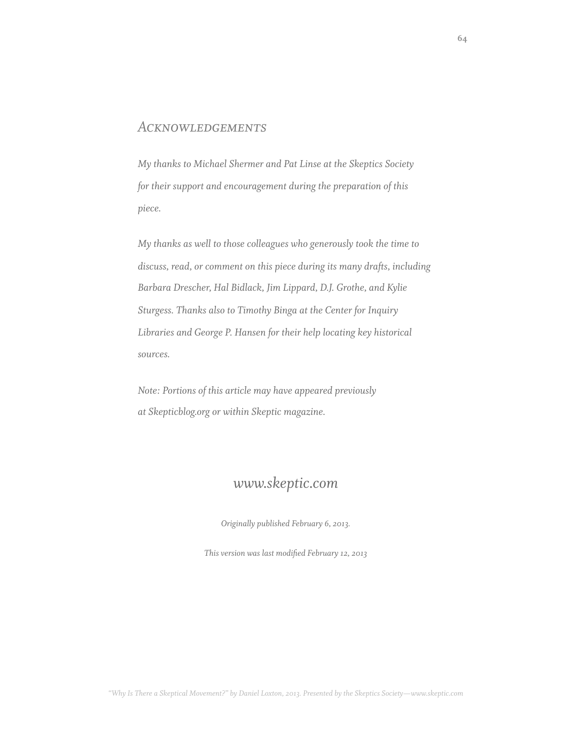#### *Acknowledgements*

*My thanks to Michael Shermer and Pat Linse at the Skeptics Society for their support and encouragement during the preparation of this piece.* 

*My thanks as well to those colleagues who generously took the time to discuss, read, or comment on this piece during its many drafts, including Barbara Drescher, Hal Bidlack, Jim Lippard, D.J. Grothe, and Kylie Sturgess. Thanks also to Timothy Binga at the Center for Inquiry Libraries and George P. Hansen for their help locating key historical sources.*

*Note: Portions of this article may have appeared previously at Skepticblog.org or within Skeptic magazine.*

# *www.skeptic.com*

*Originally published February 6, 2013.* 

*This version was last modified February 12, 2013*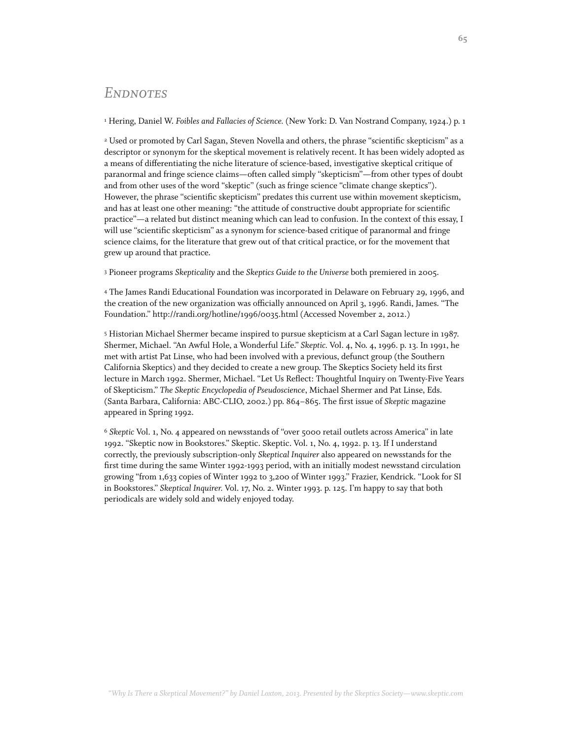# *Endnotes*

1 Hering, Daniel W. *Foibles and Fallacies of Science.* (New York: D. Van Nostrand Company, 1924.) p. 1

<sup>2</sup> Used or promoted by Carl Sagan, Steven Novella and others, the phrase "scientific skepticism" as a descriptor or synonym for the skeptical movement is relatively recent. It has been widely adopted as a means of differentiating the niche literature of science-based, investigative skeptical critique of paranormal and fringe science claims—often called simply "skepticism"—from other types of doubt and from other uses of the word "skeptic" (such as fringe science "climate change skeptics"). However, the phrase "scientific skepticism" predates this current use within movement skepticism, and has at least one other meaning: "the attitude of constructive doubt appropriate for scientific practice"—a related but distinct meaning which can lead to confusion. In the context of this essay, I will use "scientific skepticism" as a synonym for science-based critique of paranormal and fringe science claims, for the literature that grew out of that critical practice, or for the movement that grew up around that practice.

3 Pioneer programs *Skepticality* and the *Skeptics Guide to the Universe* both premiered in 2005.

4 The James Randi Educational Foundation was incorporated in Delaware on February 29, 1996, and the creation of the new organization was officially announced on April 3, 1996. Randi, James. "The Foundation." http://randi.org/hotline/1996/0035.html (Accessed November 2, 2012.)

5 Historian Michael Shermer became inspired to pursue skepticism at a Carl Sagan lecture in 1987. Shermer, Michael. "An Awful Hole, a Wonderful Life." *Skeptic.* Vol. 4, No. 4, 1996. p. 13. In 1991, he met with artist Pat Linse, who had been involved with a previous, defunct group (the Southern California Skeptics) and they decided to create a new group. The Skeptics Society held its first lecture in March 1992. Shermer, Michael. "Let Us Reflect: Thoughtful Inquiry on Twenty-Five Years of Skepticism." *The Skeptic Encyclopedia of Pseudoscience*, Michael Shermer and Pat Linse, Eds. (Santa Barbara, California: ABC-CLIO, 2002.) pp. 864–865. The first issue of *Skeptic* magazine appeared in Spring 1992.

<sup>6</sup> *Skeptic* Vol. 1, No. 4 appeared on newsstands of "over 5000 retail outlets across America" in late 1992. "Skeptic now in Bookstores." Skeptic. Skeptic. Vol. 1, No. 4, 1992. p. 13. If I understand correctly, the previously subscription-only *Skeptical Inquirer* also appeared on newsstands for the first time during the same Winter 1992-1993 period, with an initially modest newsstand circulation growing "from 1,633 copies of Winter 1992 to 3,200 of Winter 1993." Frazier, Kendrick. "Look for SI in Bookstores." *Skeptical Inquirer.* Vol. 17, No. 2. Winter 1993. p. 125. I'm happy to say that both periodicals are widely sold and widely enjoyed today.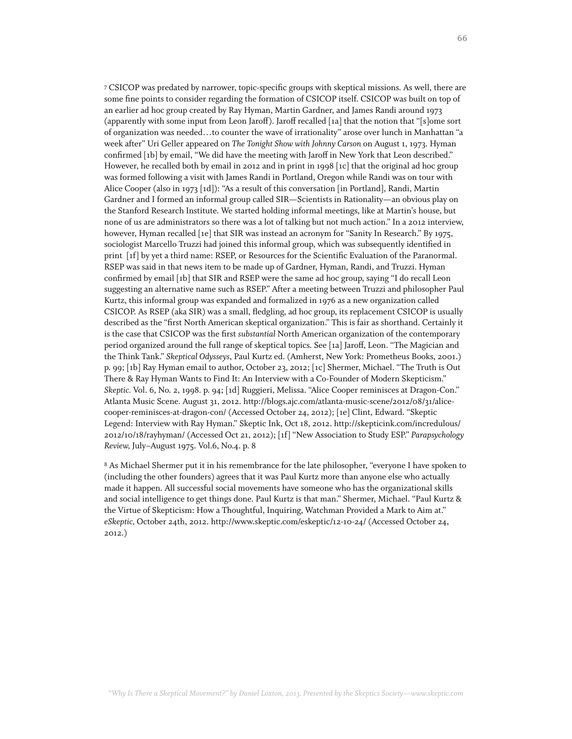7 CSICOP was predated by narrower, topic-specific groups with skeptical missions. As well, there are some fine points to consider regarding the formation of CSICOP itself. CSICOP was built on top of an earlier ad hoc group created by Ray Hyman, Martin Gardner, and James Randi around 1973 (apparently with some input from Leon Jaroff). Jaroff recalled  $\lceil$  1a] that the notion that " $\lceil s \rceil$ ome sort of organization was needed…to counter the wave of irrationality" arose over lunch in Manhattan "a week after" Uri Geller appeared on *The Tonight Show with Johnny Carson* on August 1, 1973. Hyman confirmed [1b] by email, "We did have the meeting with Jaroff in New York that Leon described." However, he recalled both by email in 2012 and in print in 1998 [1c] that the original ad hoc group was formed following a visit with James Randi in Portland, Oregon while Randi was on tour with Alice Cooper (also in 1973 [1d]): "As a result of this conversation [in Portland], Randi, Martin Gardner and I formed an informal group called SIR—Scientists in Rationality—an obvious play on the Stanford Research Institute. We started holding informal meetings, like at Martin's house, but none of us are administrators so there was a lot of talking but not much action." In a 2012 interview, however, Hyman recalled [1e] that SIR was instead an acronym for "Sanity In Research." By 1975, sociologist Marcello Truzzi had joined this informal group, which was subsequently identified in print [1f] by yet a third name: RSEP, or Resources for the Scientific Evaluation of the Paranormal. RSEP was said in that news item to be made up of Gardner, Hyman, Randi, and Truzzi. Hyman confirmed by email [1b] that SIR and RSEP were the same ad hoc group, saying "I do recall Leon suggesting an alternative name such as RSEP." After a meeting between Truzzi and philosopher Paul Kurtz, this informal group was expanded and formalized in 1976 as a new organization called CSICOP. As RSEP (aka SIR) was a small, fledgling, ad hoc group, its replacement CSICOP is usually described as the "first North American skeptical organization." This is fair as shorthand. Certainly it is the case that CSICOP was the first *substantial* North American organization of the contemporary period organized around the full range of skeptical topics. See [1a] Jaroff, Leon. "The Magician and the Think Tank." *Skeptical Odysseys*, Paul Kurtz ed. (Amherst, New York: Prometheus Books, 2001.) p. 99; [1b] Ray Hyman email to author, October 23, 2012; [1c] Shermer, Michael. "The Truth is Out There & Ray Hyman Wants to Find It: An Interview with a Co-Founder of Modern Skepticism." *Skeptic.* Vol. 6, No. 2, 1998. p. 94; [1d] Ruggieri, Melissa. "Alice Cooper reminisces at Dragon-Con." Atlanta Music Scene. August 31, 2012. http://blogs.ajc.com/atlanta-music-scene/2012/08/31/alicecooper-reminisces-at-dragon-con/ (Accessed October 24, 2012); [1e] Clint, Edward. "Skeptic Legend: Interview with Ray Hyman." Skeptic Ink, Oct 18, 2012. http://skepticink.com/incredulous/ 2012/10/18/rayhyman/ (Accessed Oct 21, 2012); [1f] "New Association to Study ESP." *Parapsychology Review,* July–August 1975. Vol.6, No.4. p. 8

<sup>8</sup> As Michael Shermer put it in his remembrance for the late philosopher, "everyone I have spoken to (including the other founders) agrees that it was Paul Kurtz more than anyone else who actually made it happen. All successful social movements have someone who has the organizational skills and social intelligence to get things done. Paul Kurtz is that man." Shermer, Michael. "Paul Kurtz & the Virtue of Skepticism: How a Thoughtful, Inquiring, Watchman Provided a Mark to Aim at." *eSkeptic,* October 24th, 2012. http://www.skeptic.com/eskeptic/12-10-24/ (Accessed October 24, 2012.)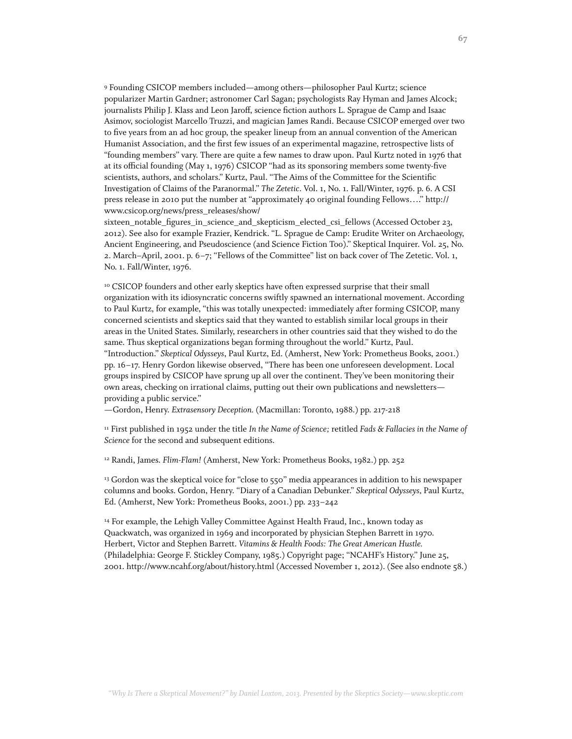9 Founding CSICOP members included—among others—philosopher Paul Kurtz; science popularizer Martin Gardner; astronomer Carl Sagan; psychologists Ray Hyman and James Alcock; journalists Philip J. Klass and Leon Jaroff, science fiction authors L. Sprague de Camp and Isaac Asimov, sociologist Marcello Truzzi, and magician James Randi. Because CSICOP emerged over two to five years from an ad hoc group, the speaker lineup from an annual convention of the American Humanist Association, and the first few issues of an experimental magazine, retrospective lists of "founding members" vary. There are quite a few names to draw upon. Paul Kurtz noted in 1976 that at its official founding (May 1, 1976) CSICOP "had as its sponsoring members some twenty-five scientists, authors, and scholars." Kurtz, Paul. "The Aims of the Committee for the Scientific Investigation of Claims of the Paranormal." *The Zetetic*. Vol. 1, No. 1. Fall/Winter, 1976. p. 6. A CSI press release in 2010 put the number at "approximately 40 original founding Fellows…." http:// www.csicop.org/news/press\_releases/show/

sixteen\_notable\_figures\_in\_science\_and\_skepticism\_elected\_csi\_fellows (Accessed October 23, 2012). See also for example Frazier, Kendrick. "L. Sprague de Camp: Erudite Writer on Archaeology, Ancient Engineering, and Pseudoscience (and Science Fiction Too)." Skeptical Inquirer. Vol. 25, No. 2. March–April, 2001. p. 6–7; "Fellows of the Committee" list on back cover of The Zetetic. Vol. 1, No. 1. Fall/Winter, 1976.

10 CSICOP founders and other early skeptics have often expressed surprise that their small organization with its idiosyncratic concerns swiftly spawned an international movement. According to Paul Kurtz, for example, "this was totally unexpected: immediately after forming CSICOP, many concerned scientists and skeptics said that they wanted to establish similar local groups in their areas in the United States. Similarly, researchers in other countries said that they wished to do the same. Thus skeptical organizations began forming throughout the world." Kurtz, Paul. "Introduction." *Skeptical Odysseys*, Paul Kurtz, Ed. (Amherst, New York: Prometheus Books, 2001.) pp. 16–17. Henry Gordon likewise observed, "There has been one unforeseen development. Local groups inspired by CSICOP have sprung up all over the continent. They've been monitoring their own areas, checking on irrational claims, putting out their own publications and newsletters providing a public service."

—Gordon, Henry. *Extrasensory Deception.* (Macmillan: Toronto, 1988.) pp. 217-218

11 First published in 1952 under the title *In the Name of Science;* retitled *Fads & Fallacies in the Name of Science* for the second and subsequent editions.

12 Randi, James. *Flim-Flam!* (Amherst, New York: Prometheus Books, 1982.) pp. 252

13 Gordon was the skeptical voice for "close to 550" media appearances in addition to his newspaper columns and books. Gordon, Henry. "Diary of a Canadian Debunker." *Skeptical Odysseys,* Paul Kurtz, Ed. (Amherst, New York: Prometheus Books, 2001.) pp. 233–242

14 For example, the Lehigh Valley Committee Against Health Fraud, Inc., known today as Quackwatch, was organized in 1969 and incorporated by physician Stephen Barrett in 1970. Herbert, Victor and Stephen Barrett. *Vitamins & Health Foods: The Great American Hustle.* (Philadelphia: George F. Stickley Company, 1985.) Copyright page; "NCAHF's History." June 25, 2001. http://www.ncahf.org/about/history.html (Accessed November 1, 2012). (See also endnote 58.)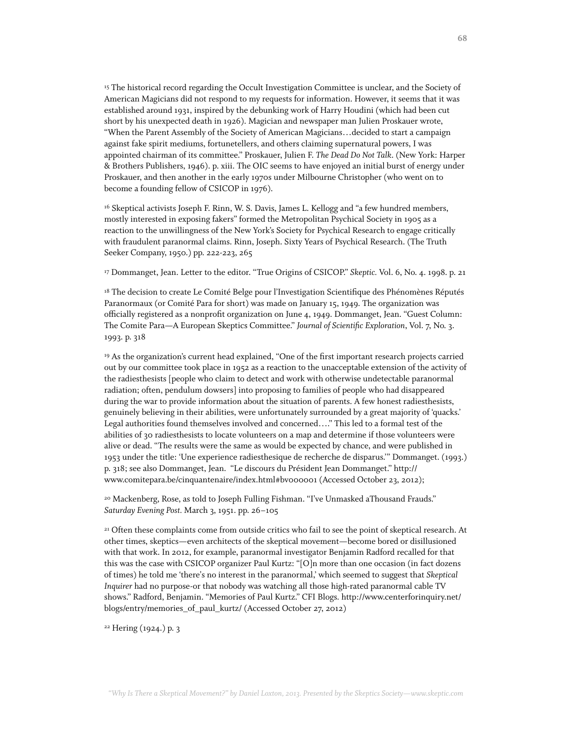<sup>15</sup> The historical record regarding the Occult Investigation Committee is unclear, and the Society of American Magicians did not respond to my requests for information. However, it seems that it was established around 1931, inspired by the debunking work of Harry Houdini (which had been cut short by his unexpected death in 1926). Magician and newspaper man Julien Proskauer wrote, "When the Parent Assembly of the Society of American Magicians…decided to start a campaign against fake spirit mediums, fortunetellers, and others claiming supernatural powers, I was appointed chairman of its committee." Proskauer, Julien F. *The Dead Do Not Talk*. (New York: Harper & Brothers Publishers, 1946). p. xiii. The OIC seems to have enjoyed an initial burst of energy under Proskauer, and then another in the early 1970s under Milbourne Christopher (who went on to become a founding fellow of CSICOP in 1976).

16 Skeptical activists Joseph F. Rinn, W. S. Davis, James L. Kellogg and "a few hundred members, mostly interested in exposing fakers" formed the Metropolitan Psychical Society in 1905 as a reaction to the unwillingness of the New York's Society for Psychical Research to engage critically with fraudulent paranormal claims. Rinn, Joseph. Sixty Years of Psychical Research. (The Truth Seeker Company, 1950.) pp. 222-223, 265

17 Dommanget, Jean. Letter to the editor. "True Origins of CSICOP." *Skeptic.* Vol. 6, No. 4. 1998. p. 21

<sup>18</sup> The decision to create Le Comité Belge pour l'Investigation Scientifique des Phénomènes Réputés Paranormaux (or Comité Para for short) was made on January 15, 1949. The organization was officially registered as a nonprofit organization on June 4, 1949. Dommanget, Jean. "Guest Column: The Comite Para—A European Skeptics Committee." *Journal of Scientific Exploration*, Vol. 7, No. 3. 1993. p. 318

19 As the organization's current head explained, "One of the first important research projects carried out by our committee took place in 1952 as a reaction to the unacceptable extension of the activity of the radiesthesists [people who claim to detect and work with otherwise undetectable paranormal radiation; often, pendulum dowsers] into proposing to families of people who had disappeared during the war to provide information about the situation of parents. A few honest radiesthesists, genuinely believing in their abilities, were unfortunately surrounded by a great majority of 'quacks.' Legal authorities found themselves involved and concerned…." This led to a formal test of the abilities of 30 radiesthesists to locate volunteers on a map and determine if those volunteers were alive or dead. "The results were the same as would be expected by chance, and were published in 1953 under the title: 'Une experience radiesthesique de recherche de disparus.'" Dommanget. (1993.) p. 318; see also Dommanget, Jean. "Le discours du Président Jean Dommanget." http:// www.comitepara.be/cinquantenaire/index.html#bv000001 (Accessed October 23, 2012);

<sup>20</sup> Mackenberg, Rose, as told to Joseph Fulling Fishman. "I've Unmasked aThousand Frauds." *Saturday Evening Post.* March 3, 1951. pp. 26–105

<sup>21</sup> Often these complaints come from outside critics who fail to see the point of skeptical research. At other times, skeptics—even architects of the skeptical movement—become bored or disillusioned with that work. In 2012, for example, paranormal investigator Benjamin Radford recalled for that this was the case with CSICOP organizer Paul Kurtz: "[O]n more than one occasion (in fact dozens of times) he told me 'there's no interest in the paranormal,' which seemed to suggest that *Skeptical Inquirer* had no purpose-or that nobody was watching all those high-rated paranormal cable TV shows." Radford, Benjamin. "Memories of Paul Kurtz." CFI Blogs. http://www.centerforinquiry.net/ blogs/entry/memories\_of\_paul\_kurtz/ (Accessed October 27, 2012)

22 Hering (1924.) p. 3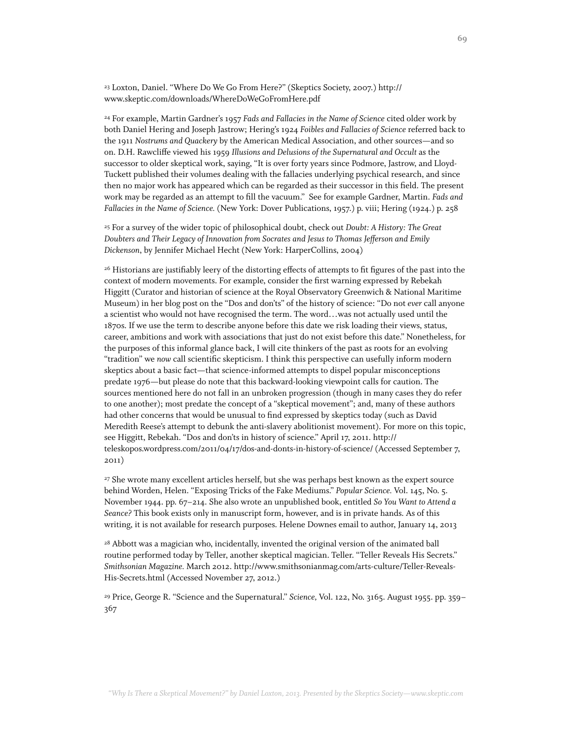23 Loxton, Daniel. "Where Do We Go From Here?" (Skeptics Society, 2007.) http:// www.skeptic.com/downloads/WhereDoWeGoFromHere.pdf

24 For example, Martin Gardner's 1957 *Fads and Fallacies in the Name of Science* cited older work by both Daniel Hering and Joseph Jastrow; Hering's 1924 *Foibles and Fallacies of Science* referred back to the 1911 *Nostrums and Quackery* by the American Medical Association, and other sources—and so on. D.H. Rawcliffe viewed his 1959 *Illusions and Delusions of the Supernatural and Occult* as the successor to older skeptical work, saying, "It is over forty years since Podmore, Jastrow, and Lloyd-Tuckett published their volumes dealing with the fallacies underlying psychical research, and since then no major work has appeared which can be regarded as their successor in this field. The present work may be regarded as an attempt to fill the vacuum." See for example Gardner, Martin. *Fads and Fallacies in the Name of Science.* (New York: Dover Publications, 1957.) p. viii; Hering (1924.) p. 258

25 For a survey of the wider topic of philosophical doubt, check out *Doubt: A History: The Great Doubters and Their Legacy of Innovation from Socrates and Jesus to Thomas Je!erson and Emily Dickenson*, by Jennifer Michael Hecht (New York: HarperCollins, 2004)

<sup>26</sup> Historians are justifiably leery of the distorting effects of attempts to fit figures of the past into the context of modern movements. For example, consider the first warning expressed by Rebekah Higgitt (Curator and historian of science at the Royal Observatory Greenwich & National Maritime Museum) in her blog post on the "Dos and don'ts" of the history of science: "Do not *ever* call anyone a scientist who would not have recognised the term. The word…was not actually used until the 1870s. If we use the term to describe anyone before this date we risk loading their views, status, career, ambitions and work with associations that just do not exist before this date." Nonetheless, for the purposes of this informal glance back, I will cite thinkers of the past as roots for an evolving "tradition" we *now* call scientific skepticism. I think this perspective can usefully inform modern skeptics about a basic fact—that science-informed attempts to dispel popular misconceptions predate 1976—but please do note that this backward-looking viewpoint calls for caution. The sources mentioned here do not fall in an unbroken progression (though in many cases they do refer to one another); most predate the concept of a "skeptical movement"; and, many of these authors had other concerns that would be unusual to find expressed by skeptics today (such as David Meredith Reese's attempt to debunk the anti-slavery abolitionist movement). For more on this topic, see Higgitt, Rebekah. "Dos and don'ts in history of science." April 17, 2011. http:// teleskopos.wordpress.com/2011/04/17/dos-and-donts-in-history-of-science/ (Accessed September 7, 2011)

<sup>27</sup> She wrote many excellent articles herself, but she was perhaps best known as the expert source behind Worden, Helen. "Exposing Tricks of the Fake Mediums." *Popular Science.* Vol. 145, No. 5. November 1944. pp. 67–214. She also wrote an unpublished book, entitled *So You Want to Attend a Seance?* This book exists only in manuscript form, however, and is in private hands. As of this writing, it is not available for research purposes. Helene Downes email to author, January 14, 2013

<sup>28</sup> Abbott was a magician who, incidentally, invented the original version of the animated ball routine performed today by Teller, another skeptical magician. Teller. "Teller Reveals His Secrets." *Smithsonian Magazine.* March 2012. http://www.smithsonianmag.com/arts-culture/Teller-Reveals-His-Secrets.html (Accessed November 27, 2012.)

29 Price, George R. "Science and the Supernatural." *Science,* Vol. 122, No. 3165. August 1955. pp. 359– 367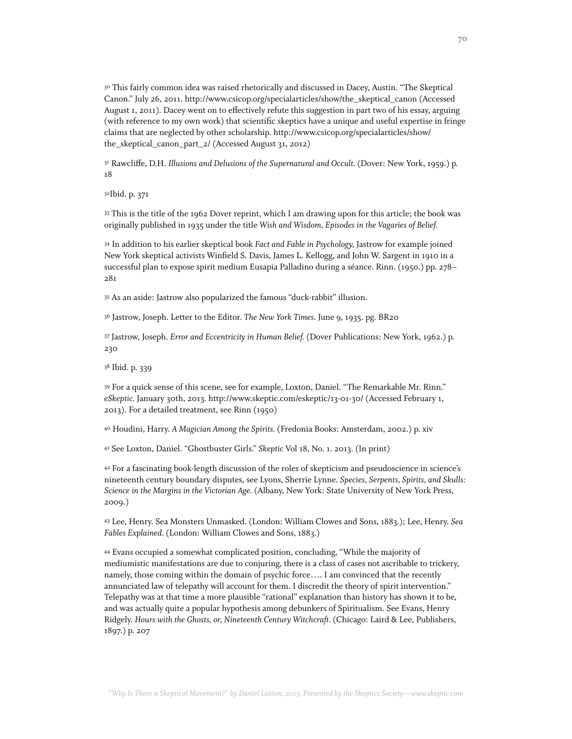<sup>30</sup> This fairly common idea was raised rhetorically and discussed in Dacey, Austin. "The Skeptical Canon." July 26, 2011. http://www.csicop.org/specialarticles/show/the\_skeptical\_canon (Accessed August 1, 2011). Dacey went on to effectively refute this suggestion in part two of his essay, arguing (with reference to my own work) that scientific skeptics have a unique and useful expertise in fringe claims that are neglected by other scholarship. http://www.csicop.org/specialarticles/show/ the\_skeptical\_canon\_part\_2/ (Accessed August 31, 2012)

<sup>31</sup> Rawcliffe, D.H. *Illusions and Delusions of the Supernatural and Occult.* (Dover: New York, 1959.) p. 18

32Ibid. p. 371

33 This is the title of the 1962 Dover reprint, which I am drawing upon for this article; the book was originally published in 1935 under the title *Wish and Wisdom, Episodes in the Vagaries of Belief.*

34 In addition to his earlier skeptical book *Fact and Fable in Psychology,* Jastrow for example joined New York skeptical activists Winfield S. Davis, James L. Kellogg, and John W. Sargent in 1910 in a successful plan to expose spirit medium Eusapia Palladino during a séance. Rinn. (1950.) pp. 278– 281

35 As an aside: Jastrow also popularized the famous "duck-rabbit" illusion.

36 Jastrow, Joseph. Letter to the Editor. *The New York Times.* June 9, 1935. pg. BR20

37 Jastrow, Joseph. *Error and Eccentricity in Human Belief.* (Dover Publications: New York, 1962.) p. 230

38 Ibid. p. 339

39 For a quick sense of this scene, see for example, Loxton, Daniel. "The Remarkable Mr. Rinn." *eSkeptic.* January 30th, 2013. http://www.skeptic.com/eskeptic/13-01-30/ (Accessed February 1, 2013). For a detailed treatment, see Rinn (1950)

40 Houdini, Harry. *A Magician Among the Spirits.* (Fredonia Books: Amsterdam, 2002.) p. xiv

41 See Loxton, Daniel. "Ghostbuster Girls." *Skeptic* Vol 18, No. 1. 2013. (In print)

42 For a fascinating book-length discussion of the roles of skepticism and pseudoscience in science's nineteenth century boundary disputes, see Lyons, Sherrie Lynne. *Species, Serpents, Spirits, and Skulls: Science in the Margins in the Victorian Age.* (Albany, New York: State University of New York Press, 2009.)

43 Lee, Henry. Sea Monsters Unmasked. (London: William Clowes and Sons, 1883.); Lee, Henry. *Sea Fables Explained.* (London: William Clowes and Sons, 1883.)

44 Evans occupied a somewhat complicated position, concluding, "While the majority of mediumistic manifestations are due to conjuring, there is a class of cases not ascribable to trickery, namely, those coming within the domain of psychic force…. I am convinced that the recently annunciated law of telepathy will account for them. I discredit the theory of spirit intervention." Telepathy was at that time a more plausible "rational" explanation than history has shown it to be, and was actually quite a popular hypothesis among debunkers of Spiritualism. See Evans, Henry Ridgely. *Hours with the Ghosts, or, Nineteenth Century Witchcraft.* (Chicago: Laird & Lee, Publishers, 1897.) p. 207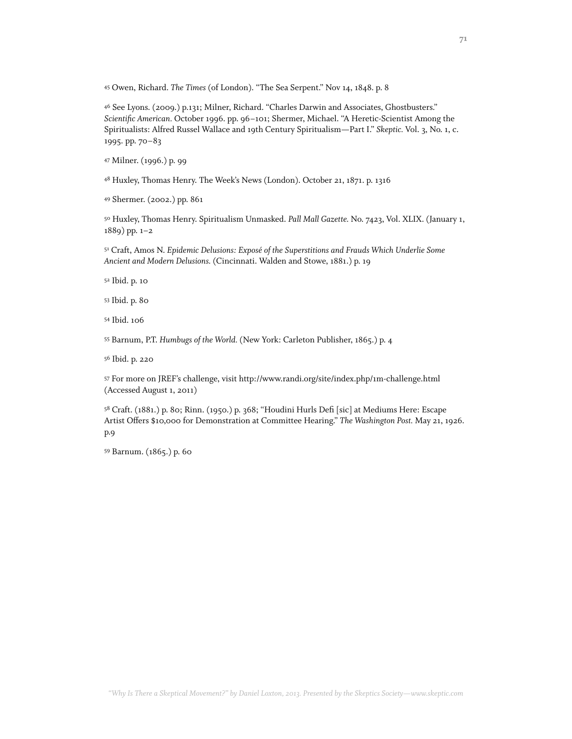45 Owen, Richard. *The Times* (of London). "The Sea Serpent." Nov 14, 1848. p. 8

46 See Lyons. (2009.) p.131; Milner, Richard. "Charles Darwin and Associates, Ghostbusters." *Scientific American.* October 1996. pp. 96–101; Shermer, Michael. "A Heretic-Scientist Among the Spiritualists: Alfred Russel Wallace and 19th Century Spiritualism—Part I." *Skeptic.* Vol. 3, No. 1, c. 1995. pp. 70–83

47 Milner. (1996.) p. 99

48 Huxley, Thomas Henry. The Week's News (London). October 21, 1871. p. 1316

49 Shermer. (2002.) pp. 861

50 Huxley, Thomas Henry. Spiritualism Unmasked. *Pall Mall Gazette.* No. 7423, Vol. XLIX. (January 1, 1889) pp. 1–2

51 Craft, Amos N. *Epidemic Delusions: Exposé of the Superstitions and Frauds Which Underlie Some Ancient and Modern Delusions.* (Cincinnati. Walden and Stowe, 1881.) p. 19

52 Ibid. p. 10

53 Ibid. p. 80

54 Ibid. 106

55 Barnum, P.T. *Humbugs of the World.* (New York: Carleton Publisher, 1865.) p. 4

56 Ibid. p. 220

57 For more on JREF's challenge, visit http://www.randi.org/site/index.php/1m-challenge.html (Accessed August 1, 2011)

58 Craft. (1881.) p. 80; Rinn. (1950.) p. 368; "Houdini Hurls Defi [sic] at Mediums Here: Escape Artist O!ers \$10,000 for Demonstration at Committee Hearing." *The Washington Post.* May 21, 1926. p.9

59 Barnum. (1865.) p. 60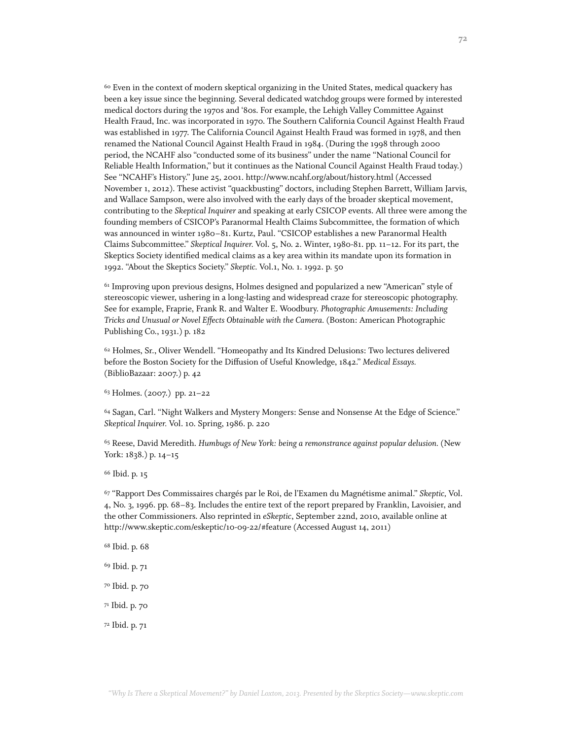$60$  Even in the context of modern skeptical organizing in the United States, medical quackery has been a key issue since the beginning. Several dedicated watchdog groups were formed by interested medical doctors during the 1970s and '80s. For example, the Lehigh Valley Committee Against Health Fraud, Inc. was incorporated in 1970. The Southern California Council Against Health Fraud was established in 1977. The California Council Against Health Fraud was formed in 1978, and then renamed the National Council Against Health Fraud in 1984. (During the 1998 through 2000 period, the NCAHF also "conducted some of its business" under the name "National Council for Reliable Health Information," but it continues as the National Council Against Health Fraud today.) See "NCAHF's History." June 25, 2001. http://www.ncahf.org/about/history.html (Accessed November 1, 2012). These activist "quackbusting" doctors, including Stephen Barrett, William Jarvis, and Wallace Sampson, were also involved with the early days of the broader skeptical movement, contributing to the *Skeptical Inquirer* and speaking at early CSICOP events. All three were among the founding members of CSICOP's Paranormal Health Claims Subcommittee, the formation of which was announced in winter 1980–81. Kurtz, Paul. "CSICOP establishes a new Paranormal Health Claims Subcommittee." *Skeptical Inquirer.* Vol. 5, No. 2. Winter, 1980-81. pp. 11–12. For its part, the Skeptics Society identified medical claims as a key area within its mandate upon its formation in 1992. "About the Skeptics Society." *Skeptic.* Vol.1, No. 1. 1992. p. 50

61 Improving upon previous designs, Holmes designed and popularized a new "American" style of stereoscopic viewer, ushering in a long-lasting and widespread craze for stereoscopic photography. See for example, Fraprie, Frank R. and Walter E. Woodbury. *Photographic Amusements: Including Tricks and Unusual or Novel E!ects Obtainable with the Camera.* (Boston: American Photographic Publishing Co., 1931.) p. 182

<sup>62</sup> Holmes, Sr., Oliver Wendell. "Homeopathy and Its Kindred Delusions: Two lectures delivered before the Boston Society for the Diffusion of Useful Knowledge, 1842." *Medical Essays.* (BiblioBazaar: 2007.) p. 42

63 Holmes. (2007.) pp. 21–22

64 Sagan, Carl. "Night Walkers and Mystery Mongers: Sense and Nonsense At the Edge of Science." *Skeptical Inquirer.* Vol. 10. Spring, 1986. p. 220

65 Reese, David Meredith. *Humbugs of New York: being a remonstrance against popular delusion.* (New York: 1838.) p. 14–15

66 Ibid. p. 15

67 "Rapport Des Commissaires chargés par le Roi, de l'Examen du Magnétisme animal." *Skeptic,* Vol. 4, No. 3, 1996. pp. 68–83. Includes the entire text of the report prepared by Franklin, Lavoisier, and the other Commissioners. Also reprinted in *eSkeptic*, September 22nd, 2010, available online at http://www.skeptic.com/eskeptic/10-09-22/#feature (Accessed August 14, 2011)

- 68 Ibid. p. 68
- 69 Ibid. p. 71
- 70 Ibid. p. 70
- 71 Ibid. p. 70
- 72 Ibid. p. 71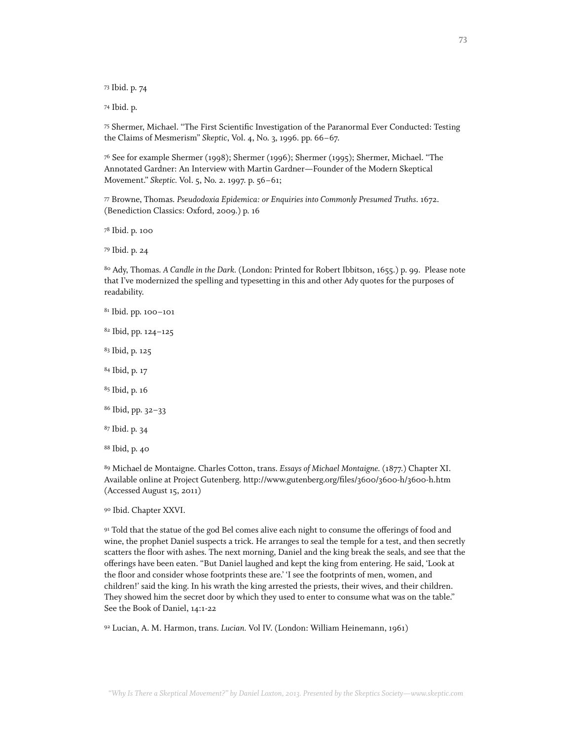73 Ibid. p. 74

74 Ibid. p.

75 Shermer, Michael. "The First Scientific Investigation of the Paranormal Ever Conducted: Testing the Claims of Mesmerism" *Skeptic*, Vol. 4, No. 3, 1996. pp. 66–67.

76 See for example Shermer (1998); Shermer (1996); Shermer (1995); Shermer, Michael. "The Annotated Gardner: An Interview with Martin Gardner—Founder of the Modern Skeptical Movement." *Skeptic.* Vol. 5, No. 2. 1997. p. 56–61;

77 Browne, Thomas. *Pseudodoxia Epidemica: or Enquiries into Commonly Presumed Truths*. 1672. (Benediction Classics: Oxford, 2009.) p. 16

78 Ibid. p. 100

79 Ibid. p. 24

80 Ady, Thomas. *A Candle in the Dark.* (London: Printed for Robert Ibbitson, 1655.) p. 99. Please note that I've modernized the spelling and typesetting in this and other Ady quotes for the purposes of readability.

- 81 Ibid. pp. 100–101
- 82 Ibid, pp. 124–125
- 83 Ibid, p. 125
- 84 Ibid, p. 17
- 85 Ibid, p. 16
- 86 Ibid, pp. 32–33
- 87 Ibid. p. 34
- 88 Ibid, p. 40

89 Michael de Montaigne. Charles Cotton, trans. *Essays of Michael Montaigne.* (1877.) Chapter XI. Available online at Project Gutenberg. http://www.gutenberg.org/files/3600/3600-h/3600-h.htm (Accessed August 15, 2011)

90 Ibid. Chapter XXVI.

91 Told that the statue of the god Bel comes alive each night to consume the offerings of food and wine, the prophet Daniel suspects a trick. He arranges to seal the temple for a test, and then secretly scatters the floor with ashes. The next morning, Daniel and the king break the seals, and see that the offerings have been eaten. "But Daniel laughed and kept the king from entering. He said, 'Look at the floor and consider whose footprints these are.' 'I see the footprints of men, women, and children!' said the king. In his wrath the king arrested the priests, their wives, and their children. They showed him the secret door by which they used to enter to consume what was on the table." See the Book of Daniel, 14:1-22

92 Lucian, A. M. Harmon, trans. *Lucian.* Vol IV. (London: William Heinemann, 1961)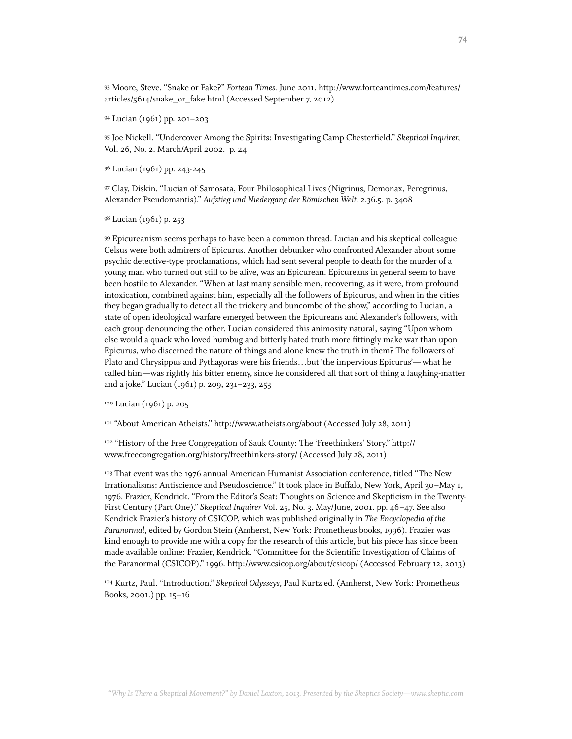93 Moore, Steve. "Snake or Fake?" *Fortean Times.* June 2011. http://www.forteantimes.com/features/ articles/5614/snake\_or\_fake.html (Accessed September 7, 2012)

94 Lucian (1961) pp. 201–203

95 Joe Nickell. "Undercover Among the Spirits: Investigating Camp Chesterfield." *Skeptical Inquirer,* Vol. 26, No. 2. March/April 2002. p. 24

96 Lucian (1961) pp. 243-245

97 Clay, Diskin. "Lucian of Samosata, Four Philosophical Lives (Nigrinus, Demonax, Peregrinus, Alexander Pseudomantis)." *Aufstieg und Niedergang der Römischen Welt.* 2.36.5. p. 3408

98 Lucian (1961) p. 253

99 Epicureanism seems perhaps to have been a common thread. Lucian and his skeptical colleague Celsus were both admirers of Epicurus. Another debunker who confronted Alexander about some psychic detective-type proclamations, which had sent several people to death for the murder of a young man who turned out still to be alive, was an Epicurean. Epicureans in general seem to have been hostile to Alexander. "When at last many sensible men, recovering, as it were, from profound intoxication, combined against him, especially all the followers of Epicurus, and when in the cities they began gradually to detect all the trickery and buncombe of the show," according to Lucian, a state of open ideological warfare emerged between the Epicureans and Alexander's followers, with each group denouncing the other. Lucian considered this animosity natural, saying "Upon whom else would a quack who loved humbug and bitterly hated truth more fittingly make war than upon Epicurus, who discerned the nature of things and alone knew the truth in them? The followers of Plato and Chrysippus and Pythagoras were his friends…but 'the impervious Epicurus'— what he called him—was rightly his bitter enemy, since he considered all that sort of thing a laughing-matter and a joke." Lucian (1961) p. 209, 231–233, 253

100 Lucian (1961) p. 205

101 "About American Atheists." http://www.atheists.org/about (Accessed July 28, 2011)

102 "History of the Free Congregation of Sauk County: The 'Freethinkers' Story." http:// www.freecongregation.org/history/freethinkers-story/ (Accessed July 28, 2011)

103 That event was the 1976 annual American Humanist Association conference, titled "The New Irrationalisms: Antiscience and Pseudoscience." It took place in Buffalo, New York, April 30–May 1, 1976. Frazier, Kendrick. "From the Editor's Seat: Thoughts on Science and Skepticism in the Twenty-First Century (Part One)." *Skeptical Inquirer* Vol. 25, No. 3. May/June, 2001. pp. 46–47. See also Kendrick Frazier's history of CSICOP, which was published originally in *The Encyclopedia of the Paranormal*, edited by Gordon Stein (Amherst, New York: Prometheus books, 1996). Frazier was kind enough to provide me with a copy for the research of this article, but his piece has since been made available online: Frazier, Kendrick. "Committee for the Scientific Investigation of Claims of the Paranormal (CSICOP)." 1996. http://www.csicop.org/about/csicop/ (Accessed February 12, 2013)

104 Kurtz, Paul. "Introduction." *Skeptical Odysseys,* Paul Kurtz ed. (Amherst, New York: Prometheus Books, 2001.) pp. 15–16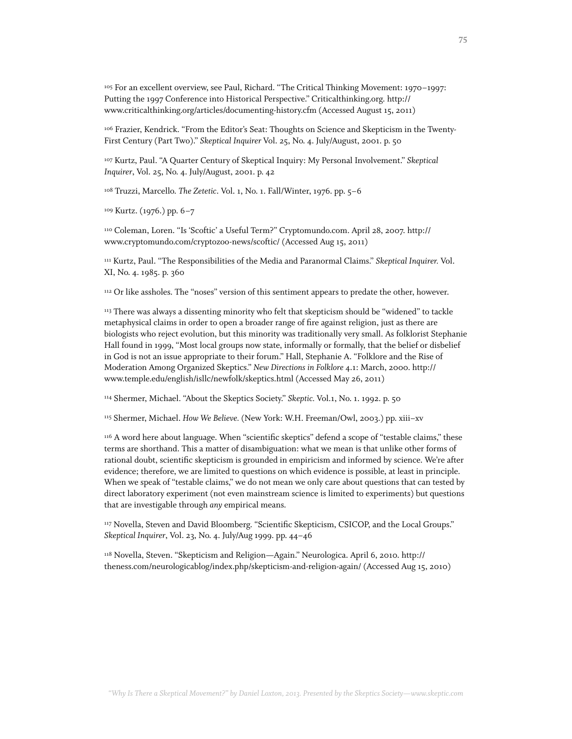105 For an excellent overview, see Paul, Richard. "The Critical Thinking Movement: 1970–1997: Putting the 1997 Conference into Historical Perspective." Criticalthinking.org. http:// www.criticalthinking.org/articles/documenting-history.cfm (Accessed August 15, 2011)

106 Frazier, Kendrick. "From the Editor's Seat: Thoughts on Science and Skepticism in the Twenty-First Century (Part Two)." *Skeptical Inquirer* Vol. 25, No. 4. July/August, 2001. p. 50

107 Kurtz, Paul. "A Quarter Century of Skeptical Inquiry: My Personal Involvement." *Skeptical Inquirer*, Vol. 25, No. 4. July/August, 2001. p. 42

108 Truzzi, Marcello. *The Zetetic*. Vol. 1, No. 1. Fall/Winter, 1976. pp. 5–6

109 Kurtz. (1976.) pp. 6–7

110 Coleman, Loren. "Is 'Scoftic' a Useful Term?" Cryptomundo.com. April 28, 2007. http:// www.cryptomundo.com/cryptozoo-news/scoftic/ (Accessed Aug 15, 2011)

111 Kurtz, Paul. "The Responsibilities of the Media and Paranormal Claims." *Skeptical Inquirer.* Vol. XI, No. 4. 1985. p. 360

<sup>112</sup> Or like assholes. The "noses" version of this sentiment appears to predate the other, however.

<sup>113</sup> There was always a dissenting minority who felt that skepticism should be "widened" to tackle metaphysical claims in order to open a broader range of fire against religion, just as there are biologists who reject evolution, but this minority was traditionally very small. As folklorist Stephanie Hall found in 1999, "Most local groups now state, informally or formally, that the belief or disbelief in God is not an issue appropriate to their forum." Hall, Stephanie A. "Folklore and the Rise of Moderation Among Organized Skeptics." *New Directions in Folklore* 4.1: March, 2000. http:// www.temple.edu/english/isllc/newfolk/skeptics.html (Accessed May 26, 2011)

114 Shermer, Michael. "About the Skeptics Society." *Skeptic.* Vol.1, No. 1. 1992. p. 50

115 Shermer, Michael. *How We Believe.* (New York: W.H. Freeman/Owl, 2003.) pp. xiii–xv

<sup>116</sup> A word here about language. When "scientific skeptics" defend a scope of "testable claims," these terms are shorthand. This a matter of disambiguation: what we mean is that unlike other forms of rational doubt, scientific skepticism is grounded in empiricism and informed by science. We're after evidence; therefore, we are limited to questions on which evidence is possible, at least in principle. When we speak of "testable claims," we do not mean we only care about questions that can tested by direct laboratory experiment (not even mainstream science is limited to experiments) but questions that are investigable through *any* empirical means.

117 Novella, Steven and David Bloomberg. "Scientific Skepticism, CSICOP, and the Local Groups." *Skeptical Inquirer*, Vol. 23, No. 4. July/Aug 1999. pp. 44–46

118 Novella, Steven. "Skepticism and Religion—Again." Neurologica. April 6, 2010. http:// theness.com/neurologicablog/index.php/skepticism-and-religion-again/ (Accessed Aug 15, 2010)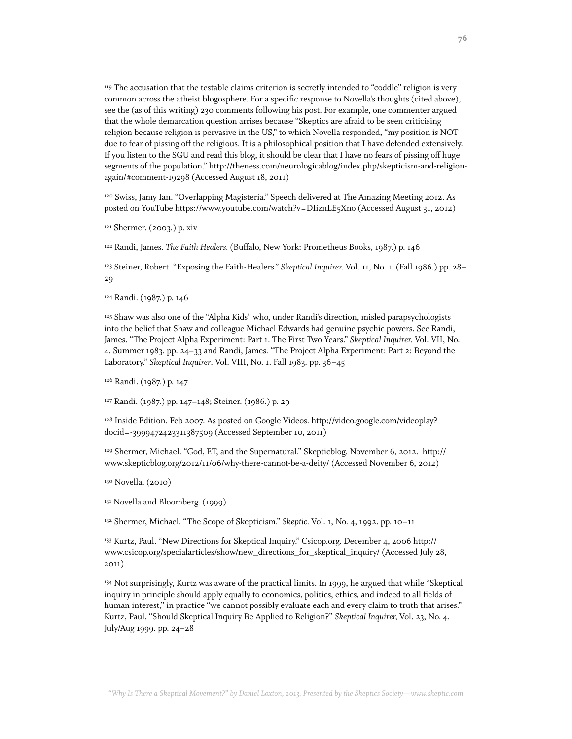119 The accusation that the testable claims criterion is secretly intended to "coddle" religion is very common across the atheist blogosphere. For a specific response to Novella's thoughts (cited above), see the (as of this writing) 230 comments following his post. For example, one commenter argued that the whole demarcation question arrises because "Skeptics are afraid to be seen criticising religion because religion is pervasive in the US," to which Novella responded, "my position is NOT due to fear of pissing off the religious. It is a philosophical position that I have defended extensively. If you listen to the SGU and read this blog, it should be clear that I have no fears of pissing off huge segments of the population." http://theness.com/neurologicablog/index.php/skepticism-and-religionagain/#comment-19298 (Accessed August 18, 2011)

120 Swiss, Jamy Ian. "Overlapping Magisteria." Speech delivered at The Amazing Meeting 2012. As posted on YouTube https://www.youtube.com/watch?v=DIiznLE5Xno (Accessed August 31, 2012)

121 Shermer. (2003.) p. xiv

<sup>122</sup> Randi, James. *The Faith Healers*. (Buffalo, New York: Prometheus Books, 1987.) p. 146

123 Steiner, Robert. "Exposing the Faith-Healers." *Skeptical Inquirer.* Vol. 11, No. 1. (Fall 1986.) pp. 28– 29

124 Randi. (1987.) p. 146

125 Shaw was also one of the "Alpha Kids" who, under Randi's direction, misled parapsychologists into the belief that Shaw and colleague Michael Edwards had genuine psychic powers. See Randi, James. "The Project Alpha Experiment: Part 1. The First Two Years." *Skeptical Inquirer.* Vol. VII, No. 4. Summer 1983. pp. 24–33 and Randi, James. "The Project Alpha Experiment: Part 2: Beyond the Laboratory." *Skeptical Inquirer*. Vol. VIII, No. 1. Fall 1983. pp. 36–45

126 Randi. (1987.) p. 147

127 Randi. (1987.) pp. 147–148; Steiner. (1986.) p. 29

128 Inside Edition. Feb 2007. As posted on Google Videos. http://video.google.com/videoplay? docid=-3999472423311387509 (Accessed September 10, 2011)

129 Shermer, Michael. "God, ET, and the Supernatural." Skepticblog. November 6, 2012. http:// www.skepticblog.org/2012/11/06/why-there-cannot-be-a-deity/ (Accessed November 6, 2012)

130 Novella. (2010)

<sup>131</sup> Novella and Bloomberg. (1999)

132 Shermer, Michael. "The Scope of Skepticism." *Skeptic.* Vol. 1, No. 4, 1992. pp. 10–11

133 Kurtz, Paul. "New Directions for Skeptical Inquiry." Csicop.org. December 4, 2006 http:// www.csicop.org/specialarticles/show/new\_directions\_for\_skeptical\_inquiry/ (Accessed July 28, 2011)

134 Not surprisingly, Kurtz was aware of the practical limits. In 1999, he argued that while "Skeptical inquiry in principle should apply equally to economics, politics, ethics, and indeed to all fields of human interest," in practice "we cannot possibly evaluate each and every claim to truth that arises." Kurtz, Paul. "Should Skeptical Inquiry Be Applied to Religion?" *Skeptical Inquirer,* Vol. 23, No. 4. July/Aug 1999. pp. 24–28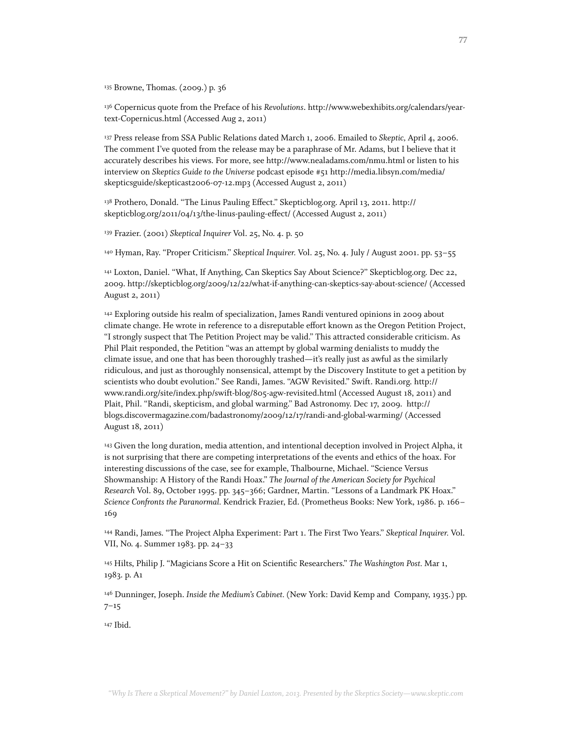135 Browne, Thomas. (2009.) p. 36

136 Copernicus quote from the Preface of his *Revolutions*. http://www.webexhibits.org/calendars/yeartext-Copernicus.html (Accessed Aug 2, 2011)

137 Press release from SSA Public Relations dated March 1, 2006. Emailed to *Skeptic,* April 4, 2006. The comment I've quoted from the release may be a paraphrase of Mr. Adams, but I believe that it accurately describes his views. For more, see http://www.nealadams.com/nmu.html or listen to his interview on *Skeptics Guide to the Universe* podcast episode #51 http://media.libsyn.com/media/ skepticsguide/skepticast2006-07-12.mp3 (Accessed August 2, 2011)

138 Prothero, Donald. "The Linus Pauling Effect." Skepticblog.org. April 13, 2011. http:// skepticblog.org/2011/04/13/the-linus-pauling-effect/ (Accessed August 2, 2011)

139 Frazier. (2001) *Skeptical Inquirer* Vol. 25, No. 4. p. 50

140 Hyman, Ray. "Proper Criticism." *Skeptical Inquirer.* Vol. 25, No. 4. July / August 2001. pp. 53–55

141 Loxton, Daniel. "What, If Anything, Can Skeptics Say About Science?" Skepticblog.org. Dec 22, 2009. http://skepticblog.org/2009/12/22/what-if-anything-can-skeptics-say-about-science/ (Accessed August 2, 2011)

142 Exploring outside his realm of specialization, James Randi ventured opinions in 2009 about climate change. He wrote in reference to a disreputable effort known as the Oregon Petition Project, "I strongly suspect that The Petition Project may be valid." This attracted considerable criticism. As Phil Plait responded, the Petition "was an attempt by global warming denialists to muddy the climate issue, and one that has been thoroughly trashed—it's really just as awful as the similarly ridiculous, and just as thoroughly nonsensical, attempt by the Discovery Institute to get a petition by scientists who doubt evolution." See Randi, James. "AGW Revisited." Swift. Randi.org. http:// www.randi.org/site/index.php/swift-blog/805-agw-revisited.html (Accessed August 18, 2011) and Plait, Phil. "Randi, skepticism, and global warming." Bad Astronomy. Dec 17, 2009. http:// blogs.discovermagazine.com/badastronomy/2009/12/17/randi-and-global-warming/ (Accessed August 18, 2011)

143 Given the long duration, media attention, and intentional deception involved in Project Alpha, it is not surprising that there are competing interpretations of the events and ethics of the hoax. For interesting discussions of the case, see for example, Thalbourne, Michael. "Science Versus Showmanship: A History of the Randi Hoax." *The Journal of the American Society for Psychical Research* Vol. 89, October 1995. pp. 345–366; Gardner, Martin. "Lessons of a Landmark PK Hoax." *Science Confronts the Paranormal.* Kendrick Frazier, Ed. (Prometheus Books: New York, 1986. p. 166– 169

144 Randi, James. "The Project Alpha Experiment: Part 1. The First Two Years." *Skeptical Inquirer.* Vol. VII, No. 4. Summer 1983. pp. 24–33

145 Hilts, Philip J. "Magicians Score a Hit on Scientific Researchers." *The Washington Post.* Mar 1, 1983. p. A1

146 Dunninger, Joseph. *Inside the Medium's Cabinet.* (New York: David Kemp and Company, 1935.) pp.  $7 - 15$ 

147 Ibid.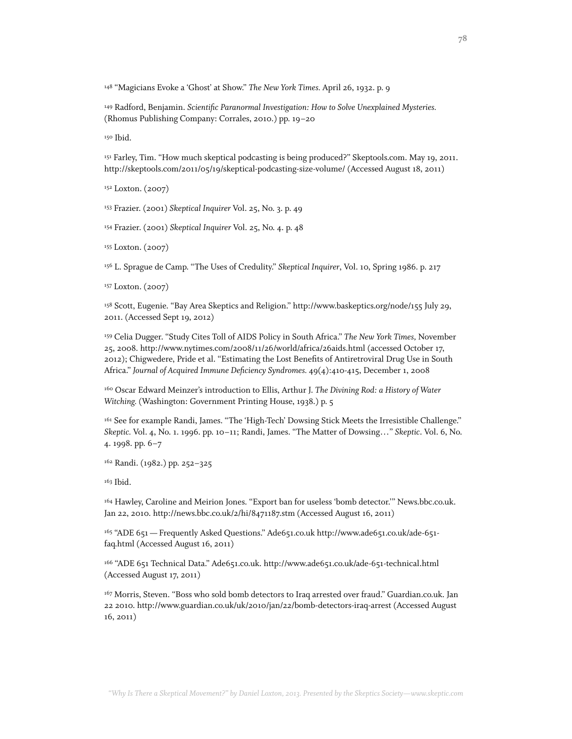148 "Magicians Evoke a 'Ghost' at Show." *The New York Times.* April 26, 1932. p. 9

149 Radford, Benjamin. *Scientific Paranormal Investigation: How to Solve Unexplained Mysteries.* (Rhomus Publishing Company: Corrales, 2010.) pp. 19–20

<sup>150</sup> Ibid.

151 Farley, Tim. "How much skeptical podcasting is being produced?" Skeptools.com. May 19, 2011. http://skeptools.com/2011/05/19/skeptical-podcasting-size-volume/ (Accessed August 18, 2011)

152 Loxton. (2007)

153 Frazier. (2001) *Skeptical Inquirer* Vol. 25, No. 3. p. 49

154 Frazier. (2001) *Skeptical Inquirer* Vol. 25, No. 4. p. 48

155 Loxton. (2007)

156 L. Sprague de Camp. "The Uses of Credulity." *Skeptical Inquirer*, Vol. 10, Spring 1986. p. 217

157 Loxton. (2007)

158 Scott, Eugenie. "Bay Area Skeptics and Religion." http://www.baskeptics.org/node/155 July 29, 2011. (Accessed Sept 19, 2012)

159 Celia Dugger. "Study Cites Toll of AIDS Policy in South Africa." *The New York Times,* November 25, 2008. http://www.nytimes.com/2008/11/26/world/africa/26aids.html (accessed October 17, 2012); Chigwedere, Pride et al. "Estimating the Lost Benefits of Antiretroviral Drug Use in South Africa." *Journal of Acquired Immune Deficiency Syndromes.* 49(4):410-415, December 1, 2008

160 Oscar Edward Meinzer's introduction to Ellis, Arthur J. *The Divining Rod: a History of Water Witching.* (Washington: Government Printing House, 1938.) p. 5

161 See for example Randi, James. "The 'High-Tech' Dowsing Stick Meets the Irresistible Challenge." *Skeptic.* Vol. 4, No. 1. 1996. pp. 10–11; Randi, James. "The Matter of Dowsing…" *Skeptic*. Vol. 6, No. 4. 1998. pp. 6–7

162 Randi. (1982.) pp. 252–325

163 Ibid.

164 Hawley, Caroline and Meirion Jones. "Export ban for useless 'bomb detector.'" News.bbc.co.uk. Jan 22, 2010. http://news.bbc.co.uk/2/hi/8471187.stm (Accessed August 16, 2011)

165 "ADE 651 — Frequently Asked Questions." Ade651.co.uk http://www.ade651.co.uk/ade-651 faq.html (Accessed August 16, 2011)

166 "ADE 651 Technical Data." Ade651.co.uk. http://www.ade651.co.uk/ade-651-technical.html (Accessed August 17, 2011)

167 Morris, Steven. "Boss who sold bomb detectors to Iraq arrested over fraud." Guardian.co.uk. Jan 22 2010. http://www.guardian.co.uk/uk/2010/jan/22/bomb-detectors-iraq-arrest (Accessed August 16, 2011)